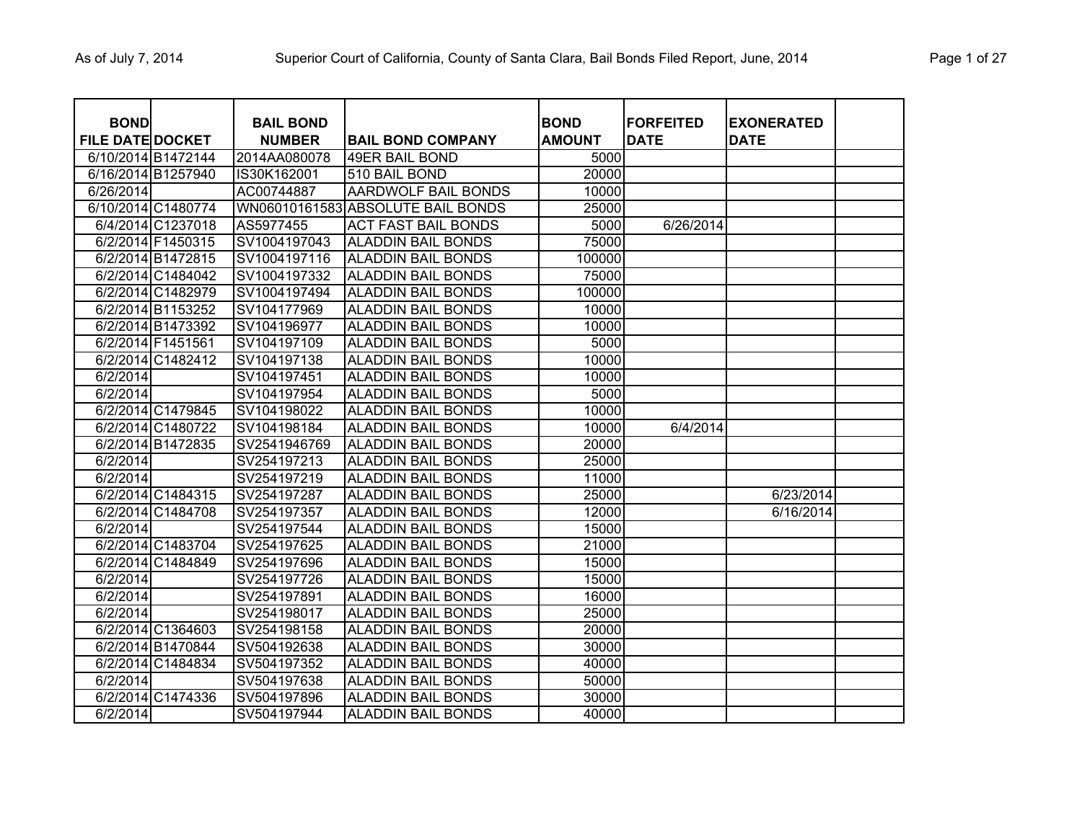| <b>BOND</b><br><b>FILE DATE DOCKET</b> |                    | <b>BAIL BOND</b><br><b>NUMBER</b> | <b>BAIL BOND COMPANY</b>          | <b>BOND</b><br><b>AMOUNT</b> | <b>FORFEITED</b><br><b>DATE</b> | <b>EXONERATED</b><br><b>DATE</b> |  |
|----------------------------------------|--------------------|-----------------------------------|-----------------------------------|------------------------------|---------------------------------|----------------------------------|--|
|                                        | 6/10/2014 B1472144 | 2014AA080078                      | 49ER BAIL BOND                    | 5000                         |                                 |                                  |  |
|                                        | 6/16/2014 B1257940 | IS30K162001                       | 510 BAIL BOND                     | 20000                        |                                 |                                  |  |
| 6/26/2014                              |                    | AC00744887                        | <b>AARDWOLF BAIL BONDS</b>        | 10000                        |                                 |                                  |  |
|                                        | 6/10/2014 C1480774 |                                   | WN06010161583 ABSOLUTE BAIL BONDS | 25000                        |                                 |                                  |  |
|                                        | 6/4/2014 C1237018  | AS5977455                         | <b>ACT FAST BAIL BONDS</b>        | 5000                         | 6/26/2014                       |                                  |  |
|                                        | 6/2/2014 F1450315  | SV1004197043                      | <b>ALADDIN BAIL BONDS</b>         | 75000                        |                                 |                                  |  |
|                                        | 6/2/2014 B1472815  | SV1004197116                      | <b>ALADDIN BAIL BONDS</b>         | 100000                       |                                 |                                  |  |
|                                        | 6/2/2014 C1484042  | SV1004197332                      | ALADDIN BAIL BONDS                | 75000                        |                                 |                                  |  |
|                                        | 6/2/2014 C1482979  | SV1004197494                      | ALADDIN BAIL BONDS                | 100000                       |                                 |                                  |  |
|                                        | 6/2/2014 B1153252  | SV104177969                       | <b>ALADDIN BAIL BONDS</b>         | 10000                        |                                 |                                  |  |
|                                        | 6/2/2014 B1473392  | SV104196977                       | <b>ALADDIN BAIL BONDS</b>         | 10000                        |                                 |                                  |  |
|                                        | 6/2/2014 F1451561  | SV104197109                       | <b>ALADDIN BAIL BONDS</b>         | 5000                         |                                 |                                  |  |
|                                        | 6/2/2014 C1482412  | SV104197138                       | <b>ALADDIN BAIL BONDS</b>         | 10000                        |                                 |                                  |  |
| 6/2/2014                               |                    | SV104197451                       | <b>ALADDIN BAIL BONDS</b>         | 10000                        |                                 |                                  |  |
| 6/2/2014                               |                    | SV104197954                       | <b>ALADDIN BAIL BONDS</b>         | 5000                         |                                 |                                  |  |
|                                        | 6/2/2014 C1479845  | SV104198022                       | <b>ALADDIN BAIL BONDS</b>         | 10000                        |                                 |                                  |  |
|                                        | 6/2/2014 C1480722  | SV104198184                       | <b>ALADDIN BAIL BONDS</b>         | 10000                        | 6/4/2014                        |                                  |  |
|                                        | 6/2/2014 B1472835  | SV2541946769                      | <b>ALADDIN BAIL BONDS</b>         | 20000                        |                                 |                                  |  |
| 6/2/2014                               |                    | SV254197213                       | <b>ALADDIN BAIL BONDS</b>         | 25000                        |                                 |                                  |  |
| 6/2/2014                               |                    | SV254197219                       | <b>ALADDIN BAIL BONDS</b>         | 11000                        |                                 |                                  |  |
|                                        | 6/2/2014 C1484315  | SV254197287                       | <b>ALADDIN BAIL BONDS</b>         | 25000                        |                                 | 6/23/2014                        |  |
|                                        | 6/2/2014 C1484708  | SV254197357                       | <b>ALADDIN BAIL BONDS</b>         | 12000                        |                                 | 6/16/2014                        |  |
| 6/2/2014                               |                    | SV254197544                       | <b>ALADDIN BAIL BONDS</b>         | 15000                        |                                 |                                  |  |
|                                        | 6/2/2014 C1483704  | SV254197625                       | <b>ALADDIN BAIL BONDS</b>         | 21000                        |                                 |                                  |  |
|                                        | 6/2/2014 C1484849  | SV254197696                       | <b>ALADDIN BAIL BONDS</b>         | 15000                        |                                 |                                  |  |
| 6/2/2014                               |                    | SV254197726                       | <b>ALADDIN BAIL BONDS</b>         | 15000                        |                                 |                                  |  |
| 6/2/2014                               |                    | SV254197891                       | <b>ALADDIN BAIL BONDS</b>         | 16000                        |                                 |                                  |  |
| 6/2/2014                               |                    | SV254198017                       | <b>ALADDIN BAIL BONDS</b>         | 25000                        |                                 |                                  |  |
|                                        | 6/2/2014 C1364603  | SV254198158                       | <b>ALADDIN BAIL BONDS</b>         | 20000                        |                                 |                                  |  |
|                                        | 6/2/2014 B1470844  | SV504192638                       | <b>ALADDIN BAIL BONDS</b>         | 30000                        |                                 |                                  |  |
|                                        | 6/2/2014 C1484834  | SV504197352                       | <b>ALADDIN BAIL BONDS</b>         | 40000                        |                                 |                                  |  |
| 6/2/2014                               |                    | SV504197638                       | <b>ALADDIN BAIL BONDS</b>         | 50000                        |                                 |                                  |  |
|                                        | 6/2/2014 C1474336  | SV504197896                       | <b>ALADDIN BAIL BONDS</b>         | 30000                        |                                 |                                  |  |
| 6/2/2014                               |                    | SV504197944                       | <b>ALADDIN BAIL BONDS</b>         | 40000                        |                                 |                                  |  |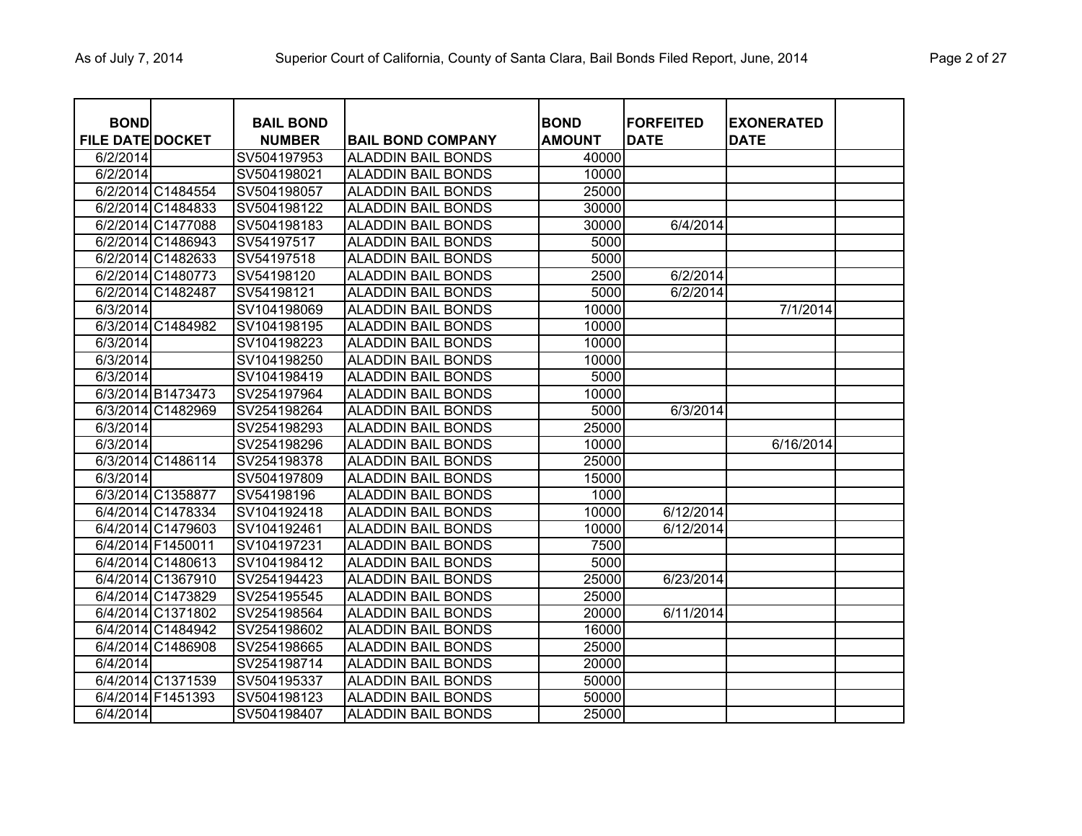| <b>BOND</b>             |                   | <b>BAIL BOND</b> |                           | <b>BOND</b>   | <b>FORFEITED</b> | <b>EXONERATED</b> |  |
|-------------------------|-------------------|------------------|---------------------------|---------------|------------------|-------------------|--|
| <b>FILE DATE DOCKET</b> |                   | <b>NUMBER</b>    | <b>BAIL BOND COMPANY</b>  | <b>AMOUNT</b> | <b>DATE</b>      | <b>DATE</b>       |  |
| 6/2/2014                |                   | SV504197953      | <b>ALADDIN BAIL BONDS</b> | 40000         |                  |                   |  |
| 6/2/2014                |                   | SV504198021      | <b>ALADDIN BAIL BONDS</b> | 10000         |                  |                   |  |
|                         | 6/2/2014 C1484554 | SV504198057      | <b>ALADDIN BAIL BONDS</b> | 25000         |                  |                   |  |
|                         | 6/2/2014 C1484833 | SV504198122      | <b>ALADDIN BAIL BONDS</b> | 30000         |                  |                   |  |
|                         | 6/2/2014 C1477088 | SV504198183      | <b>ALADDIN BAIL BONDS</b> | 30000         | 6/4/2014         |                   |  |
|                         | 6/2/2014 C1486943 | SV54197517       | <b>ALADDIN BAIL BONDS</b> | 5000          |                  |                   |  |
|                         | 6/2/2014 C1482633 | SV54197518       | <b>ALADDIN BAIL BONDS</b> | 5000          |                  |                   |  |
|                         | 6/2/2014 C1480773 | SV54198120       | <b>ALADDIN BAIL BONDS</b> | 2500          | 6/2/2014         |                   |  |
|                         | 6/2/2014 C1482487 | SV54198121       | <b>ALADDIN BAIL BONDS</b> | 5000          | 6/2/2014         |                   |  |
| 6/3/2014                |                   | SV104198069      | <b>ALADDIN BAIL BONDS</b> | 10000         |                  | 7/1/2014          |  |
|                         | 6/3/2014 C1484982 | SV104198195      | <b>ALADDIN BAIL BONDS</b> | 10000         |                  |                   |  |
| 6/3/2014                |                   | SV104198223      | <b>ALADDIN BAIL BONDS</b> | 10000         |                  |                   |  |
| 6/3/2014                |                   | SV104198250      | <b>ALADDIN BAIL BONDS</b> | 10000         |                  |                   |  |
| 6/3/2014                |                   | SV104198419      | <b>ALADDIN BAIL BONDS</b> | 5000          |                  |                   |  |
|                         | 6/3/2014 B1473473 | SV254197964      | <b>ALADDIN BAIL BONDS</b> | 10000         |                  |                   |  |
|                         | 6/3/2014 C1482969 | SV254198264      | ALADDIN BAIL BONDS        | 5000          | 6/3/2014         |                   |  |
| 6/3/2014                |                   | SV254198293      | <b>ALADDIN BAIL BONDS</b> | 25000         |                  |                   |  |
| 6/3/2014                |                   | SV254198296      | <b>ALADDIN BAIL BONDS</b> | 10000         |                  | 6/16/2014         |  |
|                         | 6/3/2014 C1486114 | SV254198378      | <b>ALADDIN BAIL BONDS</b> | 25000         |                  |                   |  |
| 6/3/2014                |                   | SV504197809      | <b>ALADDIN BAIL BONDS</b> | 15000         |                  |                   |  |
|                         | 6/3/2014 C1358877 | SV54198196       | <b>ALADDIN BAIL BONDS</b> | 1000          |                  |                   |  |
|                         | 6/4/2014 C1478334 | SV104192418      | <b>ALADDIN BAIL BONDS</b> | 10000         | 6/12/2014        |                   |  |
|                         | 6/4/2014 C1479603 | SV104192461      | <b>ALADDIN BAIL BONDS</b> | 10000         | 6/12/2014        |                   |  |
|                         | 6/4/2014 F1450011 | SV104197231      | <b>ALADDIN BAIL BONDS</b> | 7500          |                  |                   |  |
|                         | 6/4/2014 C1480613 | SV104198412      | <b>ALADDIN BAIL BONDS</b> | 5000          |                  |                   |  |
|                         | 6/4/2014 C1367910 | SV254194423      | <b>ALADDIN BAIL BONDS</b> | 25000         | 6/23/2014        |                   |  |
|                         | 6/4/2014 C1473829 | SV254195545      | <b>ALADDIN BAIL BONDS</b> | 25000         |                  |                   |  |
|                         | 6/4/2014 C1371802 | SV254198564      | <b>ALADDIN BAIL BONDS</b> | 20000         | 6/11/2014        |                   |  |
|                         | 6/4/2014 C1484942 | SV254198602      | <b>ALADDIN BAIL BONDS</b> | 16000         |                  |                   |  |
|                         | 6/4/2014 C1486908 | SV254198665      | <b>ALADDIN BAIL BONDS</b> | 25000         |                  |                   |  |
| 6/4/2014                |                   | SV254198714      | <b>ALADDIN BAIL BONDS</b> | 20000         |                  |                   |  |
|                         | 6/4/2014 C1371539 | SV504195337      | <b>ALADDIN BAIL BONDS</b> | 50000         |                  |                   |  |
|                         | 6/4/2014 F1451393 | SV504198123      | <b>ALADDIN BAIL BONDS</b> | 50000         |                  |                   |  |
| 6/4/2014                |                   | SV504198407      | <b>ALADDIN BAIL BONDS</b> | 25000         |                  |                   |  |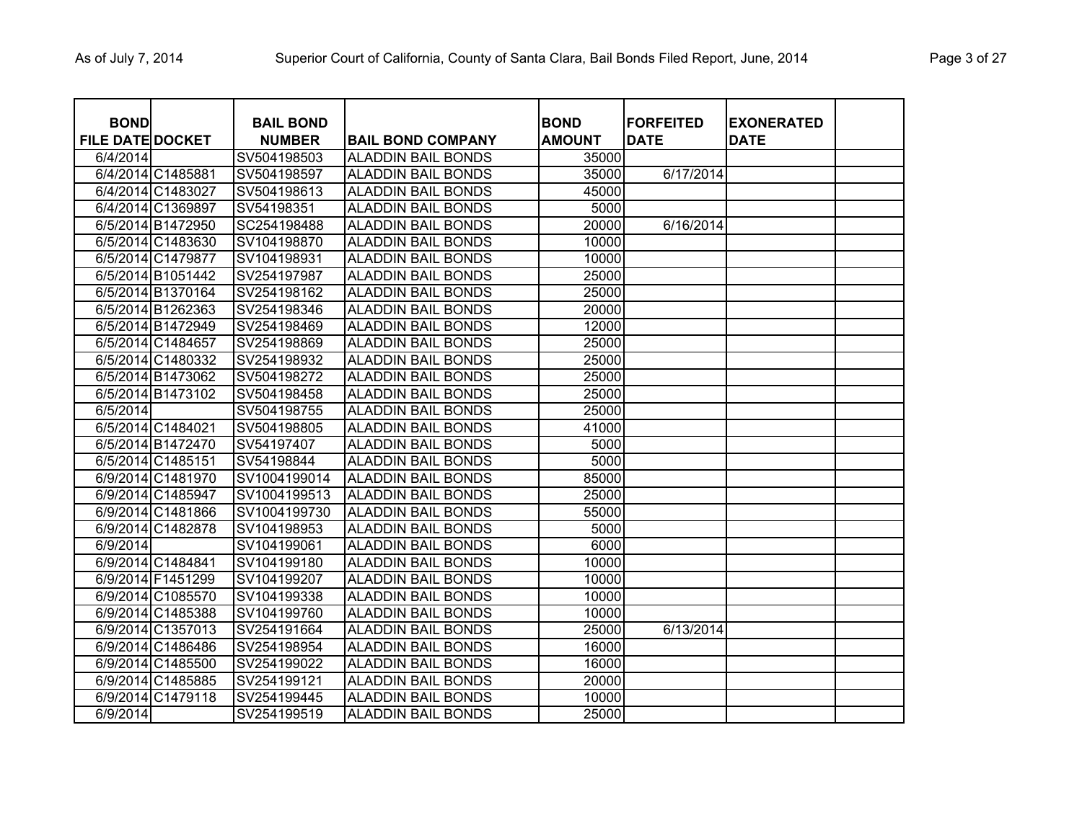| <b>BOND</b>             |                   | <b>BAIL BOND</b> |                           | <b>BOND</b>   | <b>FORFEITED</b> | <b>EXONERATED</b> |  |
|-------------------------|-------------------|------------------|---------------------------|---------------|------------------|-------------------|--|
| <b>FILE DATE DOCKET</b> |                   | <b>NUMBER</b>    | <b>BAIL BOND COMPANY</b>  | <b>AMOUNT</b> | <b>DATE</b>      | <b>DATE</b>       |  |
| 6/4/2014                |                   | SV504198503      | <b>ALADDIN BAIL BONDS</b> | 35000         |                  |                   |  |
|                         | 6/4/2014 C1485881 | SV504198597      | <b>ALADDIN BAIL BONDS</b> | 35000         | 6/17/2014        |                   |  |
|                         | 6/4/2014 C1483027 | SV504198613      | <b>ALADDIN BAIL BONDS</b> | 45000         |                  |                   |  |
|                         | 6/4/2014 C1369897 | SV54198351       | <b>ALADDIN BAIL BONDS</b> | 5000          |                  |                   |  |
|                         | 6/5/2014 B1472950 | SC254198488      | <b>ALADDIN BAIL BONDS</b> | 20000         | 6/16/2014        |                   |  |
|                         | 6/5/2014 C1483630 | SV104198870      | <b>ALADDIN BAIL BONDS</b> | 10000         |                  |                   |  |
|                         | 6/5/2014 C1479877 | SV104198931      | <b>ALADDIN BAIL BONDS</b> | 10000         |                  |                   |  |
|                         | 6/5/2014 B1051442 | SV254197987      | <b>ALADDIN BAIL BONDS</b> | 25000         |                  |                   |  |
|                         | 6/5/2014 B1370164 | SV254198162      | <b>ALADDIN BAIL BONDS</b> | 25000         |                  |                   |  |
|                         | 6/5/2014 B1262363 | SV254198346      | <b>ALADDIN BAIL BONDS</b> | 20000         |                  |                   |  |
|                         | 6/5/2014 B1472949 | SV254198469      | <b>ALADDIN BAIL BONDS</b> | 12000         |                  |                   |  |
|                         | 6/5/2014 C1484657 | SV254198869      | <b>ALADDIN BAIL BONDS</b> | 25000         |                  |                   |  |
|                         | 6/5/2014 C1480332 | SV254198932      | <b>ALADDIN BAIL BONDS</b> | 25000         |                  |                   |  |
|                         | 6/5/2014 B1473062 | SV504198272      | <b>ALADDIN BAIL BONDS</b> | 25000         |                  |                   |  |
|                         | 6/5/2014 B1473102 | SV504198458      | <b>ALADDIN BAIL BONDS</b> | 25000         |                  |                   |  |
| 6/5/2014                |                   | SV504198755      | <b>ALADDIN BAIL BONDS</b> | 25000         |                  |                   |  |
|                         | 6/5/2014 C1484021 | SV504198805      | <b>ALADDIN BAIL BONDS</b> | 41000         |                  |                   |  |
|                         | 6/5/2014 B1472470 | SV54197407       | <b>ALADDIN BAIL BONDS</b> | 5000          |                  |                   |  |
|                         | 6/5/2014 C1485151 | SV54198844       | <b>ALADDIN BAIL BONDS</b> | 5000          |                  |                   |  |
|                         | 6/9/2014 C1481970 | SV1004199014     | <b>ALADDIN BAIL BONDS</b> | 85000         |                  |                   |  |
|                         | 6/9/2014 C1485947 | SV1004199513     | <b>ALADDIN BAIL BONDS</b> | 25000         |                  |                   |  |
|                         | 6/9/2014 C1481866 | SV1004199730     | <b>ALADDIN BAIL BONDS</b> | 55000         |                  |                   |  |
|                         | 6/9/2014 C1482878 | SV104198953      | <b>ALADDIN BAIL BONDS</b> | 5000          |                  |                   |  |
| 6/9/2014                |                   | SV104199061      | <b>ALADDIN BAIL BONDS</b> | 6000          |                  |                   |  |
|                         | 6/9/2014 C1484841 | SV104199180      | <b>ALADDIN BAIL BONDS</b> | 10000         |                  |                   |  |
|                         | 6/9/2014 F1451299 | SV104199207      | <b>ALADDIN BAIL BONDS</b> | 10000         |                  |                   |  |
|                         | 6/9/2014 C1085570 | SV104199338      | <b>ALADDIN BAIL BONDS</b> | 10000         |                  |                   |  |
|                         | 6/9/2014 C1485388 | SV104199760      | <b>ALADDIN BAIL BONDS</b> | 10000         |                  |                   |  |
|                         | 6/9/2014 C1357013 | SV254191664      | <b>ALADDIN BAIL BONDS</b> | 25000         | 6/13/2014        |                   |  |
|                         | 6/9/2014 C1486486 | SV254198954      | <b>ALADDIN BAIL BONDS</b> | 16000         |                  |                   |  |
|                         | 6/9/2014 C1485500 | SV254199022      | <b>ALADDIN BAIL BONDS</b> | 16000         |                  |                   |  |
|                         | 6/9/2014 C1485885 | SV254199121      | <b>ALADDIN BAIL BONDS</b> | 20000         |                  |                   |  |
|                         | 6/9/2014 C1479118 | SV254199445      | <b>ALADDIN BAIL BONDS</b> | 10000         |                  |                   |  |
| 6/9/2014                |                   | SV254199519      | <b>ALADDIN BAIL BONDS</b> | 25000         |                  |                   |  |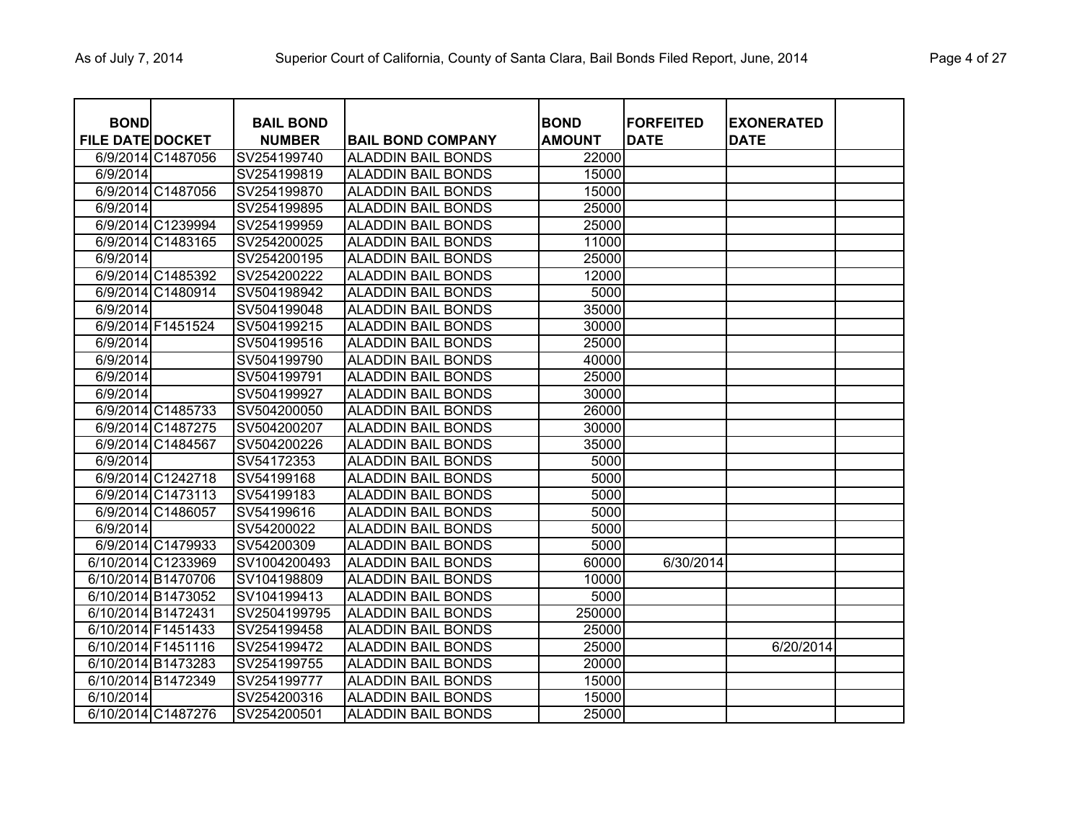| <b>BOND</b>             |                    | <b>BAIL BOND</b> |                           | <b>BOND</b>   | <b>FORFEITED</b> | <b>EXONERATED</b> |  |
|-------------------------|--------------------|------------------|---------------------------|---------------|------------------|-------------------|--|
| <b>FILE DATE DOCKET</b> |                    | <b>NUMBER</b>    | <b>BAIL BOND COMPANY</b>  | <b>AMOUNT</b> | <b>DATE</b>      | <b>DATE</b>       |  |
|                         | 6/9/2014 C1487056  | SV254199740      | <b>ALADDIN BAIL BONDS</b> | 22000         |                  |                   |  |
| 6/9/2014                |                    | SV254199819      | <b>ALADDIN BAIL BONDS</b> | 15000         |                  |                   |  |
|                         | 6/9/2014 C1487056  | SV254199870      | <b>ALADDIN BAIL BONDS</b> | 15000         |                  |                   |  |
| 6/9/2014                |                    | SV254199895      | <b>ALADDIN BAIL BONDS</b> | 25000         |                  |                   |  |
|                         | 6/9/2014 C1239994  | SV254199959      | <b>ALADDIN BAIL BONDS</b> | 25000         |                  |                   |  |
|                         | 6/9/2014 C1483165  | SV254200025      | <b>ALADDIN BAIL BONDS</b> | 11000         |                  |                   |  |
| 6/9/2014                |                    | SV254200195      | <b>ALADDIN BAIL BONDS</b> | 25000         |                  |                   |  |
|                         | 6/9/2014 C1485392  | SV254200222      | <b>ALADDIN BAIL BONDS</b> | 12000         |                  |                   |  |
|                         | 6/9/2014 C1480914  | SV504198942      | <b>ALADDIN BAIL BONDS</b> | 5000          |                  |                   |  |
| 6/9/2014                |                    | SV504199048      | <b>ALADDIN BAIL BONDS</b> | 35000         |                  |                   |  |
|                         | 6/9/2014 F1451524  | SV504199215      | <b>ALADDIN BAIL BONDS</b> | 30000         |                  |                   |  |
| 6/9/2014                |                    | SV504199516      | <b>ALADDIN BAIL BONDS</b> | 25000         |                  |                   |  |
| 6/9/2014                |                    | SV504199790      | <b>ALADDIN BAIL BONDS</b> | 40000         |                  |                   |  |
| 6/9/2014                |                    | SV504199791      | <b>ALADDIN BAIL BONDS</b> | 25000         |                  |                   |  |
| 6/9/2014                |                    | SV504199927      | <b>ALADDIN BAIL BONDS</b> | 30000         |                  |                   |  |
|                         | 6/9/2014 C1485733  | SV504200050      | <b>ALADDIN BAIL BONDS</b> | 26000         |                  |                   |  |
|                         | 6/9/2014 C1487275  | SV504200207      | <b>ALADDIN BAIL BONDS</b> | 30000         |                  |                   |  |
|                         | 6/9/2014 C1484567  | SV504200226      | <b>ALADDIN BAIL BONDS</b> | 35000         |                  |                   |  |
| 6/9/2014                |                    | SV54172353       | <b>ALADDIN BAIL BONDS</b> | 5000          |                  |                   |  |
|                         | 6/9/2014 C1242718  | SV54199168       | <b>ALADDIN BAIL BONDS</b> | 5000          |                  |                   |  |
|                         | 6/9/2014 C1473113  | SV54199183       | <b>ALADDIN BAIL BONDS</b> | 5000          |                  |                   |  |
|                         | 6/9/2014 C1486057  | SV54199616       | <b>ALADDIN BAIL BONDS</b> | 5000          |                  |                   |  |
| 6/9/2014                |                    | SV54200022       | <b>ALADDIN BAIL BONDS</b> | 5000          |                  |                   |  |
|                         | 6/9/2014 C1479933  | SV54200309       | <b>ALADDIN BAIL BONDS</b> | 5000          |                  |                   |  |
|                         | 6/10/2014 C1233969 | SV1004200493     | <b>ALADDIN BAIL BONDS</b> | 60000         | 6/30/2014        |                   |  |
|                         | 6/10/2014 B1470706 | SV104198809      | <b>ALADDIN BAIL BONDS</b> | 10000         |                  |                   |  |
|                         | 6/10/2014 B1473052 | SV104199413      | <b>ALADDIN BAIL BONDS</b> | 5000          |                  |                   |  |
|                         | 6/10/2014 B1472431 | SV2504199795     | <b>ALADDIN BAIL BONDS</b> | 250000        |                  |                   |  |
|                         | 6/10/2014 F1451433 | SV254199458      | <b>ALADDIN BAIL BONDS</b> | 25000         |                  |                   |  |
|                         | 6/10/2014 F1451116 | SV254199472      | <b>ALADDIN BAIL BONDS</b> | 25000         |                  | 6/20/2014         |  |
|                         | 6/10/2014 B1473283 | SV254199755      | <b>ALADDIN BAIL BONDS</b> | 20000         |                  |                   |  |
|                         | 6/10/2014 B1472349 | SV254199777      | <b>ALADDIN BAIL BONDS</b> | 15000         |                  |                   |  |
| 6/10/2014               |                    | SV254200316      | <b>ALADDIN BAIL BONDS</b> | 15000         |                  |                   |  |
|                         | 6/10/2014 C1487276 | SV254200501      | <b>ALADDIN BAIL BONDS</b> | 25000         |                  |                   |  |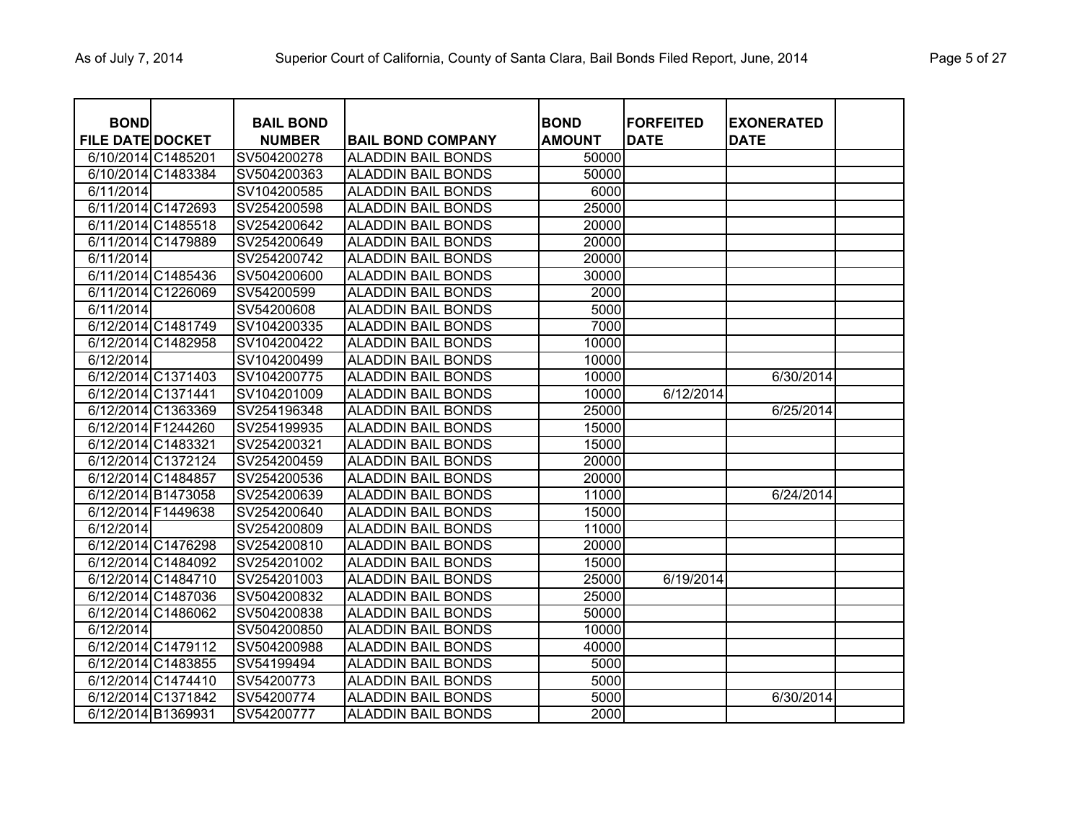| <b>BOND</b>             |                    | <b>BAIL BOND</b> |                           | <b>BOND</b>   | <b>FORFEITED</b> | <b>EXONERATED</b> |  |
|-------------------------|--------------------|------------------|---------------------------|---------------|------------------|-------------------|--|
| <b>FILE DATE DOCKET</b> |                    | <b>NUMBER</b>    | <b>BAIL BOND COMPANY</b>  | <b>AMOUNT</b> | <b>DATE</b>      | <b>DATE</b>       |  |
|                         | 6/10/2014 C1485201 | SV504200278      | <b>ALADDIN BAIL BONDS</b> | 50000         |                  |                   |  |
|                         | 6/10/2014 C1483384 | SV504200363      | <b>ALADDIN BAIL BONDS</b> | 50000         |                  |                   |  |
| 6/11/2014               |                    | SV104200585      | <b>ALADDIN BAIL BONDS</b> | 6000          |                  |                   |  |
|                         | 6/11/2014 C1472693 | SV254200598      | <b>ALADDIN BAIL BONDS</b> | 25000         |                  |                   |  |
|                         | 6/11/2014 C1485518 | SV254200642      | <b>ALADDIN BAIL BONDS</b> | 20000         |                  |                   |  |
|                         | 6/11/2014 C1479889 | SV254200649      | <b>ALADDIN BAIL BONDS</b> | 20000         |                  |                   |  |
| 6/11/2014               |                    | SV254200742      | <b>ALADDIN BAIL BONDS</b> | 20000         |                  |                   |  |
|                         | 6/11/2014 C1485436 | SV504200600      | <b>ALADDIN BAIL BONDS</b> | 30000         |                  |                   |  |
|                         | 6/11/2014 C1226069 | SV54200599       | <b>ALADDIN BAIL BONDS</b> | 2000          |                  |                   |  |
| 6/11/2014               |                    | SV54200608       | <b>ALADDIN BAIL BONDS</b> | 5000          |                  |                   |  |
|                         | 6/12/2014 C1481749 | SV104200335      | <b>ALADDIN BAIL BONDS</b> | 7000          |                  |                   |  |
|                         | 6/12/2014 C1482958 | SV104200422      | <b>ALADDIN BAIL BONDS</b> | 10000         |                  |                   |  |
| 6/12/2014               |                    | SV104200499      | <b>ALADDIN BAIL BONDS</b> | 10000         |                  |                   |  |
|                         | 6/12/2014 C1371403 | SV104200775      | <b>ALADDIN BAIL BONDS</b> | 10000         |                  | 6/30/2014         |  |
|                         | 6/12/2014 C1371441 | SV104201009      | <b>ALADDIN BAIL BONDS</b> | 10000         | 6/12/2014        |                   |  |
|                         | 6/12/2014 C1363369 | SV254196348      | <b>ALADDIN BAIL BONDS</b> | 25000         |                  | 6/25/2014         |  |
|                         | 6/12/2014 F1244260 | SV254199935      | <b>ALADDIN BAIL BONDS</b> | 15000         |                  |                   |  |
|                         | 6/12/2014 C1483321 | SV254200321      | <b>ALADDIN BAIL BONDS</b> | 15000         |                  |                   |  |
|                         | 6/12/2014 C1372124 | SV254200459      | <b>ALADDIN BAIL BONDS</b> | 20000         |                  |                   |  |
|                         | 6/12/2014 C1484857 | SV254200536      | <b>ALADDIN BAIL BONDS</b> | 20000         |                  |                   |  |
|                         | 6/12/2014 B1473058 | SV254200639      | <b>ALADDIN BAIL BONDS</b> | 11000         |                  | 6/24/2014         |  |
|                         | 6/12/2014 F1449638 | SV254200640      | <b>ALADDIN BAIL BONDS</b> | 15000         |                  |                   |  |
| 6/12/2014               |                    | SV254200809      | <b>ALADDIN BAIL BONDS</b> | 11000         |                  |                   |  |
|                         | 6/12/2014 C1476298 | SV254200810      | <b>ALADDIN BAIL BONDS</b> | 20000         |                  |                   |  |
|                         | 6/12/2014 C1484092 | SV254201002      | <b>ALADDIN BAIL BONDS</b> | 15000         |                  |                   |  |
|                         | 6/12/2014 C1484710 | SV254201003      | <b>ALADDIN BAIL BONDS</b> | 25000         | 6/19/2014        |                   |  |
|                         | 6/12/2014 C1487036 | SV504200832      | <b>ALADDIN BAIL BONDS</b> | 25000         |                  |                   |  |
|                         | 6/12/2014 C1486062 | SV504200838      | <b>ALADDIN BAIL BONDS</b> | 50000         |                  |                   |  |
| 6/12/2014               |                    | SV504200850      | <b>ALADDIN BAIL BONDS</b> | 10000         |                  |                   |  |
|                         | 6/12/2014 C1479112 | SV504200988      | <b>ALADDIN BAIL BONDS</b> | 40000         |                  |                   |  |
|                         | 6/12/2014 C1483855 | SV54199494       | <b>ALADDIN BAIL BONDS</b> | 5000          |                  |                   |  |
|                         | 6/12/2014 C1474410 | SV54200773       | <b>ALADDIN BAIL BONDS</b> | 5000          |                  |                   |  |
|                         | 6/12/2014 C1371842 | SV54200774       | <b>ALADDIN BAIL BONDS</b> | 5000          |                  | 6/30/2014         |  |
|                         | 6/12/2014 B1369931 | SV54200777       | <b>ALADDIN BAIL BONDS</b> | 2000          |                  |                   |  |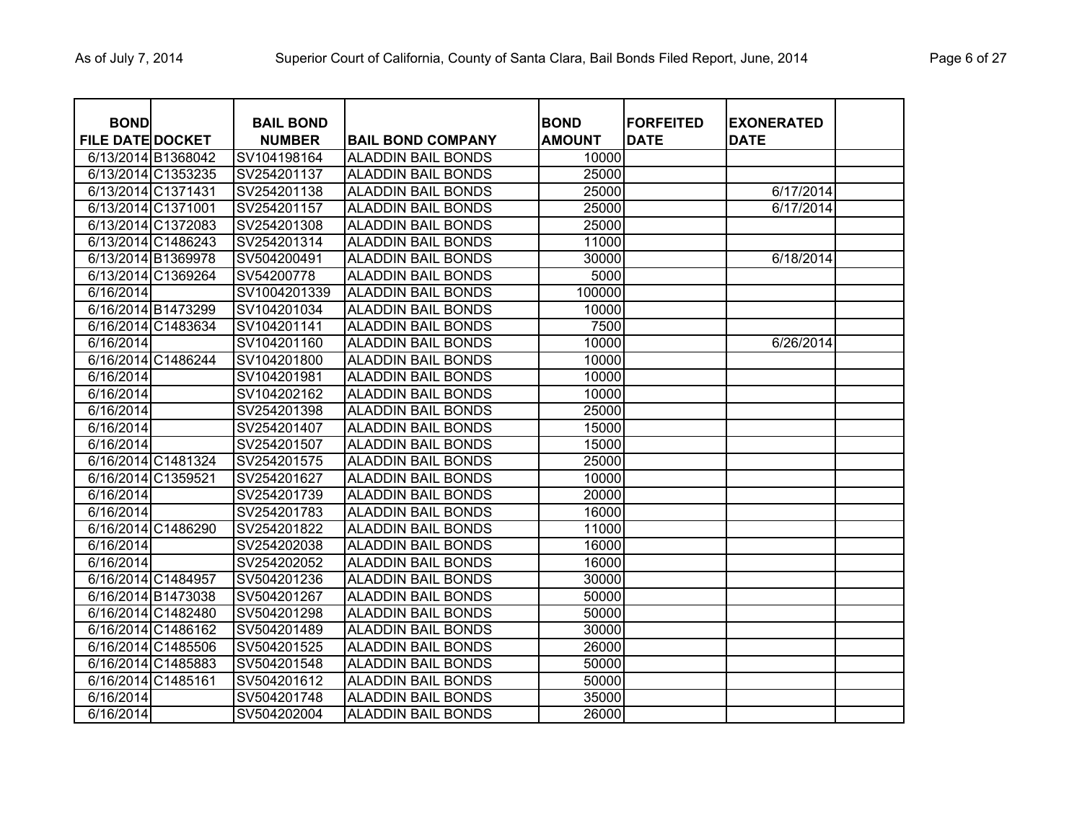| <b>BOND</b>             |                    | <b>BAIL BOND</b> |                           | <b>BOND</b>   | <b>FORFEITED</b> |                                  |  |
|-------------------------|--------------------|------------------|---------------------------|---------------|------------------|----------------------------------|--|
| <b>FILE DATE DOCKET</b> |                    | <b>NUMBER</b>    | <b>BAIL BOND COMPANY</b>  | <b>AMOUNT</b> | <b>DATE</b>      | <b>EXONERATED</b><br><b>DATE</b> |  |
| 6/13/2014 B1368042      |                    | SV104198164      | <b>ALADDIN BAIL BONDS</b> | 10000         |                  |                                  |  |
|                         | 6/13/2014 C1353235 | SV254201137      | <b>ALADDIN BAIL BONDS</b> | 25000         |                  |                                  |  |
| 6/13/2014 C1371431      |                    | SV254201138      | <b>ALADDIN BAIL BONDS</b> | 25000         |                  | 6/17/2014                        |  |
| 6/13/2014 C1371001      |                    | SV254201157      | <b>ALADDIN BAIL BONDS</b> | 25000         |                  | 6/17/2014                        |  |
|                         | 6/13/2014 C1372083 | SV254201308      | <b>ALADDIN BAIL BONDS</b> | 25000         |                  |                                  |  |
|                         | 6/13/2014 C1486243 | SV254201314      | <b>ALADDIN BAIL BONDS</b> | 11000         |                  |                                  |  |
| 6/13/2014 B1369978      |                    | SV504200491      | <b>ALADDIN BAIL BONDS</b> | 30000         |                  | 6/18/2014                        |  |
|                         | 6/13/2014 C1369264 | SV54200778       | <b>ALADDIN BAIL BONDS</b> | 5000          |                  |                                  |  |
| 6/16/2014               |                    | SV1004201339     | <b>ALADDIN BAIL BONDS</b> | 100000        |                  |                                  |  |
| 6/16/2014 B1473299      |                    | SV104201034      | <b>ALADDIN BAIL BONDS</b> | 10000         |                  |                                  |  |
|                         | 6/16/2014 C1483634 | SV104201141      | <b>ALADDIN BAIL BONDS</b> | 7500          |                  |                                  |  |
| 6/16/2014               |                    | SV104201160      | <b>ALADDIN BAIL BONDS</b> | 10000         |                  | 6/26/2014                        |  |
|                         | 6/16/2014 C1486244 | SV104201800      | <b>ALADDIN BAIL BONDS</b> | 10000         |                  |                                  |  |
| 6/16/2014               |                    | SV104201981      | <b>ALADDIN BAIL BONDS</b> | 10000         |                  |                                  |  |
| 6/16/2014               |                    | SV104202162      | <b>ALADDIN BAIL BONDS</b> | 10000         |                  |                                  |  |
| 6/16/2014               |                    | SV254201398      | <b>ALADDIN BAIL BONDS</b> | 25000         |                  |                                  |  |
| 6/16/2014               |                    | SV254201407      | <b>ALADDIN BAIL BONDS</b> | 15000         |                  |                                  |  |
| 6/16/2014               |                    | SV254201507      | <b>ALADDIN BAIL BONDS</b> | 15000         |                  |                                  |  |
|                         | 6/16/2014 C1481324 | SV254201575      | <b>ALADDIN BAIL BONDS</b> | 25000         |                  |                                  |  |
|                         | 6/16/2014 C1359521 | SV254201627      | <b>ALADDIN BAIL BONDS</b> | 10000         |                  |                                  |  |
| 6/16/2014               |                    | SV254201739      | <b>ALADDIN BAIL BONDS</b> | 20000         |                  |                                  |  |
| 6/16/2014               |                    | SV254201783      | <b>ALADDIN BAIL BONDS</b> | 16000         |                  |                                  |  |
|                         | 6/16/2014 C1486290 | SV254201822      | <b>ALADDIN BAIL BONDS</b> | 11000         |                  |                                  |  |
| 6/16/2014               |                    | SV254202038      | <b>ALADDIN BAIL BONDS</b> | 16000         |                  |                                  |  |
| 6/16/2014               |                    | SV254202052      | <b>ALADDIN BAIL BONDS</b> | 16000         |                  |                                  |  |
|                         | 6/16/2014 C1484957 | SV504201236      | <b>ALADDIN BAIL BONDS</b> | 30000         |                  |                                  |  |
|                         | 6/16/2014 B1473038 | SV504201267      | <b>ALADDIN BAIL BONDS</b> | 50000         |                  |                                  |  |
|                         | 6/16/2014 C1482480 | SV504201298      | <b>ALADDIN BAIL BONDS</b> | 50000         |                  |                                  |  |
|                         | 6/16/2014 C1486162 | SV504201489      | <b>ALADDIN BAIL BONDS</b> | 30000         |                  |                                  |  |
|                         | 6/16/2014 C1485506 | SV504201525      | <b>ALADDIN BAIL BONDS</b> | 26000         |                  |                                  |  |
|                         | 6/16/2014 C1485883 | SV504201548      | <b>ALADDIN BAIL BONDS</b> | 50000         |                  |                                  |  |
| 6/16/2014 C1485161      |                    | SV504201612      | <b>ALADDIN BAIL BONDS</b> | 50000         |                  |                                  |  |
| 6/16/2014               |                    | SV504201748      | <b>ALADDIN BAIL BONDS</b> | 35000         |                  |                                  |  |
| 6/16/2014               |                    | SV504202004      | <b>ALADDIN BAIL BONDS</b> | 26000         |                  |                                  |  |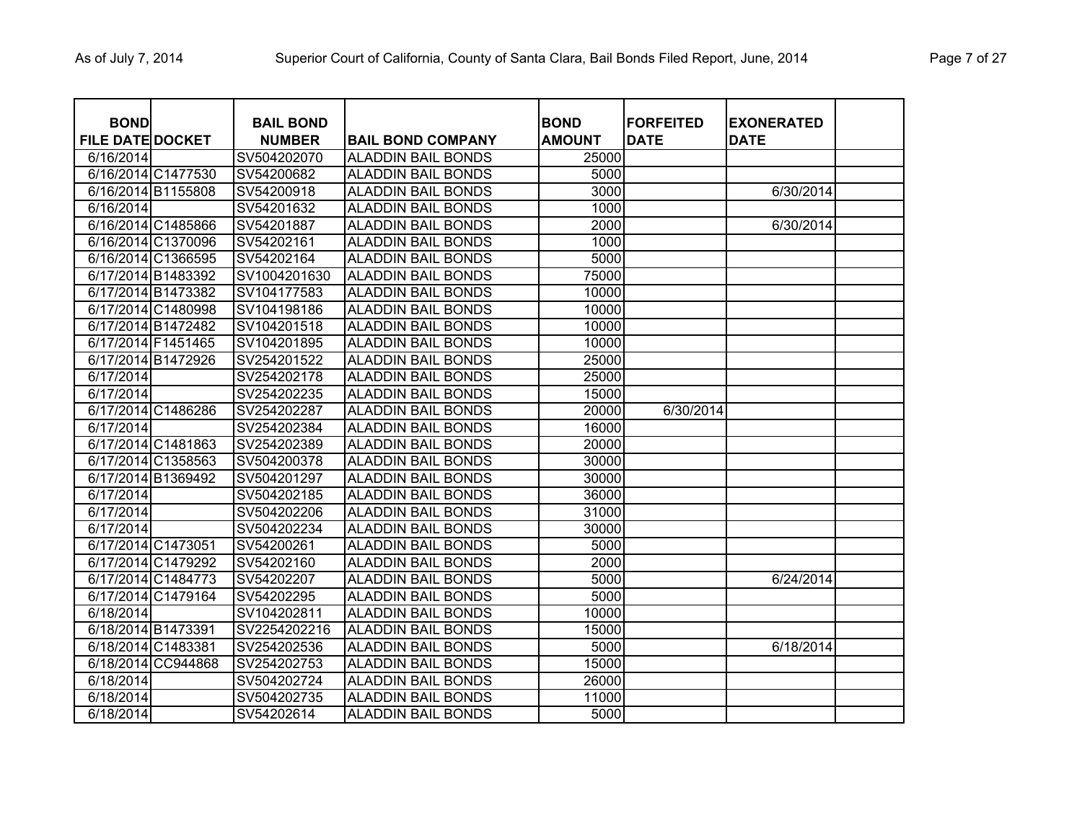| <b>BOND</b>             |                    | <b>BAIL BOND</b> |                           | <b>BOND</b>      | <b>FORFEITED</b> | <b>EXONERATED</b> |  |
|-------------------------|--------------------|------------------|---------------------------|------------------|------------------|-------------------|--|
| <b>FILE DATE DOCKET</b> |                    | <b>NUMBER</b>    | <b>BAIL BOND COMPANY</b>  | <b>AMOUNT</b>    | <b>DATE</b>      | <b>DATE</b>       |  |
| 6/16/2014               |                    | SV504202070      | <b>ALADDIN BAIL BONDS</b> | 25000            |                  |                   |  |
|                         | 6/16/2014 C1477530 | SV54200682       | <b>ALADDIN BAIL BONDS</b> | 5000             |                  |                   |  |
|                         | 6/16/2014 B1155808 | SV54200918       | <b>ALADDIN BAIL BONDS</b> | 3000             |                  | 6/30/2014         |  |
| $\sqrt{6/16/2014}$      |                    | SV54201632       | <b>ALADDIN BAIL BONDS</b> | 1000             |                  |                   |  |
|                         | 6/16/2014 C1485866 | SV54201887       | <b>ALADDIN BAIL BONDS</b> | 2000             |                  | 6/30/2014         |  |
|                         | 6/16/2014 C1370096 | SV54202161       | <b>ALADDIN BAIL BONDS</b> | 1000             |                  |                   |  |
|                         | 6/16/2014 C1366595 | SV54202164       | <b>ALADDIN BAIL BONDS</b> | 5000             |                  |                   |  |
|                         | 6/17/2014 B1483392 | SV1004201630     | <b>ALADDIN BAIL BONDS</b> | 75000            |                  |                   |  |
|                         | 6/17/2014 B1473382 | SV104177583      | <b>ALADDIN BAIL BONDS</b> | 10000            |                  |                   |  |
|                         | 6/17/2014 C1480998 | SV104198186      | <b>ALADDIN BAIL BONDS</b> | 10000            |                  |                   |  |
|                         | 6/17/2014 B1472482 | SV104201518      | ALADDIN BAIL BONDS        | 10000            |                  |                   |  |
|                         | 6/17/2014 F1451465 | SV104201895      | <b>ALADDIN BAIL BONDS</b> | 10000            |                  |                   |  |
|                         | 6/17/2014 B1472926 | SV254201522      | <b>ALADDIN BAIL BONDS</b> | 25000            |                  |                   |  |
| 6/17/2014               |                    | SV254202178      | <b>ALADDIN BAIL BONDS</b> | 25000            |                  |                   |  |
| 6/17/2014               |                    | SV254202235      | <b>ALADDIN BAIL BONDS</b> | 15000            |                  |                   |  |
|                         | 6/17/2014 C1486286 | SV254202287      | <b>ALADDIN BAIL BONDS</b> | 20000            | 6/30/2014        |                   |  |
| 6/17/2014               |                    | SV254202384      | <b>ALADDIN BAIL BONDS</b> | 16000            |                  |                   |  |
|                         | 6/17/2014 C1481863 | SV254202389      | <b>ALADDIN BAIL BONDS</b> | 20000            |                  |                   |  |
|                         | 6/17/2014 C1358563 | SV504200378      | <b>ALADDIN BAIL BONDS</b> | 30000            |                  |                   |  |
|                         | 6/17/2014 B1369492 | SV504201297      | <b>ALADDIN BAIL BONDS</b> | 30000            |                  |                   |  |
| 6/17/2014               |                    | SV504202185      | <b>ALADDIN BAIL BONDS</b> | 36000            |                  |                   |  |
| 6/17/2014               |                    | SV504202206      | <b>ALADDIN BAIL BONDS</b> | 31000            |                  |                   |  |
| 6/17/2014               |                    | SV504202234      | <b>ALADDIN BAIL BONDS</b> | 30000            |                  |                   |  |
|                         | 6/17/2014 C1473051 | SV54200261       | <b>ALADDIN BAIL BONDS</b> | 5000             |                  |                   |  |
|                         | 6/17/2014 C1479292 | SV54202160       | <b>ALADDIN BAIL BONDS</b> | 2000             |                  |                   |  |
|                         | 6/17/2014 C1484773 | SV54202207       | <b>ALADDIN BAIL BONDS</b> | 5000             |                  | 6/24/2014         |  |
|                         | 6/17/2014 C1479164 | SV54202295       | <b>ALADDIN BAIL BONDS</b> | $\frac{1}{5000}$ |                  |                   |  |
| 6/18/2014               |                    | SV104202811      | <b>ALADDIN BAIL BONDS</b> | 10000            |                  |                   |  |
|                         | 6/18/2014 B1473391 | SV2254202216     | <b>ALADDIN BAIL BONDS</b> | 15000            |                  |                   |  |
|                         | 6/18/2014 C1483381 | SV254202536      | <b>ALADDIN BAIL BONDS</b> | 5000             |                  | 6/18/2014         |  |
|                         | 6/18/2014 CC944868 | SV254202753      | <b>ALADDIN BAIL BONDS</b> | 15000            |                  |                   |  |
| 6/18/2014               |                    | SV504202724      | <b>ALADDIN BAIL BONDS</b> | 26000            |                  |                   |  |
| 6/18/2014               |                    | SV504202735      | <b>ALADDIN BAIL BONDS</b> | 11000            |                  |                   |  |
| 6/18/2014               |                    | SV54202614       | <b>ALADDIN BAIL BONDS</b> | 5000             |                  |                   |  |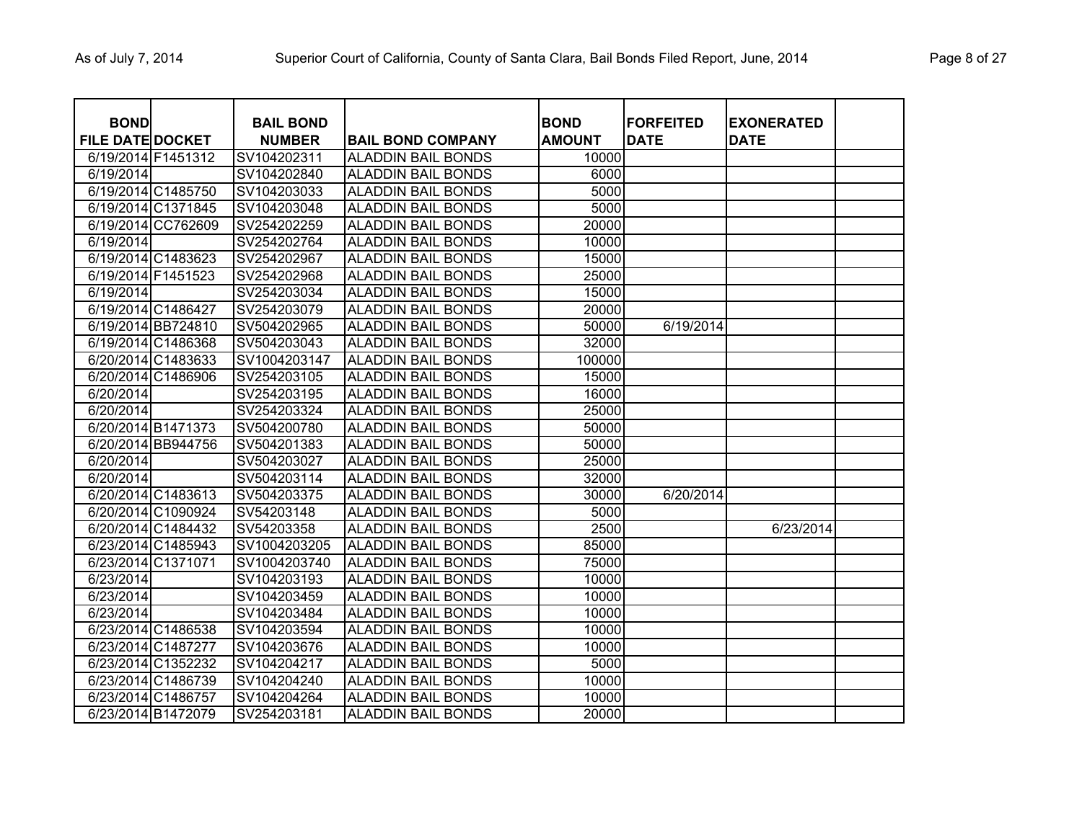| <b>BOND</b><br><b>FILE DATE DOCKET</b> |                    | <b>BAIL BOND</b><br><b>NUMBER</b> | <b>BAIL BOND COMPANY</b>  | <b>BOND</b><br><b>AMOUNT</b> | <b>FORFEITED</b><br><b>DATE</b> | <b>EXONERATED</b><br><b>DATE</b> |  |
|----------------------------------------|--------------------|-----------------------------------|---------------------------|------------------------------|---------------------------------|----------------------------------|--|
|                                        | 6/19/2014 F1451312 | SV104202311                       | <b>ALADDIN BAIL BONDS</b> | 10000                        |                                 |                                  |  |
| 6/19/2014                              |                    | SV104202840                       | <b>ALADDIN BAIL BONDS</b> | 6000                         |                                 |                                  |  |
|                                        | 6/19/2014 C1485750 | SV104203033                       | <b>ALADDIN BAIL BONDS</b> | 5000                         |                                 |                                  |  |
|                                        | 6/19/2014 C1371845 | SV104203048                       | <b>ALADDIN BAIL BONDS</b> | 5000                         |                                 |                                  |  |
|                                        | 6/19/2014 CC762609 | SV254202259                       | <b>ALADDIN BAIL BONDS</b> | 20000                        |                                 |                                  |  |
| 6/19/2014                              |                    | SV254202764                       | <b>ALADDIN BAIL BONDS</b> | 10000                        |                                 |                                  |  |
|                                        | 6/19/2014 C1483623 | SV254202967                       | <b>ALADDIN BAIL BONDS</b> | 15000                        |                                 |                                  |  |
|                                        | 6/19/2014 F1451523 | SV254202968                       | <b>ALADDIN BAIL BONDS</b> | 25000                        |                                 |                                  |  |
| 6/19/2014                              |                    | SV254203034                       | <b>ALADDIN BAIL BONDS</b> | 15000                        |                                 |                                  |  |
|                                        | 6/19/2014 C1486427 | SV254203079                       | <b>ALADDIN BAIL BONDS</b> | 20000                        |                                 |                                  |  |
|                                        | 6/19/2014 BB724810 | SV504202965                       | <b>ALADDIN BAIL BONDS</b> | 50000                        | 6/19/2014                       |                                  |  |
|                                        | 6/19/2014 C1486368 | SV504203043                       | <b>ALADDIN BAIL BONDS</b> | 32000                        |                                 |                                  |  |
|                                        | 6/20/2014 C1483633 | SV1004203147                      | <b>ALADDIN BAIL BONDS</b> | 100000                       |                                 |                                  |  |
|                                        | 6/20/2014 C1486906 | SV254203105                       | <b>ALADDIN BAIL BONDS</b> | 15000                        |                                 |                                  |  |
| 6/20/2014                              |                    | SV254203195                       | <b>ALADDIN BAIL BONDS</b> | 16000                        |                                 |                                  |  |
| 6/20/2014                              |                    | SV254203324                       | <b>ALADDIN BAIL BONDS</b> | 25000                        |                                 |                                  |  |
|                                        | 6/20/2014 B1471373 | SV504200780                       | <b>ALADDIN BAIL BONDS</b> | 50000                        |                                 |                                  |  |
|                                        | 6/20/2014 BB944756 | SV504201383                       | <b>ALADDIN BAIL BONDS</b> | 50000                        |                                 |                                  |  |
| 6/20/2014                              |                    | SV504203027                       | <b>ALADDIN BAIL BONDS</b> | 25000                        |                                 |                                  |  |
| 6/20/2014                              |                    | SV504203114                       | <b>ALADDIN BAIL BONDS</b> | 32000                        |                                 |                                  |  |
|                                        | 6/20/2014 C1483613 | SV504203375                       | <b>ALADDIN BAIL BONDS</b> | 30000                        | 6/20/2014                       |                                  |  |
|                                        | 6/20/2014 C1090924 | SV54203148                        | <b>ALADDIN BAIL BONDS</b> | 5000                         |                                 |                                  |  |
|                                        | 6/20/2014 C1484432 | SV54203358                        | <b>ALADDIN BAIL BONDS</b> | 2500                         |                                 | 6/23/2014                        |  |
|                                        | 6/23/2014 C1485943 | SV1004203205                      | <b>ALADDIN BAIL BONDS</b> | 85000                        |                                 |                                  |  |
|                                        | 6/23/2014 C1371071 | SV1004203740                      | <b>ALADDIN BAIL BONDS</b> | 75000                        |                                 |                                  |  |
| 6/23/2014                              |                    | SV104203193                       | <b>ALADDIN BAIL BONDS</b> | 10000                        |                                 |                                  |  |
| 6/23/2014                              |                    | SV104203459                       | <b>ALADDIN BAIL BONDS</b> | 10000                        |                                 |                                  |  |
| 6/23/2014                              |                    | SV104203484                       | <b>ALADDIN BAIL BONDS</b> | 10000                        |                                 |                                  |  |
|                                        | 6/23/2014 C1486538 | SV104203594                       | <b>ALADDIN BAIL BONDS</b> | 10000                        |                                 |                                  |  |
|                                        | 6/23/2014 C1487277 | SV104203676                       | <b>ALADDIN BAIL BONDS</b> | 10000                        |                                 |                                  |  |
|                                        | 6/23/2014 C1352232 | SV104204217                       | <b>ALADDIN BAIL BONDS</b> | 5000                         |                                 |                                  |  |
|                                        | 6/23/2014 C1486739 | SV104204240                       | <b>ALADDIN BAIL BONDS</b> | 10000                        |                                 |                                  |  |
|                                        | 6/23/2014 C1486757 | SV104204264                       | <b>ALADDIN BAIL BONDS</b> | 10000                        |                                 |                                  |  |
|                                        | 6/23/2014 B1472079 | SV254203181                       | <b>ALADDIN BAIL BONDS</b> | 20000                        |                                 |                                  |  |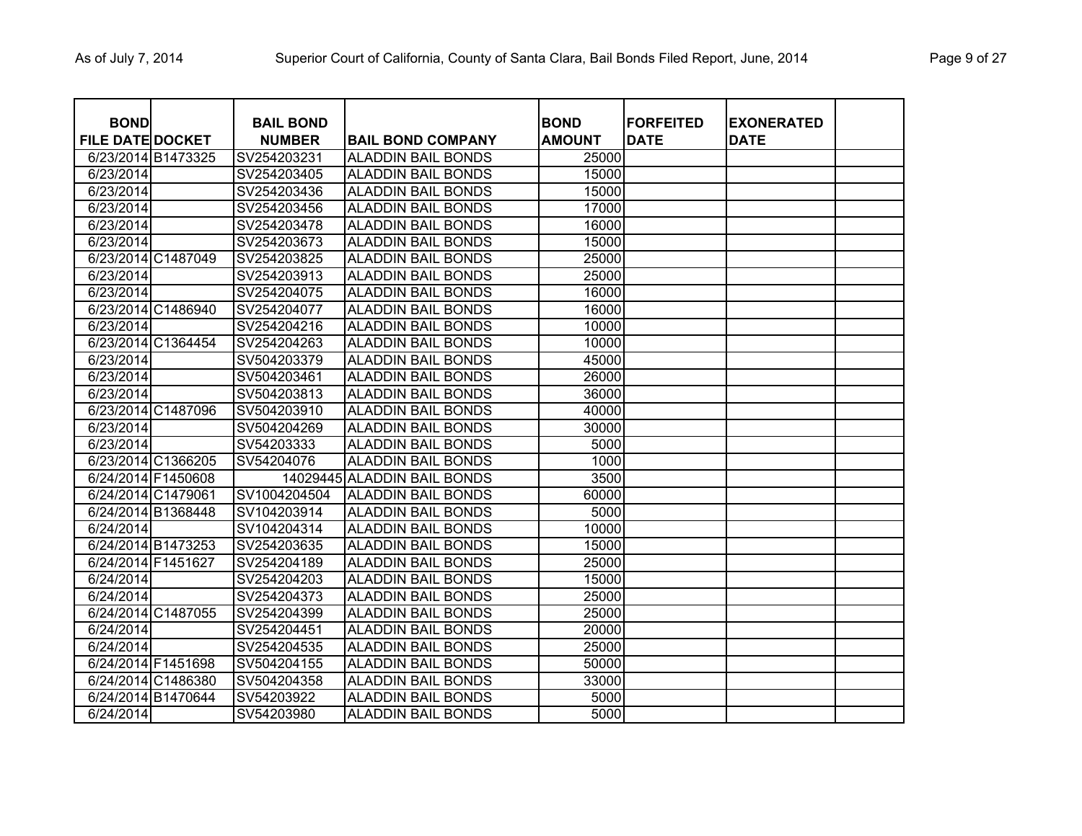| <b>BOND</b>             |                    | <b>BAIL BOND</b> |                             | <b>BOND</b>   | <b>FORFEITED</b> | <b>EXONERATED</b> |  |
|-------------------------|--------------------|------------------|-----------------------------|---------------|------------------|-------------------|--|
| <b>FILE DATE DOCKET</b> |                    | <b>NUMBER</b>    | <b>BAIL BOND COMPANY</b>    | <b>AMOUNT</b> | <b>DATE</b>      | <b>DATE</b>       |  |
|                         | 6/23/2014 B1473325 | SV254203231      | <b>ALADDIN BAIL BONDS</b>   | 25000         |                  |                   |  |
| 6/23/2014               |                    | SV254203405      | <b>ALADDIN BAIL BONDS</b>   | 15000         |                  |                   |  |
| 6/23/2014               |                    | SV254203436      | <b>ALADDIN BAIL BONDS</b>   | 15000         |                  |                   |  |
| $\sqrt{6/23/2014}$      |                    | SV254203456      | <b>ALADDIN BAIL BONDS</b>   | 17000         |                  |                   |  |
| 6/23/2014               |                    | SV254203478      | <b>ALADDIN BAIL BONDS</b>   | 16000         |                  |                   |  |
| $\sqrt{6}/23/2014$      |                    | SV254203673      | <b>ALADDIN BAIL BONDS</b>   | 15000         |                  |                   |  |
|                         | 6/23/2014 C1487049 | SV254203825      | <b>ALADDIN BAIL BONDS</b>   | 25000         |                  |                   |  |
| 6/23/2014               |                    | SV254203913      | <b>ALADDIN BAIL BONDS</b>   | 25000         |                  |                   |  |
| 6/23/2014               |                    | SV254204075      | <b>ALADDIN BAIL BONDS</b>   | 16000         |                  |                   |  |
|                         | 6/23/2014 C1486940 | SV254204077      | <b>ALADDIN BAIL BONDS</b>   | 16000         |                  |                   |  |
| 6/23/2014               |                    | SV254204216      | <b>ALADDIN BAIL BONDS</b>   | 10000         |                  |                   |  |
|                         | 6/23/2014 C1364454 | SV254204263      | <b>ALADDIN BAIL BONDS</b>   | 10000         |                  |                   |  |
| 6/23/2014               |                    | SV504203379      | <b>ALADDIN BAIL BONDS</b>   | 45000         |                  |                   |  |
| 6/23/2014               |                    | SV504203461      | <b>ALADDIN BAIL BONDS</b>   | 26000         |                  |                   |  |
| 6/23/2014               |                    | SV504203813      | <b>ALADDIN BAIL BONDS</b>   | 36000         |                  |                   |  |
|                         | 6/23/2014 C1487096 | SV504203910      | <b>ALADDIN BAIL BONDS</b>   | 40000         |                  |                   |  |
| 6/23/2014               |                    | SV504204269      | <b>ALADDIN BAIL BONDS</b>   | 30000         |                  |                   |  |
| 6/23/2014               |                    | SV54203333       | <b>ALADDIN BAIL BONDS</b>   | 5000          |                  |                   |  |
|                         | 6/23/2014 C1366205 | SV54204076       | <b>ALADDIN BAIL BONDS</b>   | 1000          |                  |                   |  |
|                         | 6/24/2014 F1450608 |                  | 14029445 ALADDIN BAIL BONDS | 3500          |                  |                   |  |
|                         | 6/24/2014 C1479061 | SV1004204504     | <b>ALADDIN BAIL BONDS</b>   | 60000         |                  |                   |  |
|                         | 6/24/2014 B1368448 | SV104203914      | <b>ALADDIN BAIL BONDS</b>   | 5000          |                  |                   |  |
| 6/24/2014               |                    | SV104204314      | <b>ALADDIN BAIL BONDS</b>   | 10000         |                  |                   |  |
|                         | 6/24/2014 B1473253 | SV254203635      | <b>ALADDIN BAIL BONDS</b>   | 15000         |                  |                   |  |
|                         | 6/24/2014 F1451627 | SV254204189      | <b>ALADDIN BAIL BONDS</b>   | 25000         |                  |                   |  |
| 6/24/2014               |                    | SV254204203      | <b>ALADDIN BAIL BONDS</b>   | 15000         |                  |                   |  |
| 6/24/2014               |                    | SV254204373      | <b>ALADDIN BAIL BONDS</b>   | 25000         |                  |                   |  |
|                         | 6/24/2014 C1487055 | SV254204399      | <b>ALADDIN BAIL BONDS</b>   | 25000         |                  |                   |  |
| 6/24/2014               |                    | SV254204451      | <b>ALADDIN BAIL BONDS</b>   | 20000         |                  |                   |  |
| 6/24/2014               |                    | SV254204535      | <b>ALADDIN BAIL BONDS</b>   | 25000         |                  |                   |  |
|                         | 6/24/2014 F1451698 | SV504204155      | <b>ALADDIN BAIL BONDS</b>   | 50000         |                  |                   |  |
|                         | 6/24/2014 C1486380 | SV504204358      | <b>ALADDIN BAIL BONDS</b>   | 33000         |                  |                   |  |
|                         | 6/24/2014 B1470644 | SV54203922       | <b>ALADDIN BAIL BONDS</b>   | 5000          |                  |                   |  |
| 6/24/2014               |                    | SV54203980       | <b>ALADDIN BAIL BONDS</b>   | 5000          |                  |                   |  |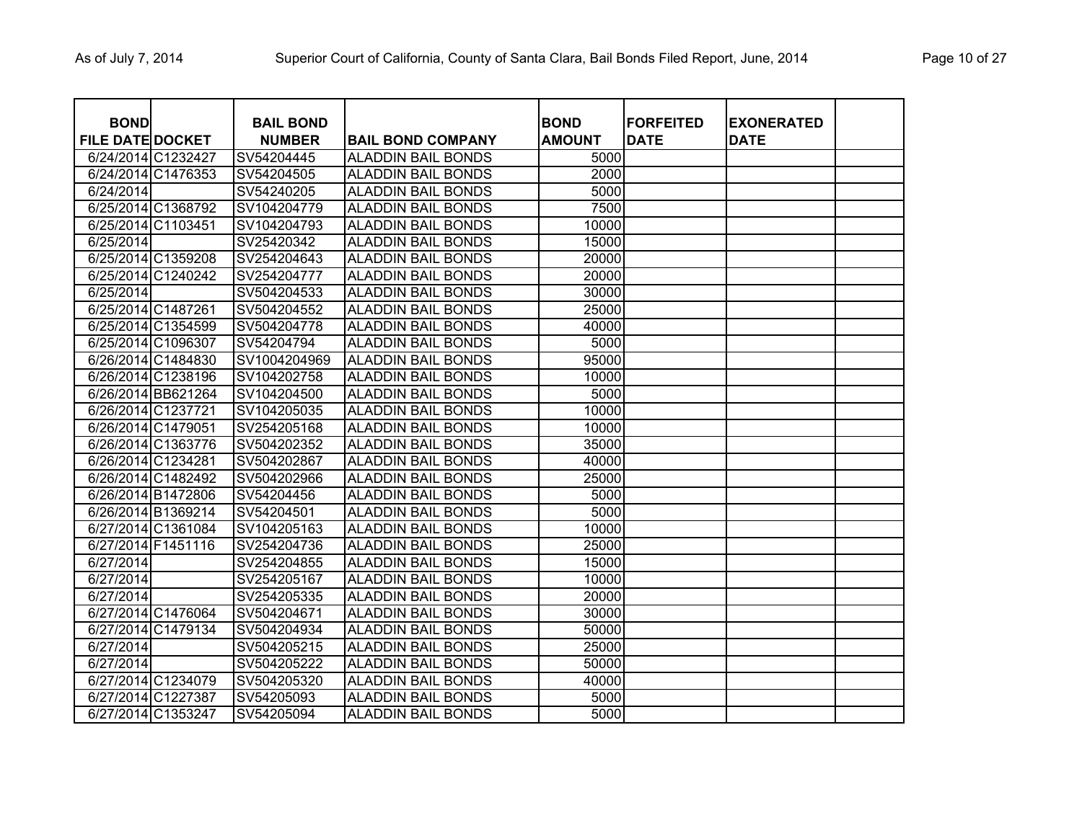| <b>BOND</b>             |                    | <b>BAIL BOND</b> |                           | <b>BOND</b>   | <b>FORFEITED</b> | <b>EXONERATED</b> |  |
|-------------------------|--------------------|------------------|---------------------------|---------------|------------------|-------------------|--|
| <b>FILE DATE DOCKET</b> |                    | <b>NUMBER</b>    | <b>BAIL BOND COMPANY</b>  | <b>AMOUNT</b> | <b>DATE</b>      | <b>DATE</b>       |  |
| 6/24/2014 C1232427      |                    | SV54204445       | <b>ALADDIN BAIL BONDS</b> | 5000          |                  |                   |  |
|                         | 6/24/2014 C1476353 | SV54204505       | <b>ALADDIN BAIL BONDS</b> | 2000          |                  |                   |  |
| 6/24/2014               |                    | SV54240205       | <b>ALADDIN BAIL BONDS</b> | 5000          |                  |                   |  |
|                         | 6/25/2014 C1368792 | SV104204779      | <b>ALADDIN BAIL BONDS</b> | 7500          |                  |                   |  |
| 6/25/2014 C1103451      |                    | SV104204793      | <b>ALADDIN BAIL BONDS</b> | 10000         |                  |                   |  |
| 6/25/2014               |                    | SV25420342       | <b>ALADDIN BAIL BONDS</b> | 15000         |                  |                   |  |
|                         | 6/25/2014 C1359208 | SV254204643      | <b>ALADDIN BAIL BONDS</b> | 20000         |                  |                   |  |
|                         | 6/25/2014 C1240242 | SV254204777      | <b>ALADDIN BAIL BONDS</b> | 20000         |                  |                   |  |
| 6/25/2014               |                    | SV504204533      | <b>ALADDIN BAIL BONDS</b> | 30000         |                  |                   |  |
| 6/25/2014 C1487261      |                    | SV504204552      | <b>ALADDIN BAIL BONDS</b> | 25000         |                  |                   |  |
|                         | 6/25/2014 C1354599 | SV504204778      | <b>ALADDIN BAIL BONDS</b> | 40000         |                  |                   |  |
| 6/25/2014 C1096307      |                    | SV54204794       | <b>ALADDIN BAIL BONDS</b> | 5000          |                  |                   |  |
|                         | 6/26/2014 C1484830 | SV1004204969     | <b>ALADDIN BAIL BONDS</b> | 95000         |                  |                   |  |
|                         | 6/26/2014 C1238196 | SV104202758      | <b>ALADDIN BAIL BONDS</b> | 10000         |                  |                   |  |
|                         | 6/26/2014 BB621264 | SV104204500      | <b>ALADDIN BAIL BONDS</b> | 5000          |                  |                   |  |
| 6/26/2014 C1237721      |                    | SV104205035      | <b>ALADDIN BAIL BONDS</b> | 10000         |                  |                   |  |
| 6/26/2014 C1479051      |                    | SV254205168      | <b>ALADDIN BAIL BONDS</b> | 10000         |                  |                   |  |
|                         | 6/26/2014 C1363776 | SV504202352      | <b>ALADDIN BAIL BONDS</b> | 35000         |                  |                   |  |
| 6/26/2014 C1234281      |                    | SV504202867      | <b>ALADDIN BAIL BONDS</b> | 40000         |                  |                   |  |
|                         | 6/26/2014 C1482492 | SV504202966      | <b>ALADDIN BAIL BONDS</b> | 25000         |                  |                   |  |
| 6/26/2014 B1472806      |                    | SV54204456       | <b>ALADDIN BAIL BONDS</b> | 5000          |                  |                   |  |
|                         | 6/26/2014 B1369214 | SV54204501       | <b>ALADDIN BAIL BONDS</b> | 5000          |                  |                   |  |
|                         | 6/27/2014 C1361084 | SV104205163      | <b>ALADDIN BAIL BONDS</b> | 10000         |                  |                   |  |
| 6/27/2014 F1451116      |                    | SV254204736      | <b>ALADDIN BAIL BONDS</b> | 25000         |                  |                   |  |
| 6/27/2014               |                    | SV254204855      | <b>ALADDIN BAIL BONDS</b> | 15000         |                  |                   |  |
| 6/27/2014               |                    | SV254205167      | <b>ALADDIN BAIL BONDS</b> | 10000         |                  |                   |  |
| 6/27/2014               |                    | SV254205335      | <b>ALADDIN BAIL BONDS</b> | 20000         |                  |                   |  |
|                         | 6/27/2014 C1476064 | SV504204671      | <b>ALADDIN BAIL BONDS</b> | 30000         |                  |                   |  |
|                         | 6/27/2014 C1479134 | SV504204934      | <b>ALADDIN BAIL BONDS</b> | 50000         |                  |                   |  |
| 6/27/2014               |                    | SV504205215      | <b>ALADDIN BAIL BONDS</b> | 25000         |                  |                   |  |
| 6/27/2014               |                    | SV504205222      | <b>ALADDIN BAIL BONDS</b> | 50000         |                  |                   |  |
|                         | 6/27/2014 C1234079 | SV504205320      | <b>ALADDIN BAIL BONDS</b> | 40000         |                  |                   |  |
|                         | 6/27/2014 C1227387 | SV54205093       | <b>ALADDIN BAIL BONDS</b> | 5000          |                  |                   |  |
| 6/27/2014 C1353247      |                    | SV54205094       | <b>ALADDIN BAIL BONDS</b> | 5000          |                  |                   |  |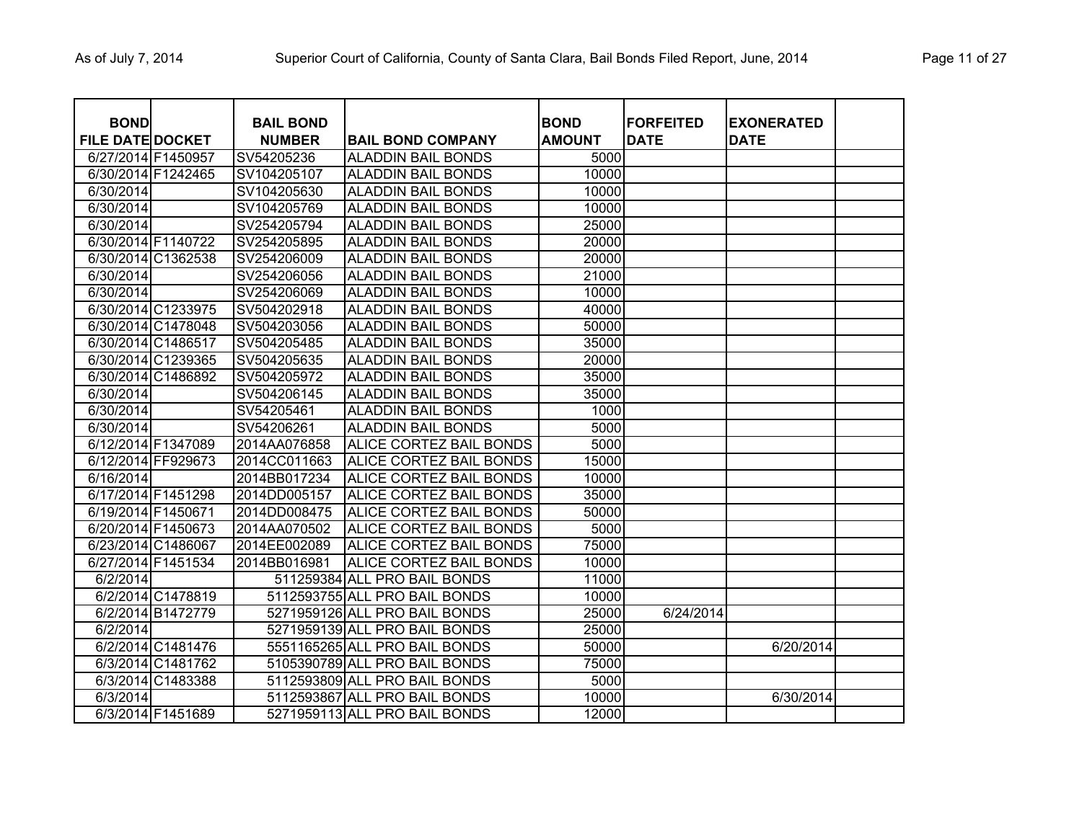| <b>BOND</b>             |                    | <b>BAIL BOND</b> |                                | <b>BOND</b>   | <b>FORFEITED</b> | <b>EXONERATED</b> |  |
|-------------------------|--------------------|------------------|--------------------------------|---------------|------------------|-------------------|--|
| <b>FILE DATE DOCKET</b> |                    | <b>NUMBER</b>    | <b>BAIL BOND COMPANY</b>       | <b>AMOUNT</b> | <b>DATE</b>      | <b>DATE</b>       |  |
| 6/27/2014 F1450957      |                    | SV54205236       | <b>ALADDIN BAIL BONDS</b>      | 5000          |                  |                   |  |
| 6/30/2014 F1242465      |                    | SV104205107      | <b>ALADDIN BAIL BONDS</b>      | 10000         |                  |                   |  |
| 6/30/2014               |                    | SV104205630      | <b>ALADDIN BAIL BONDS</b>      | 10000         |                  |                   |  |
| 6/30/2014               |                    | SV104205769      | <b>ALADDIN BAIL BONDS</b>      | 10000         |                  |                   |  |
| 6/30/2014               |                    | SV254205794      | <b>ALADDIN BAIL BONDS</b>      | 25000         |                  |                   |  |
| 6/30/2014 F1140722      |                    | SV254205895      | <b>ALADDIN BAIL BONDS</b>      | 20000         |                  |                   |  |
|                         | 6/30/2014 C1362538 | SV254206009      | <b>ALADDIN BAIL BONDS</b>      | 20000         |                  |                   |  |
| 6/30/2014               |                    | SV254206056      | <b>ALADDIN BAIL BONDS</b>      | 21000         |                  |                   |  |
| 6/30/2014               |                    | SV254206069      | <b>ALADDIN BAIL BONDS</b>      | 10000         |                  |                   |  |
|                         | 6/30/2014 C1233975 | SV504202918      | <b>ALADDIN BAIL BONDS</b>      | 40000         |                  |                   |  |
|                         | 6/30/2014 C1478048 | SV504203056      | <b>ALADDIN BAIL BONDS</b>      | 50000         |                  |                   |  |
|                         | 6/30/2014 C1486517 | SV504205485      | <b>ALADDIN BAIL BONDS</b>      | 35000         |                  |                   |  |
|                         | 6/30/2014 C1239365 | SV504205635      | <b>ALADDIN BAIL BONDS</b>      | 20000         |                  |                   |  |
|                         | 6/30/2014 C1486892 | SV504205972      | <b>ALADDIN BAIL BONDS</b>      | 35000         |                  |                   |  |
| 6/30/2014               |                    | SV504206145      | <b>ALADDIN BAIL BONDS</b>      | 35000         |                  |                   |  |
| 6/30/2014               |                    | SV54205461       | <b>ALADDIN BAIL BONDS</b>      | 1000          |                  |                   |  |
| 6/30/2014               |                    | SV54206261       | <b>ALADDIN BAIL BONDS</b>      | 5000          |                  |                   |  |
| 6/12/2014 F1347089      |                    | 2014AA076858     | ALICE CORTEZ BAIL BONDS        | 5000          |                  |                   |  |
|                         | 6/12/2014 FF929673 | 2014CC011663     | ALICE CORTEZ BAIL BONDS        | 15000         |                  |                   |  |
| 6/16/2014               |                    | 2014BB017234     | ALICE CORTEZ BAIL BONDS        | 10000         |                  |                   |  |
| 6/17/2014 F1451298      |                    | 2014DD005157     | ALICE CORTEZ BAIL BONDS        | 35000         |                  |                   |  |
| 6/19/2014 F1450671      |                    | 2014DD008475     | ALICE CORTEZ BAIL BONDS        | 50000         |                  |                   |  |
| 6/20/2014 F1450673      |                    | 2014AA070502     | ALICE CORTEZ BAIL BONDS        | 5000          |                  |                   |  |
|                         | 6/23/2014 C1486067 | 2014EE002089     | ALICE CORTEZ BAIL BONDS        | 75000         |                  |                   |  |
| 6/27/2014 F1451534      |                    | 2014BB016981     | <b>ALICE CORTEZ BAIL BONDS</b> | 10000         |                  |                   |  |
| 6/2/2014                |                    |                  | 511259384 ALL PRO BAIL BONDS   | 11000         |                  |                   |  |
|                         | 6/2/2014 C1478819  |                  | 5112593755 ALL PRO BAIL BONDS  | 10000         |                  |                   |  |
|                         | 6/2/2014 B1472779  |                  | 5271959126 ALL PRO BAIL BONDS  | 25000         | 6/24/2014        |                   |  |
| 6/2/2014                |                    |                  | 5271959139 ALL PRO BAIL BONDS  | 25000         |                  |                   |  |
|                         | 6/2/2014 C1481476  |                  | 5551165265 ALL PRO BAIL BONDS  | 50000         |                  | 6/20/2014         |  |
|                         | 6/3/2014 C1481762  |                  | 5105390789 ALL PRO BAIL BONDS  | 75000         |                  |                   |  |
|                         | 6/3/2014 C1483388  |                  | 5112593809 ALL PRO BAIL BONDS  | 5000          |                  |                   |  |
| 6/3/2014                |                    |                  | 5112593867 ALL PRO BAIL BONDS  | 10000         |                  | 6/30/2014         |  |
|                         | 6/3/2014 F1451689  |                  | 5271959113 ALL PRO BAIL BONDS  | 12000         |                  |                   |  |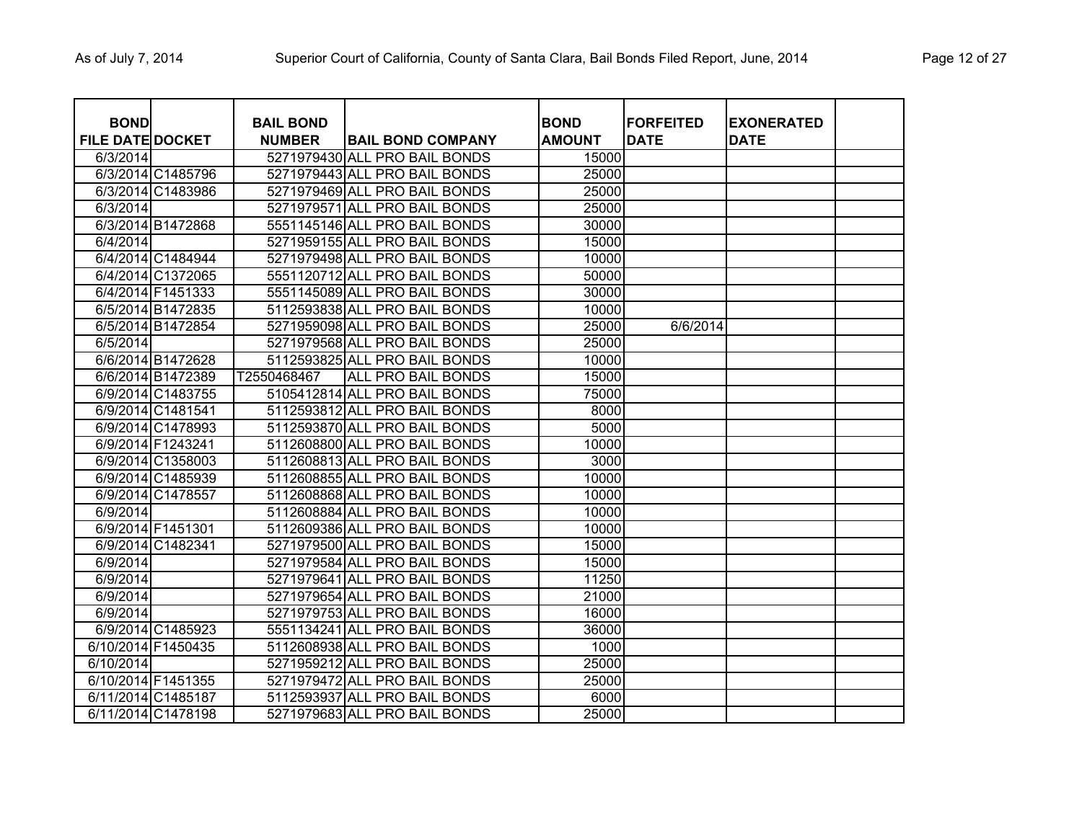| <b>BOND</b>             |                    | <b>BAIL BOND</b> |                               | <b>BOND</b>   | <b>FORFEITED</b> | <b>EXONERATED</b> |  |
|-------------------------|--------------------|------------------|-------------------------------|---------------|------------------|-------------------|--|
| <b>FILE DATE DOCKET</b> |                    | <b>NUMBER</b>    | <b>BAIL BOND COMPANY</b>      | <b>AMOUNT</b> | <b>DATE</b>      | <b>DATE</b>       |  |
| 6/3/2014                |                    |                  | 5271979430 ALL PRO BAIL BONDS | 15000         |                  |                   |  |
|                         | 6/3/2014 C1485796  |                  | 5271979443 ALL PRO BAIL BONDS | 25000         |                  |                   |  |
|                         | 6/3/2014 C1483986  |                  | 5271979469 ALL PRO BAIL BONDS | 25000         |                  |                   |  |
| 6/3/2014                |                    |                  | 5271979571 ALL PRO BAIL BONDS | 25000         |                  |                   |  |
|                         | 6/3/2014 B1472868  |                  | 5551145146 ALL PRO BAIL BONDS | 30000         |                  |                   |  |
| 6/4/2014                |                    |                  | 5271959155 ALL PRO BAIL BONDS | 15000         |                  |                   |  |
|                         | 6/4/2014 C1484944  |                  | 5271979498 ALL PRO BAIL BONDS | 10000         |                  |                   |  |
|                         | 6/4/2014 C1372065  |                  | 5551120712 ALL PRO BAIL BONDS | 50000         |                  |                   |  |
|                         | 6/4/2014 F1451333  |                  | 5551145089 ALL PRO BAIL BONDS | 30000         |                  |                   |  |
|                         | 6/5/2014 B1472835  |                  | 5112593838 ALL PRO BAIL BONDS | 10000         |                  |                   |  |
|                         | 6/5/2014 B1472854  |                  | 5271959098 ALL PRO BAIL BONDS | 25000         | 6/6/2014         |                   |  |
| 6/5/2014                |                    |                  | 5271979568 ALL PRO BAIL BONDS | 25000         |                  |                   |  |
|                         | 6/6/2014 B1472628  |                  | 5112593825 ALL PRO BAIL BONDS | 10000         |                  |                   |  |
|                         | 6/6/2014 B1472389  | T2550468467      | ALL PRO BAIL BONDS            | 15000         |                  |                   |  |
|                         | 6/9/2014 C1483755  |                  | 5105412814 ALL PRO BAIL BONDS | 75000         |                  |                   |  |
|                         | 6/9/2014 C1481541  |                  | 5112593812 ALL PRO BAIL BONDS | 8000          |                  |                   |  |
|                         | 6/9/2014 C1478993  |                  | 5112593870 ALL PRO BAIL BONDS | 5000          |                  |                   |  |
|                         | 6/9/2014 F1243241  |                  | 5112608800 ALL PRO BAIL BONDS | 10000         |                  |                   |  |
|                         | 6/9/2014 C1358003  |                  | 5112608813 ALL PRO BAIL BONDS | 3000          |                  |                   |  |
|                         | 6/9/2014 C1485939  |                  | 5112608855 ALL PRO BAIL BONDS | 10000         |                  |                   |  |
|                         | 6/9/2014 C1478557  |                  | 5112608868 ALL PRO BAIL BONDS | 10000         |                  |                   |  |
| 6/9/2014                |                    |                  | 5112608884 ALL PRO BAIL BONDS | 10000         |                  |                   |  |
|                         | 6/9/2014 F1451301  |                  | 5112609386 ALL PRO BAIL BONDS | 10000         |                  |                   |  |
|                         | 6/9/2014 C1482341  |                  | 5271979500 ALL PRO BAIL BONDS | 15000         |                  |                   |  |
| 6/9/2014                |                    |                  | 5271979584 ALL PRO BAIL BONDS | 15000         |                  |                   |  |
| 6/9/2014                |                    |                  | 5271979641 ALL PRO BAIL BONDS | 11250         |                  |                   |  |
| 6/9/2014                |                    |                  | 5271979654 ALL PRO BAIL BONDS | 21000         |                  |                   |  |
| 6/9/2014                |                    |                  | 5271979753 ALL PRO BAIL BONDS | 16000         |                  |                   |  |
|                         | 6/9/2014 C1485923  |                  | 5551134241 ALL PRO BAIL BONDS | 36000         |                  |                   |  |
| 6/10/2014 F1450435      |                    |                  | 5112608938 ALL PRO BAIL BONDS | 1000          |                  |                   |  |
| 6/10/2014               |                    |                  | 5271959212 ALL PRO BAIL BONDS | 25000         |                  |                   |  |
|                         | 6/10/2014 F1451355 |                  | 5271979472 ALL PRO BAIL BONDS | 25000         |                  |                   |  |
|                         | 6/11/2014 C1485187 |                  | 5112593937 ALL PRO BAIL BONDS | 6000          |                  |                   |  |
|                         | 6/11/2014 C1478198 |                  | 5271979683 ALL PRO BAIL BONDS | 25000         |                  |                   |  |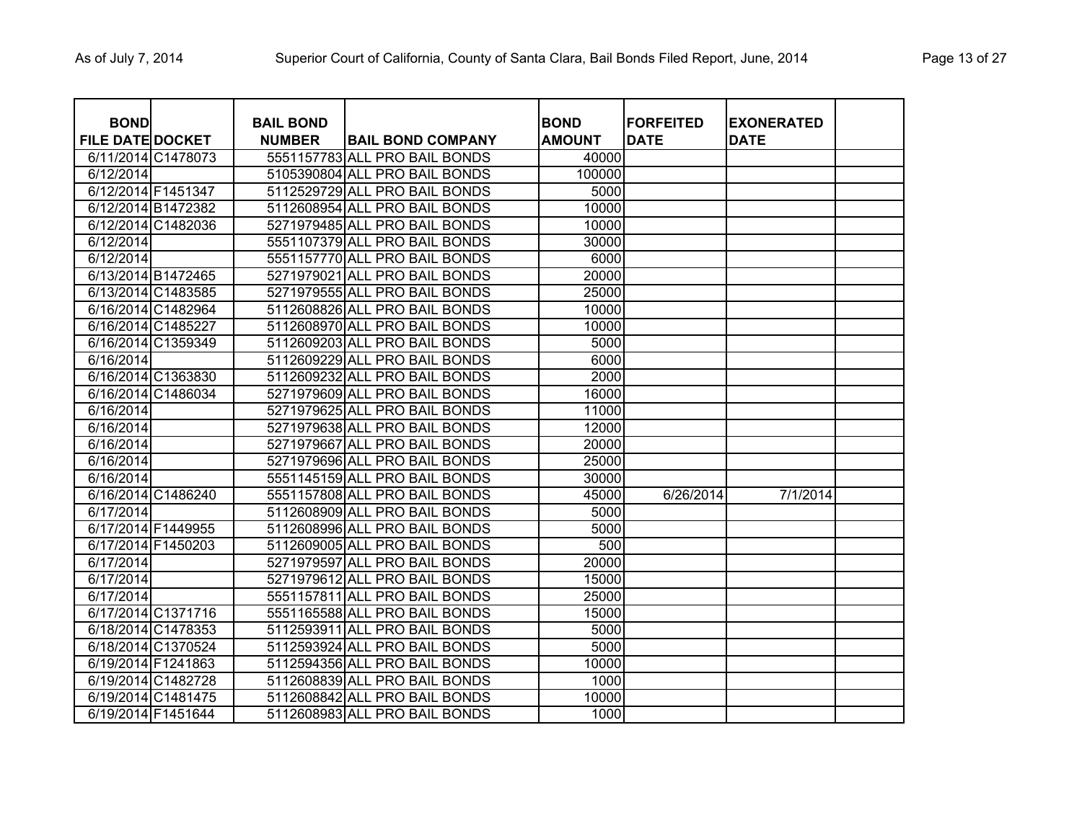| <b>BOND</b>                     |                    | <b>BAIL BOND</b> |                                                                | <b>BOND</b>    | <b>FORFEITED</b> | <b>EXONERATED</b> |  |
|---------------------------------|--------------------|------------------|----------------------------------------------------------------|----------------|------------------|-------------------|--|
| <b>FILE DATE DOCKET</b>         |                    | <b>NUMBER</b>    | <b>BAIL BOND COMPANY</b>                                       | <b>AMOUNT</b>  | <b>DATE</b>      | <b>DATE</b>       |  |
|                                 | 6/11/2014 C1478073 |                  | 5551157783 ALL PRO BAIL BONDS<br>5105390804 ALL PRO BAIL BONDS | 40000          |                  |                   |  |
| 6/12/2014<br>6/12/2014 F1451347 |                    |                  | 5112529729 ALL PRO BAIL BONDS                                  | 100000<br>5000 |                  |                   |  |
|                                 | 6/12/2014 B1472382 |                  | 5112608954 ALL PRO BAIL BONDS                                  | 10000          |                  |                   |  |
|                                 |                    |                  |                                                                |                |                  |                   |  |
|                                 | 6/12/2014 C1482036 |                  | 5271979485 ALL PRO BAIL BONDS                                  | 10000          |                  |                   |  |
| 6/12/2014                       |                    |                  | 5551107379 ALL PRO BAIL BONDS                                  | 30000          |                  |                   |  |
| 6/12/2014                       |                    |                  | 5551157770 ALL PRO BAIL BONDS                                  | 6000           |                  |                   |  |
|                                 | 6/13/2014 B1472465 |                  | 5271979021 ALL PRO BAIL BONDS                                  | 20000          |                  |                   |  |
|                                 | 6/13/2014 C1483585 |                  | 5271979555 ALL PRO BAIL BONDS                                  | 25000          |                  |                   |  |
|                                 | 6/16/2014 C1482964 |                  | 5112608826 ALL PRO BAIL BONDS                                  | 10000          |                  |                   |  |
|                                 | 6/16/2014 C1485227 |                  | 5112608970 ALL PRO BAIL BONDS                                  | 10000          |                  |                   |  |
|                                 | 6/16/2014 C1359349 |                  | 5112609203 ALL PRO BAIL BONDS                                  | 5000           |                  |                   |  |
| 6/16/2014                       |                    |                  | 5112609229 ALL PRO BAIL BONDS                                  | 6000           |                  |                   |  |
|                                 | 6/16/2014 C1363830 |                  | 5112609232 ALL PRO BAIL BONDS                                  | 2000           |                  |                   |  |
|                                 | 6/16/2014 C1486034 |                  | 5271979609 ALL PRO BAIL BONDS                                  | 16000          |                  |                   |  |
| 6/16/2014                       |                    |                  | 5271979625 ALL PRO BAIL BONDS                                  | 11000          |                  |                   |  |
| 6/16/2014                       |                    |                  | 5271979638 ALL PRO BAIL BONDS                                  | 12000          |                  |                   |  |
| 6/16/2014                       |                    |                  | 5271979667 ALL PRO BAIL BONDS                                  | 20000          |                  |                   |  |
| 6/16/2014                       |                    |                  | 5271979696 ALL PRO BAIL BONDS                                  | 25000          |                  |                   |  |
| 6/16/2014                       |                    |                  | 5551145159 ALL PRO BAIL BONDS                                  | 30000          |                  |                   |  |
|                                 | 6/16/2014 C1486240 |                  | 5551157808 ALL PRO BAIL BONDS                                  | 45000          | 6/26/2014        | 7/1/2014          |  |
| 6/17/2014                       |                    |                  | 5112608909 ALL PRO BAIL BONDS                                  | 5000           |                  |                   |  |
| 6/17/2014 F1449955              |                    |                  | 5112608996 ALL PRO BAIL BONDS                                  | 5000           |                  |                   |  |
| 6/17/2014 F1450203              |                    |                  | 5112609005 ALL PRO BAIL BONDS                                  | 500            |                  |                   |  |
| 6/17/2014                       |                    |                  | 5271979597 ALL PRO BAIL BONDS                                  | 20000          |                  |                   |  |
| 6/17/2014                       |                    |                  | 5271979612 ALL PRO BAIL BONDS                                  | 15000          |                  |                   |  |
| 6/17/2014                       |                    |                  | 5551157811 ALL PRO BAIL BONDS                                  | 25000          |                  |                   |  |
|                                 | 6/17/2014 C1371716 |                  | 5551165588 ALL PRO BAIL BONDS                                  | 15000          |                  |                   |  |
|                                 | 6/18/2014 C1478353 |                  | 5112593911 ALL PRO BAIL BONDS                                  | 5000           |                  |                   |  |
|                                 | 6/18/2014 C1370524 |                  | 5112593924 ALL PRO BAIL BONDS                                  | 5000           |                  |                   |  |
| 6/19/2014 F1241863              |                    |                  | 5112594356 ALL PRO BAIL BONDS                                  | 10000          |                  |                   |  |
|                                 | 6/19/2014 C1482728 |                  | 5112608839 ALL PRO BAIL BONDS                                  | 1000           |                  |                   |  |
|                                 | 6/19/2014 C1481475 |                  | 5112608842 ALL PRO BAIL BONDS                                  | 10000          |                  |                   |  |
| 6/19/2014 F1451644              |                    |                  | 5112608983 ALL PRO BAIL BONDS                                  | 1000           |                  |                   |  |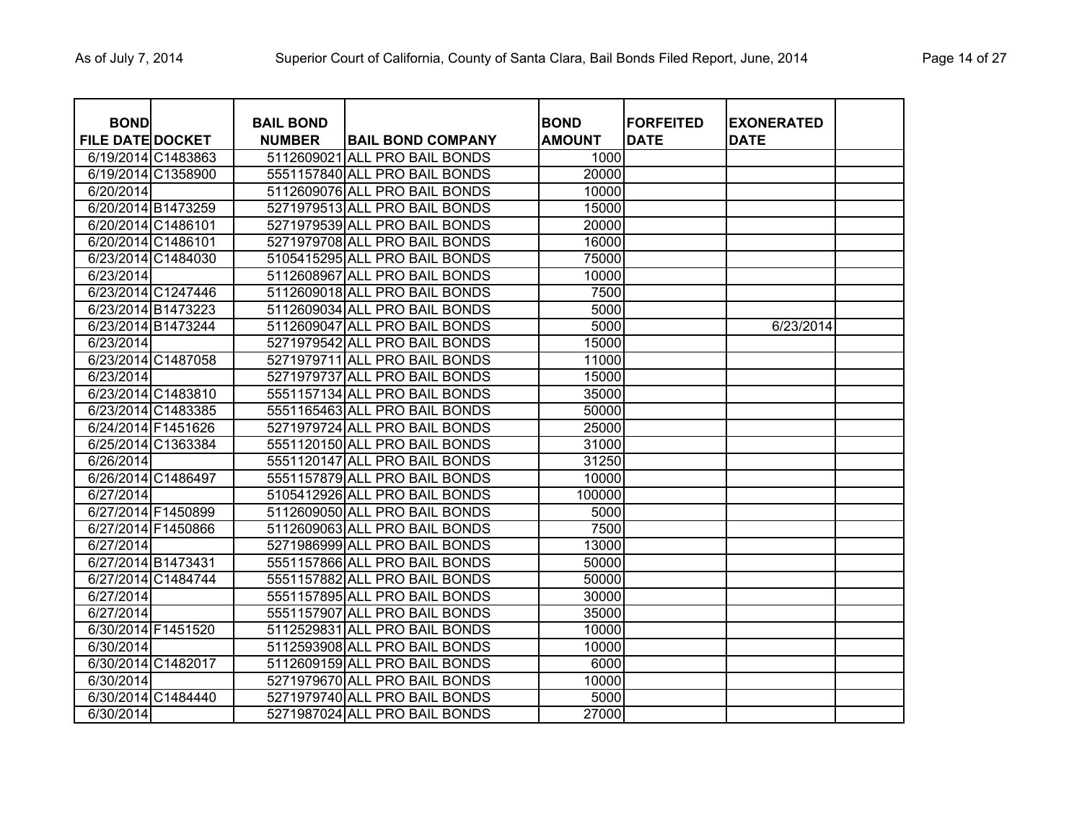| <b>BOND</b>             |                    | <b>BAIL BOND</b> |                               | <b>BOND</b>   | <b>FORFEITED</b> | <b>EXONERATED</b> |  |
|-------------------------|--------------------|------------------|-------------------------------|---------------|------------------|-------------------|--|
| <b>FILE DATE DOCKET</b> |                    | <b>NUMBER</b>    | <b>BAIL BOND COMPANY</b>      | <b>AMOUNT</b> | <b>DATE</b>      | <b>DATE</b>       |  |
|                         | 6/19/2014 C1483863 |                  | 5112609021 ALL PRO BAIL BONDS | 1000          |                  |                   |  |
|                         | 6/19/2014 C1358900 |                  | 5551157840 ALL PRO BAIL BONDS | 20000         |                  |                   |  |
| 6/20/2014               |                    |                  | 5112609076 ALL PRO BAIL BONDS | 10000         |                  |                   |  |
| 6/20/2014 B1473259      |                    |                  | 5271979513 ALL PRO BAIL BONDS | 15000         |                  |                   |  |
| 6/20/2014 C1486101      |                    |                  | 5271979539 ALL PRO BAIL BONDS | 20000         |                  |                   |  |
| 6/20/2014 C1486101      |                    |                  | 5271979708 ALL PRO BAIL BONDS | 16000         |                  |                   |  |
|                         | 6/23/2014 C1484030 |                  | 5105415295 ALL PRO BAIL BONDS | 75000         |                  |                   |  |
| 6/23/2014               |                    |                  | 5112608967 ALL PRO BAIL BONDS | 10000         |                  |                   |  |
|                         | 6/23/2014 C1247446 |                  | 5112609018 ALL PRO BAIL BONDS | 7500          |                  |                   |  |
|                         | 6/23/2014 B1473223 |                  | 5112609034 ALL PRO BAIL BONDS | 5000          |                  |                   |  |
| 6/23/2014 B1473244      |                    |                  | 5112609047 ALL PRO BAIL BONDS | 5000          |                  | 6/23/2014         |  |
| 6/23/2014               |                    |                  | 5271979542 ALL PRO BAIL BONDS | 15000         |                  |                   |  |
|                         | 6/23/2014 C1487058 |                  | 5271979711 ALL PRO BAIL BONDS | 11000         |                  |                   |  |
| 6/23/2014               |                    |                  | 5271979737 ALL PRO BAIL BONDS | 15000         |                  |                   |  |
|                         | 6/23/2014 C1483810 |                  | 5551157134 ALL PRO BAIL BONDS | 35000         |                  |                   |  |
|                         | 6/23/2014 C1483385 |                  | 5551165463 ALL PRO BAIL BONDS | 50000         |                  |                   |  |
|                         | 6/24/2014 F1451626 |                  | 5271979724 ALL PRO BAIL BONDS | 25000         |                  |                   |  |
|                         | 6/25/2014 C1363384 |                  | 5551120150 ALL PRO BAIL BONDS | 31000         |                  |                   |  |
| 6/26/2014               |                    |                  | 5551120147 ALL PRO BAIL BONDS | 31250         |                  |                   |  |
|                         | 6/26/2014 C1486497 |                  | 5551157879 ALL PRO BAIL BONDS | 10000         |                  |                   |  |
| 6/27/2014               |                    |                  | 5105412926 ALL PRO BAIL BONDS | 100000        |                  |                   |  |
|                         | 6/27/2014 F1450899 |                  | 5112609050 ALL PRO BAIL BONDS | 5000          |                  |                   |  |
|                         | 6/27/2014 F1450866 |                  | 5112609063 ALL PRO BAIL BONDS | 7500          |                  |                   |  |
| 6/27/2014               |                    |                  | 5271986999 ALL PRO BAIL BONDS | 13000         |                  |                   |  |
|                         | 6/27/2014 B1473431 |                  | 5551157866 ALL PRO BAIL BONDS | 50000         |                  |                   |  |
|                         | 6/27/2014 C1484744 |                  | 5551157882 ALL PRO BAIL BONDS | 50000         |                  |                   |  |
| 6/27/2014               |                    |                  | 5551157895 ALL PRO BAIL BONDS | 30000         |                  |                   |  |
| 6/27/2014               |                    |                  | 5551157907 ALL PRO BAIL BONDS | 35000         |                  |                   |  |
| 6/30/2014 F1451520      |                    |                  | 5112529831 ALL PRO BAIL BONDS | 10000         |                  |                   |  |
| 6/30/2014               |                    |                  | 5112593908 ALL PRO BAIL BONDS | 10000         |                  |                   |  |
| 6/30/2014 C1482017      |                    |                  | 5112609159 ALL PRO BAIL BONDS | 6000          |                  |                   |  |
| 6/30/2014               |                    |                  | 5271979670 ALL PRO BAIL BONDS | 10000         |                  |                   |  |
|                         | 6/30/2014 C1484440 |                  | 5271979740 ALL PRO BAIL BONDS | 5000          |                  |                   |  |
| 6/30/2014               |                    |                  | 5271987024 ALL PRO BAIL BONDS | 27000         |                  |                   |  |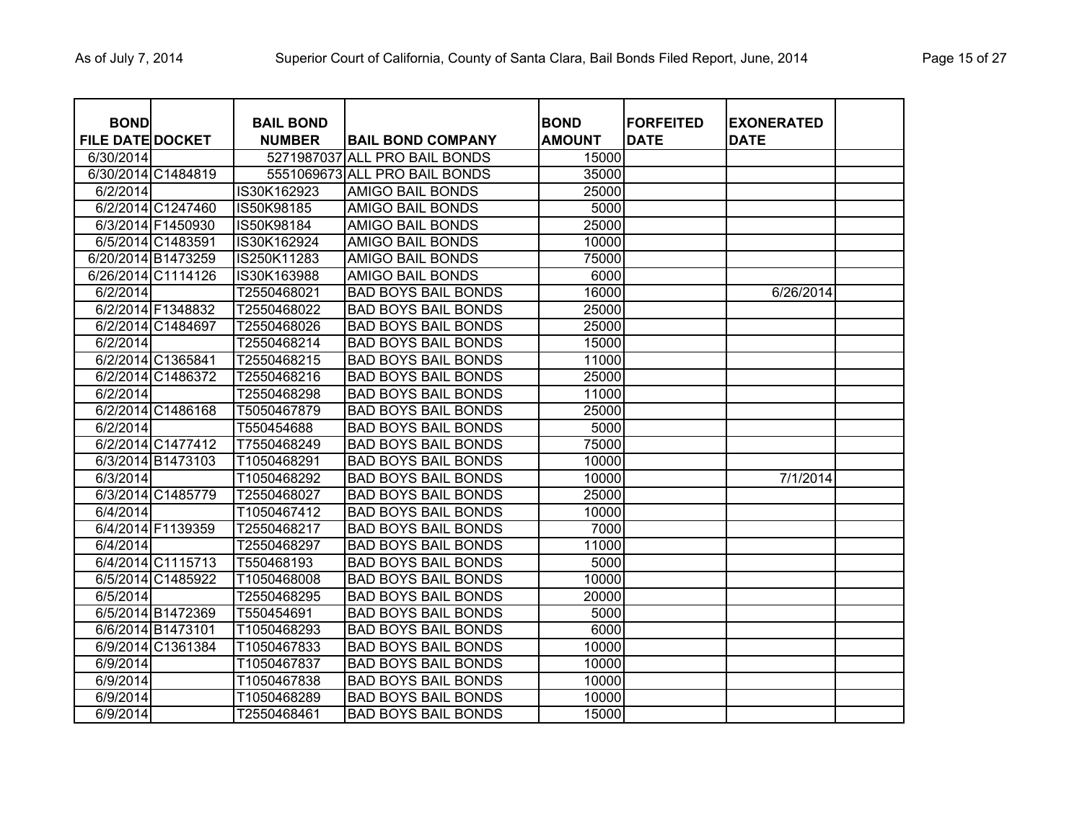| <b>BOND</b>             |                    | <b>BAIL BOND</b> |                               | <b>BOND</b>   | <b>FORFEITED</b> | <b>EXONERATED</b> |  |
|-------------------------|--------------------|------------------|-------------------------------|---------------|------------------|-------------------|--|
| <b>FILE DATE DOCKET</b> |                    | <b>NUMBER</b>    | <b>BAIL BOND COMPANY</b>      | <b>AMOUNT</b> | <b>DATE</b>      | <b>DATE</b>       |  |
| 6/30/2014               |                    | 5271987037       | <b>ALL PRO BAIL BONDS</b>     | 15000         |                  |                   |  |
|                         | 6/30/2014 C1484819 |                  | 5551069673 ALL PRO BAIL BONDS | 35000         |                  |                   |  |
| 6/2/2014                |                    | IS30K162923      | <b>AMIGO BAIL BONDS</b>       | 25000         |                  |                   |  |
|                         | 6/2/2014 C1247460  | IS50K98185       | <b>AMIGO BAIL BONDS</b>       | 5000          |                  |                   |  |
|                         | 6/3/2014 F1450930  | IS50K98184       | <b>AMIGO BAIL BONDS</b>       | 25000         |                  |                   |  |
|                         | 6/5/2014 C1483591  | IS30K162924      | <b>AMIGO BAIL BONDS</b>       | 10000         |                  |                   |  |
|                         | 6/20/2014 B1473259 | IS250K11283      | <b>AMIGO BAIL BONDS</b>       | 75000         |                  |                   |  |
|                         | 6/26/2014 C1114126 | IS30K163988      | <b>AMIGO BAIL BONDS</b>       | 6000          |                  |                   |  |
| 6/2/2014                |                    | T2550468021      | <b>BAD BOYS BAIL BONDS</b>    | 16000         |                  | 6/26/2014         |  |
|                         | 6/2/2014 F1348832  | T2550468022      | <b>BAD BOYS BAIL BONDS</b>    | 25000         |                  |                   |  |
|                         | 6/2/2014 C1484697  | T2550468026      | <b>BAD BOYS BAIL BONDS</b>    | 25000         |                  |                   |  |
| 6/2/2014                |                    | T2550468214      | <b>BAD BOYS BAIL BONDS</b>    | 15000         |                  |                   |  |
|                         | 6/2/2014 C1365841  | T2550468215      | <b>BAD BOYS BAIL BONDS</b>    | 11000         |                  |                   |  |
|                         | 6/2/2014 C1486372  | T2550468216      | <b>BAD BOYS BAIL BONDS</b>    | 25000         |                  |                   |  |
| 6/2/2014                |                    | T2550468298      | <b>BAD BOYS BAIL BONDS</b>    | 11000         |                  |                   |  |
|                         | 6/2/2014 C1486168  | T5050467879      | <b>BAD BOYS BAIL BONDS</b>    | 25000         |                  |                   |  |
| 6/2/2014                |                    | T550454688       | <b>BAD BOYS BAIL BONDS</b>    | 5000          |                  |                   |  |
|                         | 6/2/2014 C1477412  | T7550468249      | <b>BAD BOYS BAIL BONDS</b>    | 75000         |                  |                   |  |
|                         | 6/3/2014 B1473103  | T1050468291      | <b>BAD BOYS BAIL BONDS</b>    | 10000         |                  |                   |  |
| 6/3/2014                |                    | T1050468292      | <b>BAD BOYS BAIL BONDS</b>    | 10000         |                  | 7/1/2014          |  |
|                         | 6/3/2014 C1485779  | T2550468027      | <b>BAD BOYS BAIL BONDS</b>    | 25000         |                  |                   |  |
| 6/4/2014                |                    | T1050467412      | <b>BAD BOYS BAIL BONDS</b>    | 10000         |                  |                   |  |
|                         | 6/4/2014 F1139359  | T2550468217      | <b>BAD BOYS BAIL BONDS</b>    | 7000          |                  |                   |  |
| 6/4/2014                |                    | T2550468297      | <b>BAD BOYS BAIL BONDS</b>    | 11000         |                  |                   |  |
|                         | 6/4/2014 C1115713  | T550468193       | <b>BAD BOYS BAIL BONDS</b>    | 5000          |                  |                   |  |
|                         | 6/5/2014 C1485922  | T1050468008      | <b>BAD BOYS BAIL BONDS</b>    | 10000         |                  |                   |  |
| 6/5/2014                |                    | T2550468295      | <b>BAD BOYS BAIL BONDS</b>    | 20000         |                  |                   |  |
|                         | 6/5/2014 B1472369  | T550454691       | <b>BAD BOYS BAIL BONDS</b>    | 5000          |                  |                   |  |
|                         | 6/6/2014 B1473101  | T1050468293      | <b>BAD BOYS BAIL BONDS</b>    | 6000          |                  |                   |  |
|                         | 6/9/2014 C1361384  | T1050467833      | <b>BAD BOYS BAIL BONDS</b>    | 10000         |                  |                   |  |
| 6/9/2014                |                    | T1050467837      | <b>BAD BOYS BAIL BONDS</b>    | 10000         |                  |                   |  |
| 6/9/2014                |                    | T1050467838      | <b>BAD BOYS BAIL BONDS</b>    | 10000         |                  |                   |  |
| 6/9/2014                |                    | T1050468289      | <b>BAD BOYS BAIL BONDS</b>    | 10000         |                  |                   |  |
| 6/9/2014                |                    | T2550468461      | <b>BAD BOYS BAIL BONDS</b>    | 15000         |                  |                   |  |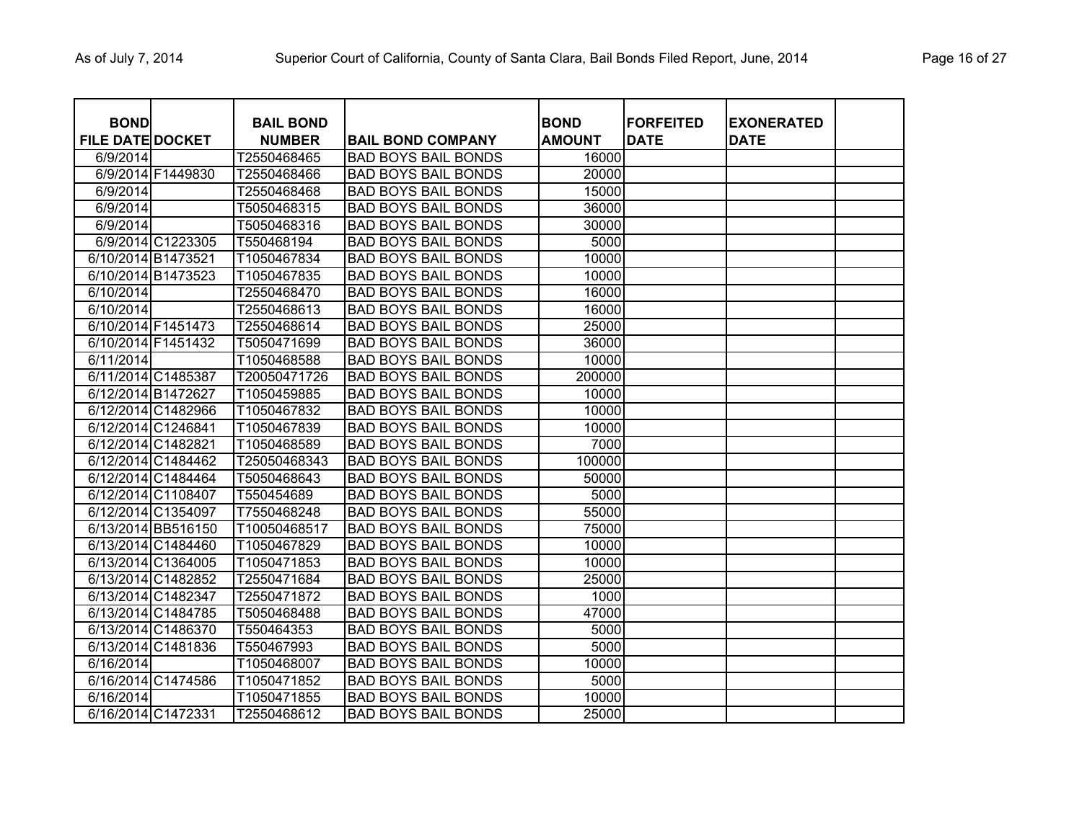| <b>BOND</b>             |                    | <b>BAIL BOND</b> |                            | <b>BOND</b>   | <b>FORFEITED</b> | <b>EXONERATED</b> |  |
|-------------------------|--------------------|------------------|----------------------------|---------------|------------------|-------------------|--|
| <b>FILE DATE DOCKET</b> |                    | <b>NUMBER</b>    | <b>BAIL BOND COMPANY</b>   | <b>AMOUNT</b> | <b>DATE</b>      | <b>DATE</b>       |  |
| 6/9/2014                |                    | T2550468465      | <b>BAD BOYS BAIL BONDS</b> | 16000         |                  |                   |  |
|                         | 6/9/2014 F1449830  | T2550468466      | <b>BAD BOYS BAIL BONDS</b> | 20000         |                  |                   |  |
| 6/9/2014                |                    | T2550468468      | <b>BAD BOYS BAIL BONDS</b> | 15000         |                  |                   |  |
| 6/9/2014                |                    | T5050468315      | <b>BAD BOYS BAIL BONDS</b> | 36000         |                  |                   |  |
| 6/9/2014                |                    | T5050468316      | <b>BAD BOYS BAIL BONDS</b> | 30000         |                  |                   |  |
|                         | 6/9/2014 C1223305  | T550468194       | <b>BAD BOYS BAIL BONDS</b> | 5000          |                  |                   |  |
|                         | 6/10/2014 B1473521 | T1050467834      | <b>BAD BOYS BAIL BONDS</b> | 10000         |                  |                   |  |
|                         | 6/10/2014 B1473523 | T1050467835      | <b>BAD BOYS BAIL BONDS</b> | 10000         |                  |                   |  |
| 6/10/2014               |                    | T2550468470      | <b>BAD BOYS BAIL BONDS</b> | 16000         |                  |                   |  |
| 6/10/2014               |                    | T2550468613      | <b>BAD BOYS BAIL BONDS</b> | 16000         |                  |                   |  |
|                         | 6/10/2014 F1451473 | T2550468614      | <b>BAD BOYS BAIL BONDS</b> | 25000         |                  |                   |  |
|                         | 6/10/2014 F1451432 | T5050471699      | <b>BAD BOYS BAIL BONDS</b> | 36000         |                  |                   |  |
| 6/11/2014               |                    | T1050468588      | <b>BAD BOYS BAIL BONDS</b> | 10000         |                  |                   |  |
|                         | 6/11/2014 C1485387 | T20050471726     | <b>BAD BOYS BAIL BONDS</b> | 200000        |                  |                   |  |
|                         | 6/12/2014 B1472627 | T1050459885      | <b>BAD BOYS BAIL BONDS</b> | 10000         |                  |                   |  |
|                         | 6/12/2014 C1482966 | T1050467832      | <b>BAD BOYS BAIL BONDS</b> | 10000         |                  |                   |  |
|                         | 6/12/2014 C1246841 | T1050467839      | <b>BAD BOYS BAIL BONDS</b> | 10000         |                  |                   |  |
|                         | 6/12/2014 C1482821 | T1050468589      | <b>BAD BOYS BAIL BONDS</b> | 7000          |                  |                   |  |
|                         | 6/12/2014 C1484462 | T25050468343     | <b>BAD BOYS BAIL BONDS</b> | 100000        |                  |                   |  |
|                         | 6/12/2014 C1484464 | T5050468643      | <b>BAD BOYS BAIL BONDS</b> | 50000         |                  |                   |  |
|                         | 6/12/2014 C1108407 | T550454689       | <b>BAD BOYS BAIL BONDS</b> | 5000          |                  |                   |  |
|                         | 6/12/2014 C1354097 | T7550468248      | <b>BAD BOYS BAIL BONDS</b> | 55000         |                  |                   |  |
|                         | 6/13/2014 BB516150 | T10050468517     | <b>BAD BOYS BAIL BONDS</b> | 75000         |                  |                   |  |
|                         | 6/13/2014 C1484460 | T1050467829      | <b>BAD BOYS BAIL BONDS</b> | 10000         |                  |                   |  |
|                         | 6/13/2014 C1364005 | T1050471853      | <b>BAD BOYS BAIL BONDS</b> | 10000         |                  |                   |  |
|                         | 6/13/2014 C1482852 | T2550471684      | <b>BAD BOYS BAIL BONDS</b> | 25000         |                  |                   |  |
|                         | 6/13/2014 C1482347 | T2550471872      | <b>BAD BOYS BAIL BONDS</b> | 1000          |                  |                   |  |
|                         | 6/13/2014 C1484785 | T5050468488      | <b>BAD BOYS BAIL BONDS</b> | 47000         |                  |                   |  |
|                         | 6/13/2014 C1486370 | T550464353       | <b>BAD BOYS BAIL BONDS</b> | 5000          |                  |                   |  |
|                         | 6/13/2014 C1481836 | T550467993       | <b>BAD BOYS BAIL BONDS</b> | 5000          |                  |                   |  |
| 6/16/2014               |                    | T1050468007      | <b>BAD BOYS BAIL BONDS</b> | 10000         |                  |                   |  |
|                         | 6/16/2014 C1474586 | T1050471852      | <b>BAD BOYS BAIL BONDS</b> | 5000          |                  |                   |  |
| 6/16/2014               |                    | T1050471855      | <b>BAD BOYS BAIL BONDS</b> | 10000         |                  |                   |  |
|                         | 6/16/2014 C1472331 | T2550468612      | <b>BAD BOYS BAIL BONDS</b> | 25000         |                  |                   |  |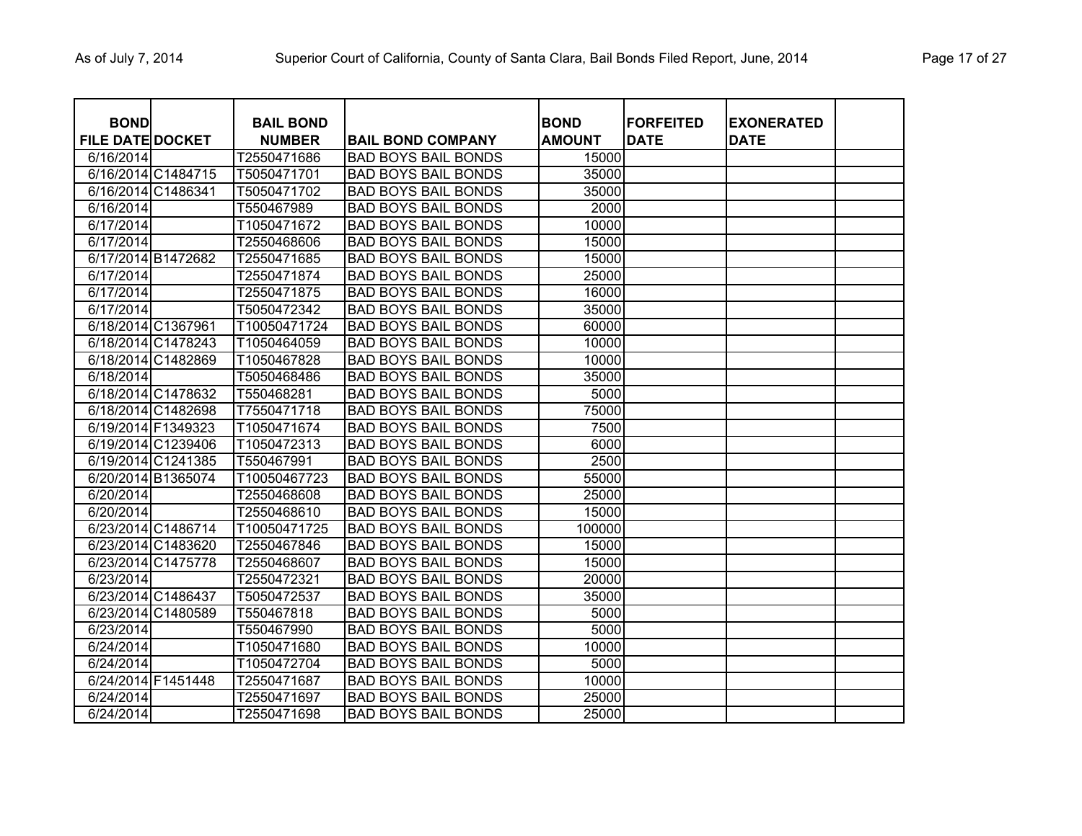| <b>BOND</b>             |                    | <b>BAIL BOND</b> |                            | <b>BOND</b>   | <b>FORFEITED</b> | <b>EXONERATED</b> |  |
|-------------------------|--------------------|------------------|----------------------------|---------------|------------------|-------------------|--|
| <b>FILE DATE DOCKET</b> |                    | <b>NUMBER</b>    | <b>BAIL BOND COMPANY</b>   | <b>AMOUNT</b> | <b>DATE</b>      | <b>DATE</b>       |  |
| 6/16/2014               |                    | T2550471686      | <b>BAD BOYS BAIL BONDS</b> | 15000         |                  |                   |  |
|                         | 6/16/2014 C1484715 | T5050471701      | <b>BAD BOYS BAIL BONDS</b> | 35000         |                  |                   |  |
| 6/16/2014 C1486341      |                    | T5050471702      | <b>BAD BOYS BAIL BONDS</b> | 35000         |                  |                   |  |
| $\sqrt{6/16/2014}$      |                    | T550467989       | <b>BAD BOYS BAIL BONDS</b> | 2000          |                  |                   |  |
| 6/17/2014               |                    | T1050471672      | <b>BAD BOYS BAIL BONDS</b> | 10000         |                  |                   |  |
| 6/17/2014               |                    | T2550468606      | <b>BAD BOYS BAIL BONDS</b> | 15000         |                  |                   |  |
| 6/17/2014 B1472682      |                    | T2550471685      | <b>BAD BOYS BAIL BONDS</b> | 15000         |                  |                   |  |
| 6/17/2014               |                    | T2550471874      | <b>BAD BOYS BAIL BONDS</b> | 25000         |                  |                   |  |
| 6/17/2014               |                    | T2550471875      | <b>BAD BOYS BAIL BONDS</b> | 16000         |                  |                   |  |
| 6/17/2014               |                    | T5050472342      | <b>BAD BOYS BAIL BONDS</b> | 35000         |                  |                   |  |
| 6/18/2014 C1367961      |                    | T10050471724     | <b>BAD BOYS BAIL BONDS</b> | 60000         |                  |                   |  |
| 6/18/2014 C1478243      |                    | T1050464059      | <b>BAD BOYS BAIL BONDS</b> | 10000         |                  |                   |  |
| 6/18/2014 C1482869      |                    | T1050467828      | <b>BAD BOYS BAIL BONDS</b> | 10000         |                  |                   |  |
| 6/18/2014               |                    | T5050468486      | <b>BAD BOYS BAIL BONDS</b> | 35000         |                  |                   |  |
| 6/18/2014 C1478632      |                    | T550468281       | <b>BAD BOYS BAIL BONDS</b> | 5000          |                  |                   |  |
|                         | 6/18/2014 C1482698 | T7550471718      | <b>BAD BOYS BAIL BONDS</b> | 75000         |                  |                   |  |
| 6/19/2014 F1349323      |                    | T1050471674      | <b>BAD BOYS BAIL BONDS</b> | 7500          |                  |                   |  |
|                         | 6/19/2014 C1239406 | T1050472313      | <b>BAD BOYS BAIL BONDS</b> | 6000          |                  |                   |  |
|                         | 6/19/2014 C1241385 | T550467991       | <b>BAD BOYS BAIL BONDS</b> | 2500          |                  |                   |  |
| 6/20/2014 B1365074      |                    | T10050467723     | <b>BAD BOYS BAIL BONDS</b> | 55000         |                  |                   |  |
| 6/20/2014               |                    | T2550468608      | <b>BAD BOYS BAIL BONDS</b> | 25000         |                  |                   |  |
| 6/20/2014               |                    | T2550468610      | <b>BAD BOYS BAIL BONDS</b> | 15000         |                  |                   |  |
|                         | 6/23/2014 C1486714 | T10050471725     | <b>BAD BOYS BAIL BONDS</b> | 100000        |                  |                   |  |
|                         | 6/23/2014 C1483620 | T2550467846      | <b>BAD BOYS BAIL BONDS</b> | 15000         |                  |                   |  |
|                         | 6/23/2014 C1475778 | T2550468607      | <b>BAD BOYS BAIL BONDS</b> | 15000         |                  |                   |  |
| 6/23/2014               |                    | T2550472321      | <b>BAD BOYS BAIL BONDS</b> | 20000         |                  |                   |  |
| 6/23/2014 C1486437      |                    | T5050472537      | <b>BAD BOYS BAIL BONDS</b> | 35000         |                  |                   |  |
|                         | 6/23/2014 C1480589 | T550467818       | <b>BAD BOYS BAIL BONDS</b> | 5000          |                  |                   |  |
| 6/23/2014               |                    | T550467990       | <b>BAD BOYS BAIL BONDS</b> | 5000          |                  |                   |  |
| 6/24/2014               |                    | T1050471680      | <b>BAD BOYS BAIL BONDS</b> | 10000         |                  |                   |  |
| 6/24/2014               |                    | T1050472704      | <b>BAD BOYS BAIL BONDS</b> | 5000          |                  |                   |  |
| 6/24/2014 F1451448      |                    | T2550471687      | <b>BAD BOYS BAIL BONDS</b> | 10000         |                  |                   |  |
| 6/24/2014               |                    | T2550471697      | <b>BAD BOYS BAIL BONDS</b> | 25000         |                  |                   |  |
| 6/24/2014               |                    | T2550471698      | <b>BAD BOYS BAIL BONDS</b> | 25000         |                  |                   |  |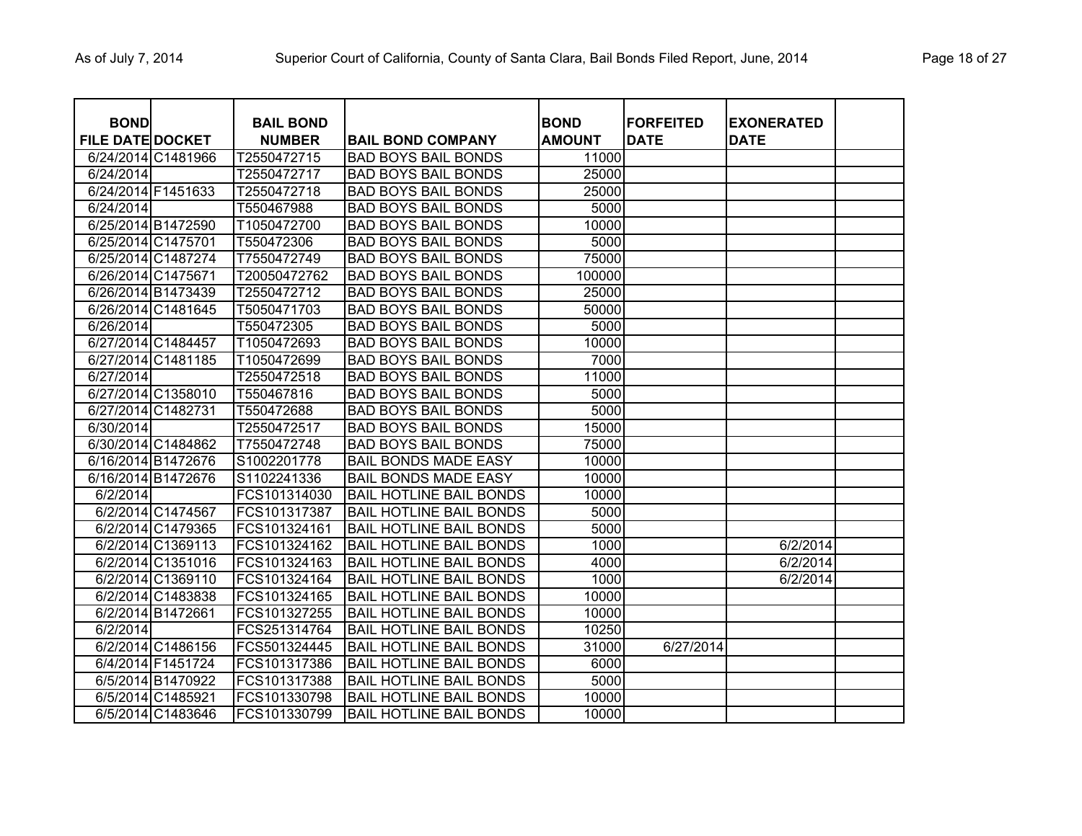| <b>BOND</b>             |                    | <b>BAIL BOND</b> |                                | <b>BOND</b>   | <b>FORFEITED</b> |                                  |  |
|-------------------------|--------------------|------------------|--------------------------------|---------------|------------------|----------------------------------|--|
| <b>FILE DATE DOCKET</b> |                    | <b>NUMBER</b>    | <b>BAIL BOND COMPANY</b>       | <b>AMOUNT</b> | <b>DATE</b>      | <b>EXONERATED</b><br><b>DATE</b> |  |
|                         | 6/24/2014 C1481966 | T2550472715      | <b>BAD BOYS BAIL BONDS</b>     | 11000         |                  |                                  |  |
| 6/24/2014               |                    | T2550472717      | <b>BAD BOYS BAIL BONDS</b>     | 25000         |                  |                                  |  |
|                         | 6/24/2014 F1451633 | T2550472718      | <b>BAD BOYS BAIL BONDS</b>     | 25000         |                  |                                  |  |
| 6/24/2014               |                    | T550467988       | <b>BAD BOYS BAIL BONDS</b>     | 5000          |                  |                                  |  |
|                         | 6/25/2014 B1472590 | T1050472700      | <b>BAD BOYS BAIL BONDS</b>     | 10000         |                  |                                  |  |
|                         | 6/25/2014 C1475701 | T550472306       | <b>BAD BOYS BAIL BONDS</b>     | 5000          |                  |                                  |  |
|                         | 6/25/2014 C1487274 | T7550472749      | <b>BAD BOYS BAIL BONDS</b>     | 75000         |                  |                                  |  |
|                         | 6/26/2014 C1475671 | T20050472762     | <b>BAD BOYS BAIL BONDS</b>     | 100000        |                  |                                  |  |
|                         | 6/26/2014 B1473439 | T2550472712      | <b>BAD BOYS BAIL BONDS</b>     | 25000         |                  |                                  |  |
|                         | 6/26/2014 C1481645 | T5050471703      | <b>BAD BOYS BAIL BONDS</b>     | 50000         |                  |                                  |  |
| 6/26/2014               |                    | T550472305       | <b>BAD BOYS BAIL BONDS</b>     | 5000          |                  |                                  |  |
|                         | 6/27/2014 C1484457 | T1050472693      | <b>BAD BOYS BAIL BONDS</b>     | 10000         |                  |                                  |  |
|                         | 6/27/2014 C1481185 | T1050472699      | <b>BAD BOYS BAIL BONDS</b>     | 7000          |                  |                                  |  |
| 6/27/2014               |                    | T2550472518      | <b>BAD BOYS BAIL BONDS</b>     | 11000         |                  |                                  |  |
|                         | 6/27/2014 C1358010 | T550467816       | <b>BAD BOYS BAIL BONDS</b>     | 5000          |                  |                                  |  |
|                         | 6/27/2014 C1482731 | T550472688       | <b>BAD BOYS BAIL BONDS</b>     | 5000          |                  |                                  |  |
| 6/30/2014               |                    | T2550472517      | <b>BAD BOYS BAIL BONDS</b>     | 15000         |                  |                                  |  |
|                         | 6/30/2014 C1484862 | T7550472748      | <b>BAD BOYS BAIL BONDS</b>     | 75000         |                  |                                  |  |
|                         | 6/16/2014 B1472676 | S1002201778      | <b>BAIL BONDS MADE EASY</b>    | 10000         |                  |                                  |  |
|                         | 6/16/2014 B1472676 | S1102241336      | <b>BAIL BONDS MADE EASY</b>    | 10000         |                  |                                  |  |
| 6/2/2014                |                    | FCS101314030     | <b>BAIL HOTLINE BAIL BONDS</b> | 10000         |                  |                                  |  |
|                         | 6/2/2014 C1474567  | FCS101317387     | <b>BAIL HOTLINE BAIL BONDS</b> | 5000          |                  |                                  |  |
|                         | 6/2/2014 C1479365  | FCS101324161     | <b>BAIL HOTLINE BAIL BONDS</b> | 5000          |                  |                                  |  |
|                         | 6/2/2014 C1369113  | FCS101324162     | <b>BAIL HOTLINE BAIL BONDS</b> | 1000          |                  | 6/2/2014                         |  |
|                         | 6/2/2014 C1351016  | FCS101324163     | <b>BAIL HOTLINE BAIL BONDS</b> | 4000          |                  | 6/2/2014                         |  |
|                         | 6/2/2014 C1369110  | FCS101324164     | <b>BAIL HOTLINE BAIL BONDS</b> | 1000          |                  | $\sqrt{6}/2/2014$                |  |
|                         | 6/2/2014 C1483838  | FCS101324165     | <b>BAIL HOTLINE BAIL BONDS</b> | 10000         |                  |                                  |  |
|                         | 6/2/2014 B1472661  | FCS101327255     | <b>BAIL HOTLINE BAIL BONDS</b> | 10000         |                  |                                  |  |
| 6/2/2014                |                    | FCS251314764     | <b>BAIL HOTLINE BAIL BONDS</b> | 10250         |                  |                                  |  |
|                         | 6/2/2014 C1486156  | FCS501324445     | <b>BAIL HOTLINE BAIL BONDS</b> | 31000         | 6/27/2014        |                                  |  |
|                         | 6/4/2014 F1451724  | FCS101317386     | <b>BAIL HOTLINE BAIL BONDS</b> | 6000          |                  |                                  |  |
|                         | 6/5/2014 B1470922  | FCS101317388     | <b>BAIL HOTLINE BAIL BONDS</b> | 5000          |                  |                                  |  |
|                         | 6/5/2014 C1485921  | FCS101330798     | <b>BAIL HOTLINE BAIL BONDS</b> | 10000         |                  |                                  |  |
|                         | 6/5/2014 C1483646  | FCS101330799     | <b>BAIL HOTLINE BAIL BONDS</b> | 10000         |                  |                                  |  |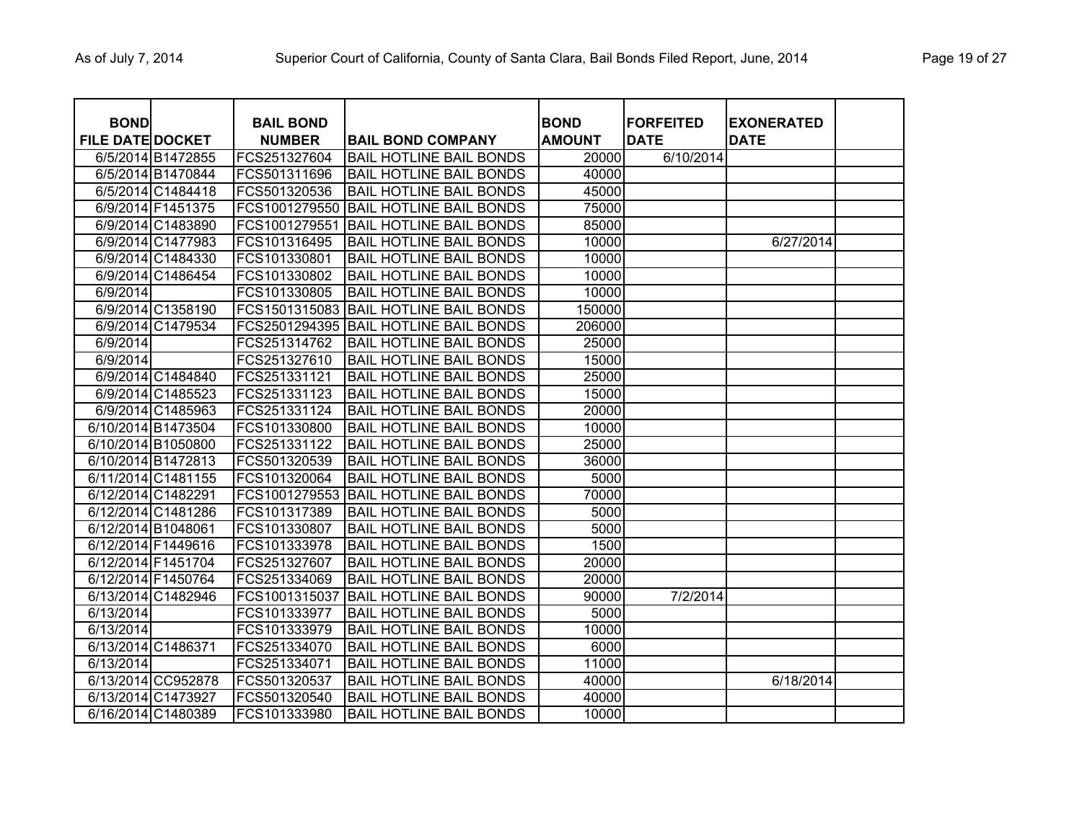| <b>BOND</b>             |                    | <b>BAIL BOND</b> |                                       | <b>BOND</b>   | <b>FORFEITED</b> | <b>EXONERATED</b> |  |
|-------------------------|--------------------|------------------|---------------------------------------|---------------|------------------|-------------------|--|
| <b>FILE DATE DOCKET</b> |                    | <b>NUMBER</b>    | <b>BAIL BOND COMPANY</b>              | <b>AMOUNT</b> | <b>DATE</b>      | <b>DATE</b>       |  |
|                         | 6/5/2014 B1472855  | FCS251327604     | <b>BAIL HOTLINE BAIL BONDS</b>        | 20000         | 6/10/2014        |                   |  |
|                         | 6/5/2014 B1470844  | FCS501311696     | <b>BAIL HOTLINE BAIL BONDS</b>        | 40000         |                  |                   |  |
|                         | 6/5/2014 C1484418  | FCS501320536     | <b>BAIL HOTLINE BAIL BONDS</b>        | 45000         |                  |                   |  |
|                         | 6/9/2014 F1451375  | FCS1001279550    | <b>BAIL HOTLINE BAIL BONDS</b>        | 75000         |                  |                   |  |
|                         | 6/9/2014 C1483890  | FCS1001279551    | <b>BAIL HOTLINE BAIL BONDS</b>        | 85000         |                  |                   |  |
|                         | 6/9/2014 C1477983  | FCS101316495     | <b>BAIL HOTLINE BAIL BONDS</b>        | 10000         |                  | 6/27/2014         |  |
|                         | 6/9/2014 C1484330  | FCS101330801     | <b>BAIL HOTLINE BAIL BONDS</b>        | 10000         |                  |                   |  |
|                         | 6/9/2014 C1486454  | FCS101330802     | <b>BAIL HOTLINE BAIL BONDS</b>        | 10000         |                  |                   |  |
| 6/9/2014                |                    | FCS101330805     | <b>BAIL HOTLINE BAIL BONDS</b>        | 10000         |                  |                   |  |
|                         | 6/9/2014 C1358190  | FCS1501315083    | <b>BAIL HOTLINE BAIL BONDS</b>        | 150000        |                  |                   |  |
|                         | 6/9/2014 C1479534  |                  | FCS2501294395 BAIL HOTLINE BAIL BONDS | 206000        |                  |                   |  |
| 6/9/2014                |                    | FCS251314762     | <b>BAIL HOTLINE BAIL BONDS</b>        | 25000         |                  |                   |  |
| 6/9/2014                |                    | FCS251327610     | <b>BAIL HOTLINE BAIL BONDS</b>        | 15000         |                  |                   |  |
|                         | 6/9/2014 C1484840  | FCS251331121     | <b>BAIL HOTLINE BAIL BONDS</b>        | 25000         |                  |                   |  |
|                         | 6/9/2014 C1485523  | FCS251331123     | <b>BAIL HOTLINE BAIL BONDS</b>        | 15000         |                  |                   |  |
|                         | 6/9/2014 C1485963  | FCS251331124     | <b>BAIL HOTLINE BAIL BONDS</b>        | 20000         |                  |                   |  |
|                         | 6/10/2014 B1473504 | FCS101330800     | <b>BAIL HOTLINE BAIL BONDS</b>        | 10000         |                  |                   |  |
|                         | 6/10/2014 B1050800 | FCS251331122     | <b>BAIL HOTLINE BAIL BONDS</b>        | 25000         |                  |                   |  |
|                         | 6/10/2014 B1472813 | FCS501320539     | <b>BAIL HOTLINE BAIL BONDS</b>        | 36000         |                  |                   |  |
|                         | 6/11/2014 C1481155 | FCS101320064     | <b>BAIL HOTLINE BAIL BONDS</b>        | 5000          |                  |                   |  |
| 6/12/2014 C1482291      |                    | FCS1001279553    | <b>BAIL HOTLINE BAIL BONDS</b>        | 70000         |                  |                   |  |
|                         | 6/12/2014 C1481286 | FCS101317389     | <b>BAIL HOTLINE BAIL BONDS</b>        | 5000          |                  |                   |  |
| 6/12/2014 B1048061      |                    | FCS101330807     | <b>BAIL HOTLINE BAIL BONDS</b>        | 5000          |                  |                   |  |
| 6/12/2014 F1449616      |                    | FCS101333978     | <b>BAIL HOTLINE BAIL BONDS</b>        | 1500          |                  |                   |  |
| 6/12/2014 F1451704      |                    | FCS251327607     | <b>BAIL HOTLINE BAIL BONDS</b>        | 20000         |                  |                   |  |
| 6/12/2014 F1450764      |                    | FCS251334069     | <b>BAIL HOTLINE BAIL BONDS</b>        | 20000         |                  |                   |  |
|                         | 6/13/2014 C1482946 | FCS1001315037    | <b>BAIL HOTLINE BAIL BONDS</b>        | 90000         | 7/2/2014         |                   |  |
| 6/13/2014               |                    | FCS101333977     | <b>BAIL HOTLINE BAIL BONDS</b>        | 5000          |                  |                   |  |
| 6/13/2014               |                    | FCS101333979     | <b>BAIL HOTLINE BAIL BONDS</b>        | 10000         |                  |                   |  |
| 6/13/2014 C1486371      |                    | FCS251334070     | <b>BAIL HOTLINE BAIL BONDS</b>        | 6000          |                  |                   |  |
| 6/13/2014               |                    | FCS251334071     | <b>BAIL HOTLINE BAIL BONDS</b>        | 11000         |                  |                   |  |
|                         | 6/13/2014 CC952878 | FCS501320537     | <b>BAIL HOTLINE BAIL BONDS</b>        | 40000         |                  | 6/18/2014         |  |
| 6/13/2014 C1473927      |                    | FCS501320540     | <b>BAIL HOTLINE BAIL BONDS</b>        | 40000         |                  |                   |  |
| 6/16/2014 C1480389      |                    | FCS101333980     | <b>BAIL HOTLINE BAIL BONDS</b>        | 10000         |                  |                   |  |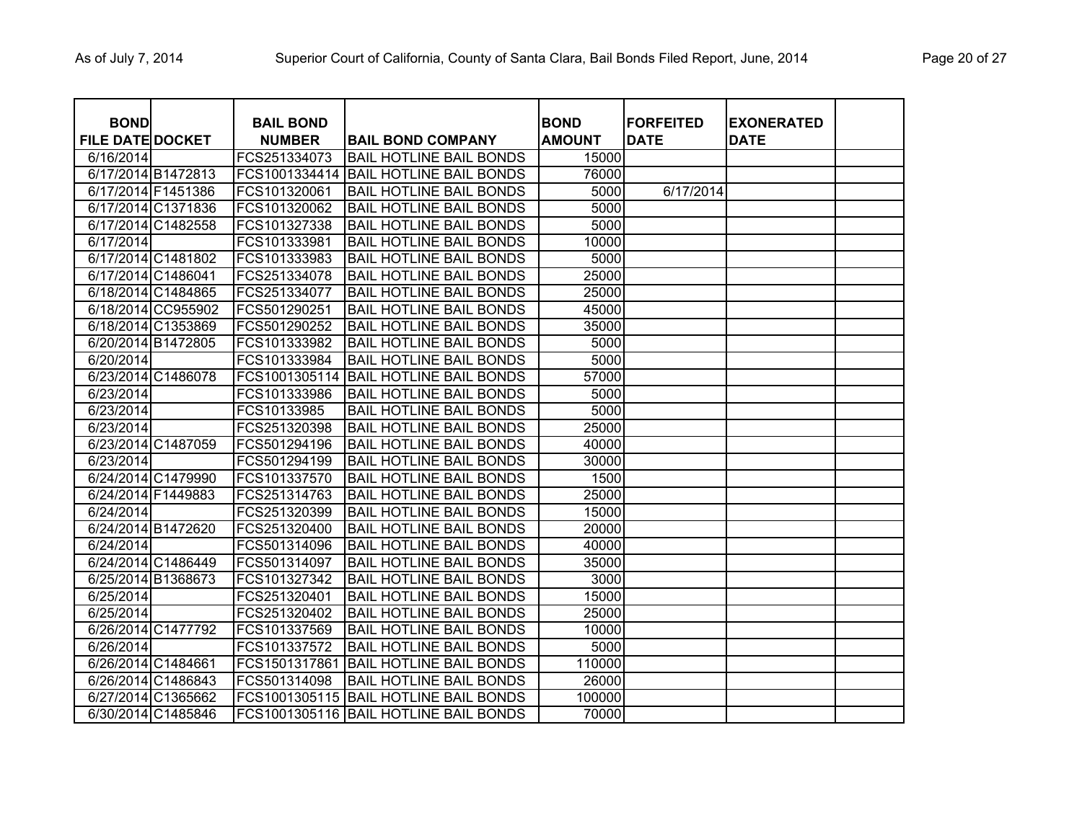| <b>BOND</b><br><b>FILE DATE DOCKET</b> |                    | <b>BAIL BOND</b><br><b>NUMBER</b> | <b>BAIL BOND COMPANY</b>              | <b>BOND</b><br><b>AMOUNT</b> | <b>FORFEITED</b><br><b>DATE</b> | <b>EXONERATED</b><br><b>DATE</b> |  |
|----------------------------------------|--------------------|-----------------------------------|---------------------------------------|------------------------------|---------------------------------|----------------------------------|--|
| 6/16/2014                              |                    | FCS251334073                      | <b>BAIL HOTLINE BAIL BONDS</b>        | 15000                        |                                 |                                  |  |
| 6/17/2014 B1472813                     |                    | FCS1001334414                     | <b>BAIL HOTLINE BAIL BONDS</b>        | 76000                        |                                 |                                  |  |
| 6/17/2014 F1451386                     |                    | FCS101320061                      | <b>BAIL HOTLINE BAIL BONDS</b>        | 5000                         | 6/17/2014                       |                                  |  |
|                                        | 6/17/2014 C1371836 | FCS101320062                      | <b>BAIL HOTLINE BAIL BONDS</b>        | 5000                         |                                 |                                  |  |
|                                        | 6/17/2014 C1482558 | FCS101327338                      | <b>BAIL HOTLINE BAIL BONDS</b>        | 5000                         |                                 |                                  |  |
| 6/17/2014                              |                    | FCS101333981                      | <b>BAIL HOTLINE BAIL BONDS</b>        | 10000                        |                                 |                                  |  |
|                                        | 6/17/2014 C1481802 | FCS101333983                      | <b>BAIL HOTLINE BAIL BONDS</b>        | 5000                         |                                 |                                  |  |
| 6/17/2014 C1486041                     |                    | FCS251334078                      | <b>BAIL HOTLINE BAIL BONDS</b>        | 25000                        |                                 |                                  |  |
|                                        | 6/18/2014 C1484865 | FCS251334077                      | <b>BAIL HOTLINE BAIL BONDS</b>        | 25000                        |                                 |                                  |  |
|                                        | 6/18/2014 CC955902 | FCS501290251                      | <b>BAIL HOTLINE BAIL BONDS</b>        | 45000                        |                                 |                                  |  |
|                                        | 6/18/2014 C1353869 | FCS501290252                      | <b>BAIL HOTLINE BAIL BONDS</b>        | 35000                        |                                 |                                  |  |
| 6/20/2014 B1472805                     |                    | FCS101333982                      | <b>BAIL HOTLINE BAIL BONDS</b>        | 5000                         |                                 |                                  |  |
| 6/20/2014                              |                    | FCS101333984                      | <b>BAIL HOTLINE BAIL BONDS</b>        | 5000                         |                                 |                                  |  |
|                                        | 6/23/2014 C1486078 | FCS1001305114                     | <b>BAIL HOTLINE BAIL BONDS</b>        | 57000                        |                                 |                                  |  |
| 6/23/2014                              |                    | FCS101333986                      | <b>BAIL HOTLINE BAIL BONDS</b>        | 5000                         |                                 |                                  |  |
| 6/23/2014                              |                    | FCS10133985                       | <b>BAIL HOTLINE BAIL BONDS</b>        | 5000                         |                                 |                                  |  |
| 6/23/2014                              |                    | FCS251320398                      | <b>BAIL HOTLINE BAIL BONDS</b>        | 25000                        |                                 |                                  |  |
|                                        | 6/23/2014 C1487059 | FCS501294196                      | <b>BAIL HOTLINE BAIL BONDS</b>        | 40000                        |                                 |                                  |  |
| 6/23/2014                              |                    | FCS501294199                      | <b>BAIL HOTLINE BAIL BONDS</b>        | 30000                        |                                 |                                  |  |
|                                        | 6/24/2014 C1479990 | FCS101337570                      | <b>BAIL HOTLINE BAIL BONDS</b>        | 1500                         |                                 |                                  |  |
| 6/24/2014 F1449883                     |                    | FCS251314763                      | <b>BAIL HOTLINE BAIL BONDS</b>        | 25000                        |                                 |                                  |  |
| 6/24/2014                              |                    | FCS251320399                      | <b>BAIL HOTLINE BAIL BONDS</b>        | 15000                        |                                 |                                  |  |
| 6/24/2014 B1472620                     |                    | FCS251320400                      | <b>BAIL HOTLINE BAIL BONDS</b>        | 20000                        |                                 |                                  |  |
| 6/24/2014                              |                    | FCS501314096                      | <b>BAIL HOTLINE BAIL BONDS</b>        | 40000                        |                                 |                                  |  |
|                                        | 6/24/2014 C1486449 | FCS501314097                      | <b>BAIL HOTLINE BAIL BONDS</b>        | 35000                        |                                 |                                  |  |
|                                        | 6/25/2014 B1368673 | FCS101327342                      | <b>BAIL HOTLINE BAIL BONDS</b>        | 3000                         |                                 |                                  |  |
| 6/25/2014                              |                    | FCS251320401                      | <b>BAIL HOTLINE BAIL BONDS</b>        | 15000                        |                                 |                                  |  |
| 6/25/2014                              |                    | FCS251320402                      | <b>BAIL HOTLINE BAIL BONDS</b>        | 25000                        |                                 |                                  |  |
|                                        | 6/26/2014 C1477792 | FCS101337569                      | <b>BAIL HOTLINE BAIL BONDS</b>        | 10000                        |                                 |                                  |  |
| 6/26/2014                              |                    | FCS101337572                      | <b>BAIL HOTLINE BAIL BONDS</b>        | 5000                         |                                 |                                  |  |
| 6/26/2014 C1484661                     |                    | FCS1501317861                     | <b>BAIL HOTLINE BAIL BONDS</b>        | 110000                       |                                 |                                  |  |
|                                        | 6/26/2014 C1486843 | FCS501314098                      | <b>BAIL HOTLINE BAIL BONDS</b>        | 26000                        |                                 |                                  |  |
|                                        | 6/27/2014 C1365662 |                                   | FCS1001305115 BAIL HOTLINE BAIL BONDS | 100000                       |                                 |                                  |  |
|                                        | 6/30/2014 C1485846 |                                   | FCS1001305116 BAIL HOTLINE BAIL BONDS | 70000                        |                                 |                                  |  |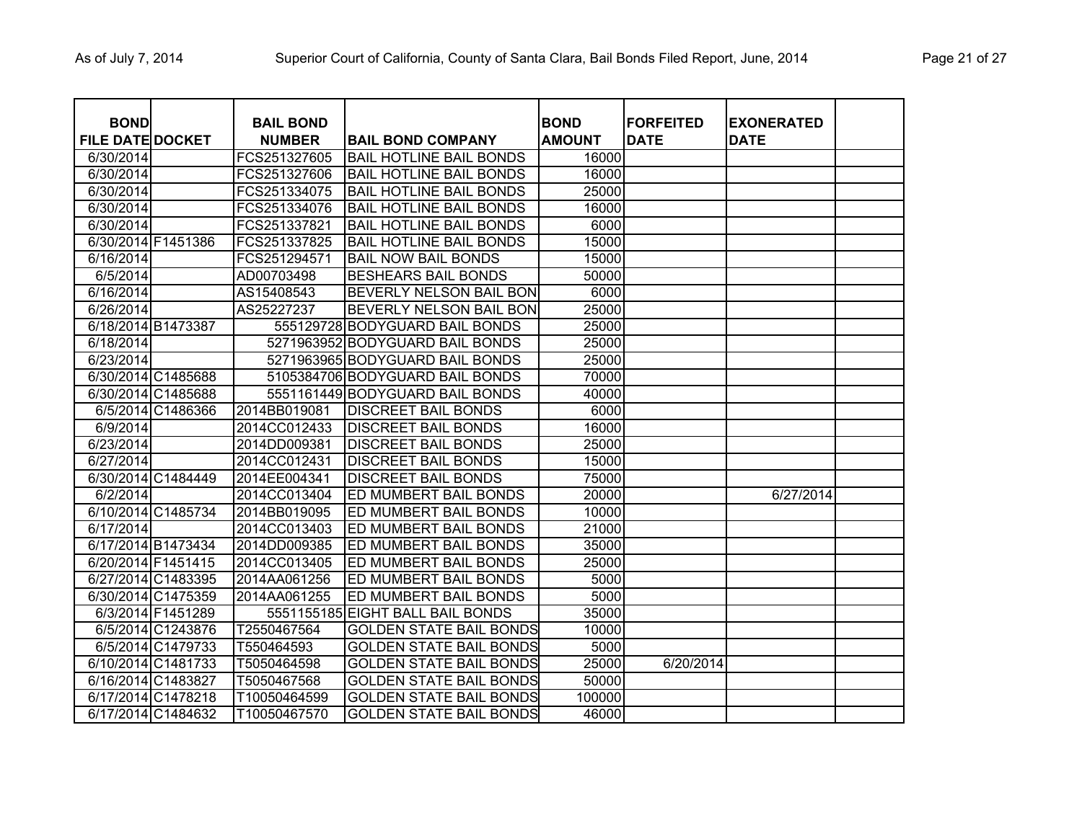| <b>BOND</b><br><b>FILE DATE DOCKET</b> |                    | <b>BAIL BOND</b><br><b>NUMBER</b> | <b>BAIL BOND COMPANY</b>         | <b>BOND</b><br><b>AMOUNT</b> | <b>FORFEITED</b><br><b>DATE</b> | <b>EXONERATED</b><br><b>DATE</b> |  |
|----------------------------------------|--------------------|-----------------------------------|----------------------------------|------------------------------|---------------------------------|----------------------------------|--|
| 6/30/2014                              |                    | FCS251327605                      | <b>BAIL HOTLINE BAIL BONDS</b>   | 16000                        |                                 |                                  |  |
| 6/30/2014                              |                    | FCS251327606                      | <b>BAIL HOTLINE BAIL BONDS</b>   | 16000                        |                                 |                                  |  |
| 6/30/2014                              |                    | FCS251334075                      | <b>BAIL HOTLINE BAIL BONDS</b>   | 25000                        |                                 |                                  |  |
| 6/30/2014                              |                    | FCS251334076                      | <b>BAIL HOTLINE BAIL BONDS</b>   | 16000                        |                                 |                                  |  |
| 6/30/2014                              |                    | FCS251337821                      | <b>BAIL HOTLINE BAIL BONDS</b>   | 6000                         |                                 |                                  |  |
|                                        | 6/30/2014 F1451386 | FCS251337825                      | <b>BAIL HOTLINE BAIL BONDS</b>   | 15000                        |                                 |                                  |  |
| 6/16/2014                              |                    | FCS251294571                      | <b>BAIL NOW BAIL BONDS</b>       | 15000                        |                                 |                                  |  |
| 6/5/2014                               |                    | AD00703498                        | <b>BESHEARS BAIL BONDS</b>       | 50000                        |                                 |                                  |  |
| 6/16/2014                              |                    | AS15408543                        | BEVERLY NELSON BAIL BON          | 6000                         |                                 |                                  |  |
| 6/26/2014                              |                    | AS25227237                        | BEVERLY NELSON BAIL BON          | 25000                        |                                 |                                  |  |
|                                        | 6/18/2014 B1473387 |                                   | 555129728 BODYGUARD BAIL BONDS   | 25000                        |                                 |                                  |  |
| 6/18/2014                              |                    |                                   | 5271963952 BODYGUARD BAIL BONDS  | 25000                        |                                 |                                  |  |
| 6/23/2014                              |                    |                                   | 5271963965 BODYGUARD BAIL BONDS  | 25000                        |                                 |                                  |  |
|                                        | 6/30/2014 C1485688 |                                   | 5105384706 BODYGUARD BAIL BONDS  | 70000                        |                                 |                                  |  |
|                                        | 6/30/2014 C1485688 |                                   | 5551161449 BODYGUARD BAIL BONDS  | 40000                        |                                 |                                  |  |
|                                        | 6/5/2014 C1486366  | 2014BB019081                      | <b>DISCREET BAIL BONDS</b>       | 6000                         |                                 |                                  |  |
| 6/9/2014                               |                    | 2014CC012433                      | <b>DISCREET BAIL BONDS</b>       | 16000                        |                                 |                                  |  |
| 6/23/2014                              |                    | 2014DD009381                      | <b>DISCREET BAIL BONDS</b>       | 25000                        |                                 |                                  |  |
| 6/27/2014                              |                    | 2014CC012431                      | <b>DISCREET BAIL BONDS</b>       | 15000                        |                                 |                                  |  |
|                                        | 6/30/2014 C1484449 | 2014EE004341                      | <b>DISCREET BAIL BONDS</b>       | 75000                        |                                 |                                  |  |
| 6/2/2014                               |                    | 2014CC013404                      | ED MUMBERT BAIL BONDS            | 20000                        |                                 | 6/27/2014                        |  |
|                                        | 6/10/2014 C1485734 | 2014BB019095                      | ED MUMBERT BAIL BONDS            | 10000                        |                                 |                                  |  |
| 6/17/2014                              |                    | 2014CC013403                      | ED MUMBERT BAIL BONDS            | 21000                        |                                 |                                  |  |
|                                        | 6/17/2014 B1473434 | 2014DD009385                      | ED MUMBERT BAIL BONDS            | 35000                        |                                 |                                  |  |
|                                        | 6/20/2014 F1451415 | 2014CC013405                      | ED MUMBERT BAIL BONDS            | 25000                        |                                 |                                  |  |
|                                        | 6/27/2014 C1483395 | 2014AA061256                      | ED MUMBERT BAIL BONDS            | 5000                         |                                 |                                  |  |
|                                        | 6/30/2014 C1475359 | 2014AA061255                      | ED MUMBERT BAIL BONDS            | 5000                         |                                 |                                  |  |
|                                        | 6/3/2014 F1451289  |                                   | 5551155185 EIGHT BALL BAIL BONDS | 35000                        |                                 |                                  |  |
|                                        | 6/5/2014 C1243876  | T2550467564                       | <b>GOLDEN STATE BAIL BONDS</b>   | 10000                        |                                 |                                  |  |
|                                        | 6/5/2014 C1479733  | T550464593                        | <b>GOLDEN STATE BAIL BONDS</b>   | 5000                         |                                 |                                  |  |
|                                        | 6/10/2014 C1481733 | T5050464598                       | <b>GOLDEN STATE BAIL BONDS</b>   | 25000                        | 6/20/2014                       |                                  |  |
|                                        | 6/16/2014 C1483827 | T5050467568                       | <b>GOLDEN STATE BAIL BONDS</b>   | 50000                        |                                 |                                  |  |
|                                        | 6/17/2014 C1478218 | T10050464599                      | <b>GOLDEN STATE BAIL BONDS</b>   | 100000                       |                                 |                                  |  |
|                                        | 6/17/2014 C1484632 | T10050467570                      | <b>GOLDEN STATE BAIL BONDS</b>   | 46000                        |                                 |                                  |  |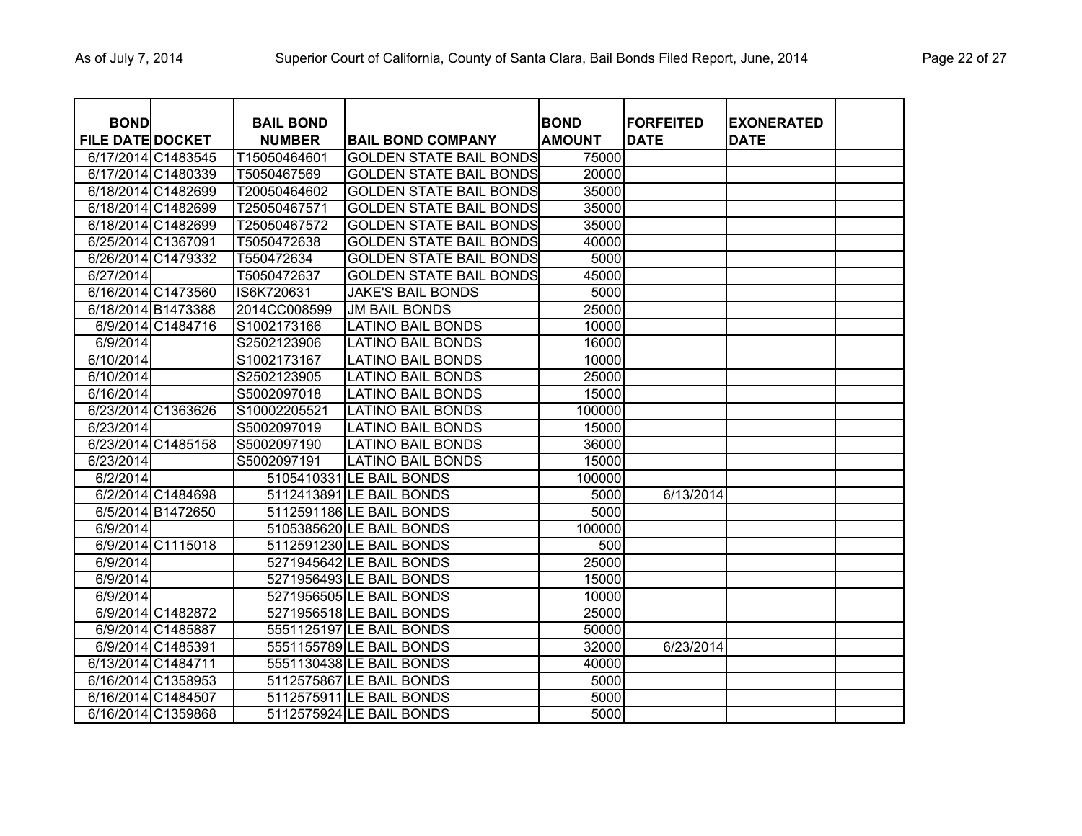| <b>BOND</b><br><b>FILE DATE DOCKET</b> |                    | <b>BAIL BOND</b><br><b>NUMBER</b> | <b>BAIL BOND COMPANY</b>       | <b>BOND</b><br><b>AMOUNT</b> | <b>FORFEITED</b><br><b>DATE</b> | <b>EXONERATED</b><br><b>DATE</b> |  |
|----------------------------------------|--------------------|-----------------------------------|--------------------------------|------------------------------|---------------------------------|----------------------------------|--|
|                                        | 6/17/2014 C1483545 | T15050464601                      | <b>GOLDEN STATE BAIL BONDS</b> | 75000                        |                                 |                                  |  |
|                                        | 6/17/2014 C1480339 | T5050467569                       | <b>GOLDEN STATE BAIL BONDS</b> | 20000                        |                                 |                                  |  |
|                                        | 6/18/2014 C1482699 | T20050464602                      | <b>GOLDEN STATE BAIL BONDS</b> | 35000                        |                                 |                                  |  |
|                                        | 6/18/2014 C1482699 | T25050467571                      | <b>GOLDEN STATE BAIL BONDS</b> | 35000                        |                                 |                                  |  |
|                                        | 6/18/2014 C1482699 | T25050467572                      | <b>GOLDEN STATE BAIL BONDS</b> | 35000                        |                                 |                                  |  |
| 6/25/2014 C1367091                     |                    | T5050472638                       | <b>GOLDEN STATE BAIL BONDS</b> | 40000                        |                                 |                                  |  |
|                                        | 6/26/2014 C1479332 | T550472634                        | <b>GOLDEN STATE BAIL BONDS</b> | 5000                         |                                 |                                  |  |
| 6/27/2014                              |                    | T5050472637                       | <b>GOLDEN STATE BAIL BONDS</b> | 45000                        |                                 |                                  |  |
|                                        | 6/16/2014 C1473560 | IS6K720631                        | <b>JAKE'S BAIL BONDS</b>       | 5000                         |                                 |                                  |  |
|                                        | 6/18/2014 B1473388 | 2014CC008599                      | <b>JM BAIL BONDS</b>           | 25000                        |                                 |                                  |  |
|                                        | 6/9/2014 C1484716  | S1002173166                       | <b>LATINO BAIL BONDS</b>       | 10000                        |                                 |                                  |  |
| 6/9/2014                               |                    | S2502123906                       | <b>LATINO BAIL BONDS</b>       | 16000                        |                                 |                                  |  |
| 6/10/2014                              |                    | S1002173167                       | <b>LATINO BAIL BONDS</b>       | 10000                        |                                 |                                  |  |
| 6/10/2014                              |                    | S2502123905                       | <b>LATINO BAIL BONDS</b>       | 25000                        |                                 |                                  |  |
| 6/16/2014                              |                    | S5002097018                       | <b>LATINO BAIL BONDS</b>       | 15000                        |                                 |                                  |  |
|                                        | 6/23/2014 C1363626 | S10002205521                      | <b>LATINO BAIL BONDS</b>       | 100000                       |                                 |                                  |  |
| $\sqrt{6}/23/2014$                     |                    | S5002097019                       | <b>LATINO BAIL BONDS</b>       | 15000                        |                                 |                                  |  |
|                                        | 6/23/2014 C1485158 | S5002097190                       | <b>LATINO BAIL BONDS</b>       | 36000                        |                                 |                                  |  |
| 6/23/2014                              |                    | S5002097191                       | <b>LATINO BAIL BONDS</b>       | 15000                        |                                 |                                  |  |
| 6/2/2014                               |                    |                                   | 5105410331 LE BAIL BONDS       | 100000                       |                                 |                                  |  |
|                                        | 6/2/2014 C1484698  |                                   | 5112413891 LE BAIL BONDS       | 5000                         | 6/13/2014                       |                                  |  |
|                                        | 6/5/2014 B1472650  |                                   | 5112591186 LE BAIL BONDS       | 5000                         |                                 |                                  |  |
| 6/9/2014                               |                    |                                   | 5105385620 LE BAIL BONDS       | 100000                       |                                 |                                  |  |
|                                        | 6/9/2014 C1115018  |                                   | 5112591230 LE BAIL BONDS       | 500                          |                                 |                                  |  |
| 6/9/2014                               |                    |                                   | 5271945642 LE BAIL BONDS       | 25000                        |                                 |                                  |  |
| 6/9/2014                               |                    |                                   | 5271956493 LE BAIL BONDS       | 15000                        |                                 |                                  |  |
| 6/9/2014                               |                    |                                   | 5271956505 LE BAIL BONDS       | 10000                        |                                 |                                  |  |
|                                        | 6/9/2014 C1482872  |                                   | 5271956518 LE BAIL BONDS       | 25000                        |                                 |                                  |  |
|                                        | 6/9/2014 C1485887  |                                   | 5551125197 LE BAIL BONDS       | 50000                        |                                 |                                  |  |
|                                        | 6/9/2014 C1485391  |                                   | 5551155789 LE BAIL BONDS       | 32000                        | 6/23/2014                       |                                  |  |
| 6/13/2014 C1484711                     |                    |                                   | 5551130438 LE BAIL BONDS       | 40000                        |                                 |                                  |  |
|                                        | 6/16/2014 C1358953 |                                   | 5112575867 LE BAIL BONDS       | 5000                         |                                 |                                  |  |
| 6/16/2014 C1484507                     |                    |                                   | 5112575911 LE BAIL BONDS       | 5000                         |                                 |                                  |  |
|                                        | 6/16/2014 C1359868 |                                   | 5112575924 LE BAIL BONDS       | 5000                         |                                 |                                  |  |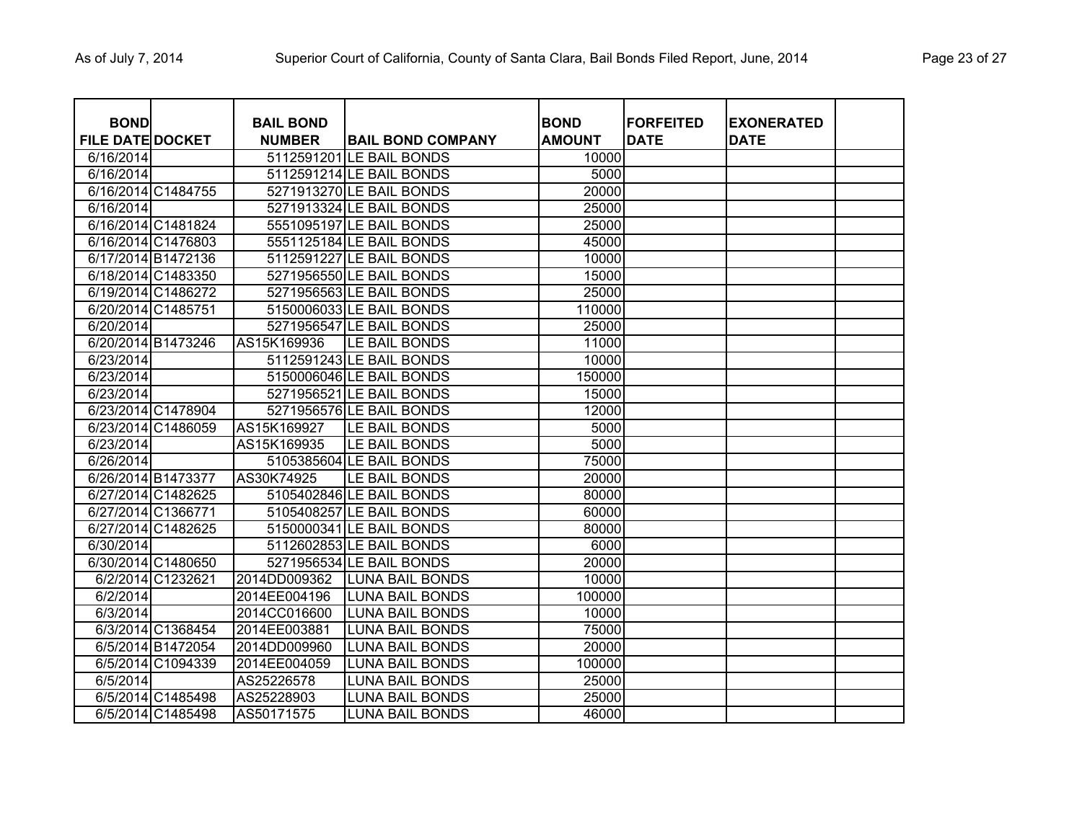| <b>BOND</b><br><b>FILE DATE DOCKET</b> |                    | <b>BAIL BOND</b><br><b>NUMBER</b> | <b>BAIL BOND COMPANY</b> | <b>BOND</b><br><b>AMOUNT</b> | <b>FORFEITED</b><br><b>DATE</b> | <b>EXONERATED</b><br><b>DATE</b> |  |
|----------------------------------------|--------------------|-----------------------------------|--------------------------|------------------------------|---------------------------------|----------------------------------|--|
| 6/16/2014                              |                    |                                   | 5112591201 LE BAIL BONDS | 10000                        |                                 |                                  |  |
| 6/16/2014                              |                    |                                   | 5112591214 LE BAIL BONDS | 5000                         |                                 |                                  |  |
|                                        | 6/16/2014 C1484755 |                                   | 5271913270 LE BAIL BONDS | 20000                        |                                 |                                  |  |
| 6/16/2014                              |                    |                                   | 5271913324 LE BAIL BONDS | 25000                        |                                 |                                  |  |
|                                        | 6/16/2014 C1481824 |                                   | 5551095197 LE BAIL BONDS | 25000                        |                                 |                                  |  |
|                                        | 6/16/2014 C1476803 |                                   | 5551125184 LE BAIL BONDS | 45000                        |                                 |                                  |  |
|                                        | 6/17/2014 B1472136 |                                   | 5112591227 LE BAIL BONDS | 10000                        |                                 |                                  |  |
|                                        | 6/18/2014 C1483350 |                                   | 5271956550 LE BAIL BONDS | 15000                        |                                 |                                  |  |
|                                        | 6/19/2014 C1486272 |                                   | 5271956563 LE BAIL BONDS | 25000                        |                                 |                                  |  |
|                                        | 6/20/2014 C1485751 |                                   | 5150006033 LE BAIL BONDS | 110000                       |                                 |                                  |  |
| 6/20/2014                              |                    |                                   | 5271956547 LE BAIL BONDS | 25000                        |                                 |                                  |  |
|                                        | 6/20/2014 B1473246 | AS15K169936                       | LE BAIL BONDS            | 11000                        |                                 |                                  |  |
| 6/23/2014                              |                    |                                   | 5112591243 LE BAIL BONDS | 10000                        |                                 |                                  |  |
| 6/23/2014                              |                    |                                   | 5150006046 LE BAIL BONDS | 150000                       |                                 |                                  |  |
| 6/23/2014                              |                    |                                   | 5271956521 LE BAIL BONDS | 15000                        |                                 |                                  |  |
|                                        | 6/23/2014 C1478904 |                                   | 5271956576 LE BAIL BONDS | 12000                        |                                 |                                  |  |
|                                        | 6/23/2014 C1486059 | AS15K169927                       | LE BAIL BONDS            | 5000                         |                                 |                                  |  |
| 6/23/2014                              |                    | AS15K169935                       | LE BAIL BONDS            | 5000                         |                                 |                                  |  |
| 6/26/2014                              |                    |                                   | 5105385604 LE BAIL BONDS | 75000                        |                                 |                                  |  |
|                                        | 6/26/2014 B1473377 | AS30K74925                        | LE BAIL BONDS            | 20000                        |                                 |                                  |  |
|                                        | 6/27/2014 C1482625 |                                   | 5105402846 LE BAIL BONDS | 80000                        |                                 |                                  |  |
|                                        | 6/27/2014 C1366771 |                                   | 5105408257 LE BAIL BONDS | 60000                        |                                 |                                  |  |
|                                        | 6/27/2014 C1482625 |                                   | 5150000341 LE BAIL BONDS | 80000                        |                                 |                                  |  |
| 6/30/2014                              |                    |                                   | 5112602853 LE BAIL BONDS | 6000                         |                                 |                                  |  |
|                                        | 6/30/2014 C1480650 |                                   | 5271956534 LE BAIL BONDS | 20000                        |                                 |                                  |  |
|                                        | 6/2/2014 C1232621  | 2014DD009362                      | <b>LUNA BAIL BONDS</b>   | 10000                        |                                 |                                  |  |
| 6/2/2014                               |                    | 2014EE004196                      | <b>LUNA BAIL BONDS</b>   | 100000                       |                                 |                                  |  |
| 6/3/2014                               |                    | 2014CC016600                      | <b>LUNA BAIL BONDS</b>   | 10000                        |                                 |                                  |  |
|                                        | 6/3/2014 C1368454  | 2014EE003881                      | <b>LUNA BAIL BONDS</b>   | 75000                        |                                 |                                  |  |
|                                        | 6/5/2014 B1472054  | 2014DD009960                      | <b>LUNA BAIL BONDS</b>   | 20000                        |                                 |                                  |  |
|                                        | 6/5/2014 C1094339  | 2014EE004059                      | LUNA BAIL BONDS          | 100000                       |                                 |                                  |  |
| 6/5/2014                               |                    | AS25226578                        | LUNA BAIL BONDS          | 25000                        |                                 |                                  |  |
|                                        | 6/5/2014 C1485498  | AS25228903                        | LUNA BAIL BONDS          | 25000                        |                                 |                                  |  |
|                                        | 6/5/2014 C1485498  | AS50171575                        | LUNA BAIL BONDS          | 46000                        |                                 |                                  |  |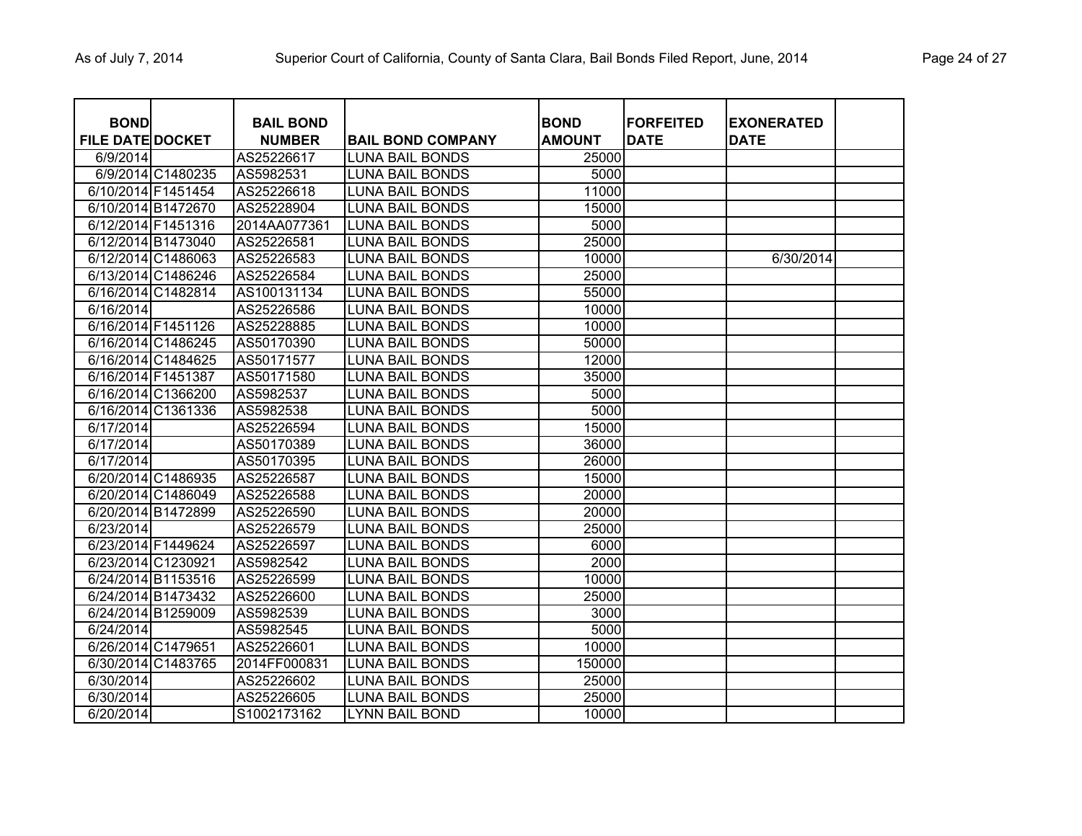| <b>BOND</b>             |                    | <b>BAIL BOND</b> |                          | <b>BOND</b>   | <b>FORFEITED</b> | <b>EXONERATED</b> |  |
|-------------------------|--------------------|------------------|--------------------------|---------------|------------------|-------------------|--|
| <b>FILE DATE DOCKET</b> |                    | <b>NUMBER</b>    | <b>BAIL BOND COMPANY</b> | <b>AMOUNT</b> | <b>DATE</b>      | <b>DATE</b>       |  |
| 6/9/2014                |                    | AS25226617       | <b>LUNA BAIL BONDS</b>   | 25000         |                  |                   |  |
|                         | 6/9/2014 C1480235  | AS5982531        | <b>LUNA BAIL BONDS</b>   | 5000          |                  |                   |  |
| 6/10/2014 F1451454      |                    | AS25226618       | <b>LUNA BAIL BONDS</b>   | 11000         |                  |                   |  |
| 6/10/2014 B1472670      |                    | AS25228904       | <b>LUNA BAIL BONDS</b>   | 15000         |                  |                   |  |
| 6/12/2014 F1451316      |                    | 2014AA077361     | <b>LUNA BAIL BONDS</b>   | 5000          |                  |                   |  |
| 6/12/2014 B1473040      |                    | AS25226581       | <b>LUNA BAIL BONDS</b>   | 25000         |                  |                   |  |
|                         | 6/12/2014 C1486063 | AS25226583       | <b>LUNA BAIL BONDS</b>   | 10000         |                  | 6/30/2014         |  |
|                         | 6/13/2014 C1486246 | AS25226584       | <b>LUNA BAIL BONDS</b>   | 25000         |                  |                   |  |
| 6/16/2014 C1482814      |                    | AS100131134      | <b>LUNA BAIL BONDS</b>   | 55000         |                  |                   |  |
| 6/16/2014               |                    | AS25226586       | <b>LUNA BAIL BONDS</b>   | 10000         |                  |                   |  |
| 6/16/2014 F1451126      |                    | AS25228885       | <b>LUNA BAIL BONDS</b>   | 10000         |                  |                   |  |
|                         | 6/16/2014 C1486245 | AS50170390       | <b>LUNA BAIL BONDS</b>   | 50000         |                  |                   |  |
|                         | 6/16/2014 C1484625 | AS50171577       | <b>LUNA BAIL BONDS</b>   | 12000         |                  |                   |  |
| 6/16/2014 F1451387      |                    | AS50171580       | <b>LUNA BAIL BONDS</b>   | 35000         |                  |                   |  |
|                         | 6/16/2014 C1366200 | AS5982537        | <b>LUNA BAIL BONDS</b>   | 5000          |                  |                   |  |
|                         | 6/16/2014 C1361336 | AS5982538        | <b>LUNA BAIL BONDS</b>   | 5000          |                  |                   |  |
| 6/17/2014               |                    | AS25226594       | <b>LUNA BAIL BONDS</b>   | 15000         |                  |                   |  |
| 6/17/2014               |                    | AS50170389       | <b>LUNA BAIL BONDS</b>   | 36000         |                  |                   |  |
| 6/17/2014               |                    | AS50170395       | <b>LUNA BAIL BONDS</b>   | 26000         |                  |                   |  |
|                         | 6/20/2014 C1486935 | AS25226587       | <b>LUNA BAIL BONDS</b>   | 15000         |                  |                   |  |
|                         | 6/20/2014 C1486049 | AS25226588       | <b>LUNA BAIL BONDS</b>   | 20000         |                  |                   |  |
|                         | 6/20/2014 B1472899 | AS25226590       | <b>LUNA BAIL BONDS</b>   | 20000         |                  |                   |  |
| 6/23/2014               |                    | AS25226579       | <b>LUNA BAIL BONDS</b>   | 25000         |                  |                   |  |
| 6/23/2014 F1449624      |                    | AS25226597       | <b>LUNA BAIL BONDS</b>   | 6000          |                  |                   |  |
| 6/23/2014 C1230921      |                    | AS5982542        | <b>LUNA BAIL BONDS</b>   | 2000          |                  |                   |  |
|                         | 6/24/2014 B1153516 | AS25226599       | LUNA BAIL BONDS          | 10000         |                  |                   |  |
|                         | 6/24/2014 B1473432 | AS25226600       | <b>LUNA BAIL BONDS</b>   | 25000         |                  |                   |  |
|                         | 6/24/2014 B1259009 | AS5982539        | <b>LUNA BAIL BONDS</b>   | 3000          |                  |                   |  |
| 6/24/2014               |                    | AS5982545        | <b>LUNA BAIL BONDS</b>   | 5000          |                  |                   |  |
| 6/26/2014 C1479651      |                    | AS25226601       | <b>LUNA BAIL BONDS</b>   | 10000         |                  |                   |  |
| 6/30/2014               | C1483765           | 2014FF000831     | <b>LUNA BAIL BONDS</b>   | 150000        |                  |                   |  |
| 6/30/2014               |                    | AS25226602       | <b>LUNA BAIL BONDS</b>   | 25000         |                  |                   |  |
| 6/30/2014               |                    | AS25226605       | <b>LUNA BAIL BONDS</b>   | 25000         |                  |                   |  |
| 6/20/2014               |                    | S1002173162      | <b>LYNN BAIL BOND</b>    | 10000         |                  |                   |  |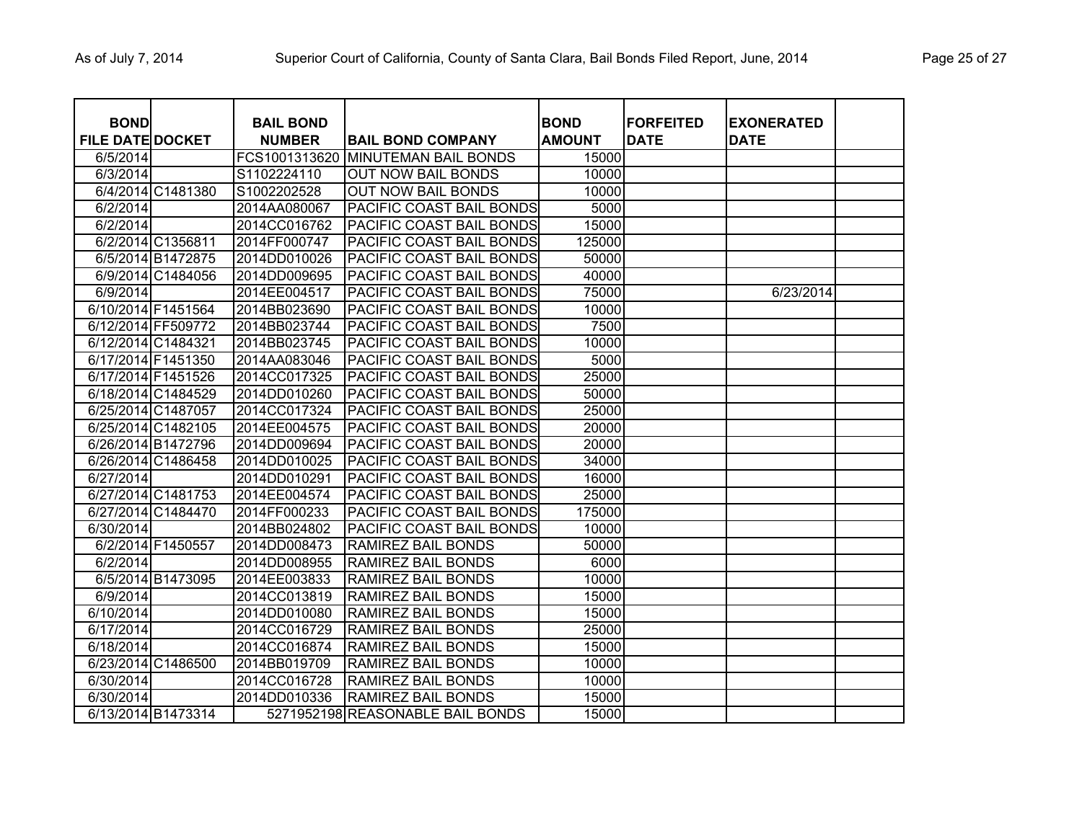| <b>BOND</b>             |                    | <b>BAIL BOND</b> |                                  | <b>BOND</b>   | <b>FORFEITED</b> | <b>EXONERATED</b> |  |
|-------------------------|--------------------|------------------|----------------------------------|---------------|------------------|-------------------|--|
| <b>FILE DATE DOCKET</b> |                    | <b>NUMBER</b>    | <b>BAIL BOND COMPANY</b>         | <b>AMOUNT</b> | <b>DATE</b>      | <b>DATE</b>       |  |
| 6/5/2014                |                    | FCS1001313620    | <b>MINUTEMAN BAIL BONDS</b>      | 15000         |                  |                   |  |
| 6/3/2014                |                    | S1102224110      | <b>OUT NOW BAIL BONDS</b>        | 10000         |                  |                   |  |
|                         | 6/4/2014 C1481380  | S1002202528      | <b>OUT NOW BAIL BONDS</b>        | 10000         |                  |                   |  |
| 6/2/2014                |                    | 2014AA080067     | PACIFIC COAST BAIL BONDS         | 5000          |                  |                   |  |
| 6/2/2014                |                    | 2014CC016762     | PACIFIC COAST BAIL BONDS         | 15000         |                  |                   |  |
|                         | 6/2/2014 C1356811  | 2014FF000747     | PACIFIC COAST BAIL BONDS         | 125000        |                  |                   |  |
|                         | 6/5/2014 B1472875  | 2014DD010026     | PACIFIC COAST BAIL BONDS         | 50000         |                  |                   |  |
|                         | 6/9/2014 C1484056  | 2014DD009695     | PACIFIC COAST BAIL BONDS         | 40000         |                  |                   |  |
| 6/9/2014                |                    | 2014EE004517     | PACIFIC COAST BAIL BONDS         | 75000         |                  | 6/23/2014         |  |
| 6/10/2014 F1451564      |                    | 2014BB023690     | PACIFIC COAST BAIL BONDS         | 10000         |                  |                   |  |
| 6/12/2014 FF509772      |                    | 2014BB023744     | PACIFIC COAST BAIL BONDS         | 7500          |                  |                   |  |
| 6/12/2014 C1484321      |                    | 2014BB023745     | PACIFIC COAST BAIL BONDS         | 10000         |                  |                   |  |
| 6/17/2014 F1451350      |                    | 2014AA083046     | PACIFIC COAST BAIL BONDS         | 5000          |                  |                   |  |
| 6/17/2014 F1451526      |                    | 2014CC017325     | PACIFIC COAST BAIL BONDS         | 25000         |                  |                   |  |
|                         | 6/18/2014 C1484529 | 2014DD010260     | PACIFIC COAST BAIL BONDS         | 50000         |                  |                   |  |
| 6/25/2014 C1487057      |                    | 2014CC017324     | PACIFIC COAST BAIL BONDS         | 25000         |                  |                   |  |
|                         | 6/25/2014 C1482105 | 2014EE004575     | PACIFIC COAST BAIL BONDS         | 20000         |                  |                   |  |
|                         | 6/26/2014 B1472796 | 2014DD009694     | PACIFIC COAST BAIL BONDS         | 20000         |                  |                   |  |
|                         | 6/26/2014 C1486458 | 2014DD010025     | PACIFIC COAST BAIL BONDS         | 34000         |                  |                   |  |
| 6/27/2014               |                    | 2014DD010291     | PACIFIC COAST BAIL BONDS         | 16000         |                  |                   |  |
|                         | 6/27/2014 C1481753 | 2014EE004574     | PACIFIC COAST BAIL BONDS         | 25000         |                  |                   |  |
|                         | 6/27/2014 C1484470 | 2014FF000233     | PACIFIC COAST BAIL BONDS         | 175000        |                  |                   |  |
| 6/30/2014               |                    | 2014BB024802     | PACIFIC COAST BAIL BONDS         | 10000         |                  |                   |  |
|                         | 6/2/2014 F1450557  | 2014DD008473     | <b>RAMIREZ BAIL BONDS</b>        | 50000         |                  |                   |  |
| 6/2/2014                |                    | 2014DD008955     | <b>RAMIREZ BAIL BONDS</b>        | 6000          |                  |                   |  |
|                         | 6/5/2014 B1473095  | 2014EE003833     | <b>RAMIREZ BAIL BONDS</b>        | 10000         |                  |                   |  |
| 6/9/2014                |                    | 2014CC013819     | <b>RAMIREZ BAIL BONDS</b>        | 15000         |                  |                   |  |
| 6/10/2014               |                    | 2014DD010080     | <b>RAMIREZ BAIL BONDS</b>        | 15000         |                  |                   |  |
| 6/17/2014               |                    | 2014CC016729     | <b>RAMIREZ BAIL BONDS</b>        | 25000         |                  |                   |  |
| 6/18/2014               |                    | 2014CC016874     | RAMIREZ BAIL BONDS               | 15000         |                  |                   |  |
|                         | 6/23/2014 C1486500 | 2014BB019709     | RAMIREZ BAIL BONDS               | 10000         |                  |                   |  |
| 6/30/2014               |                    | 2014CC016728     | RAMIREZ BAIL BONDS               | 10000         |                  |                   |  |
| 6/30/2014               |                    | 2014DD010336     | RAMIREZ BAIL BONDS               | 15000         |                  |                   |  |
|                         | 6/13/2014 B1473314 |                  | 5271952198 REASONABLE BAIL BONDS | 15000         |                  |                   |  |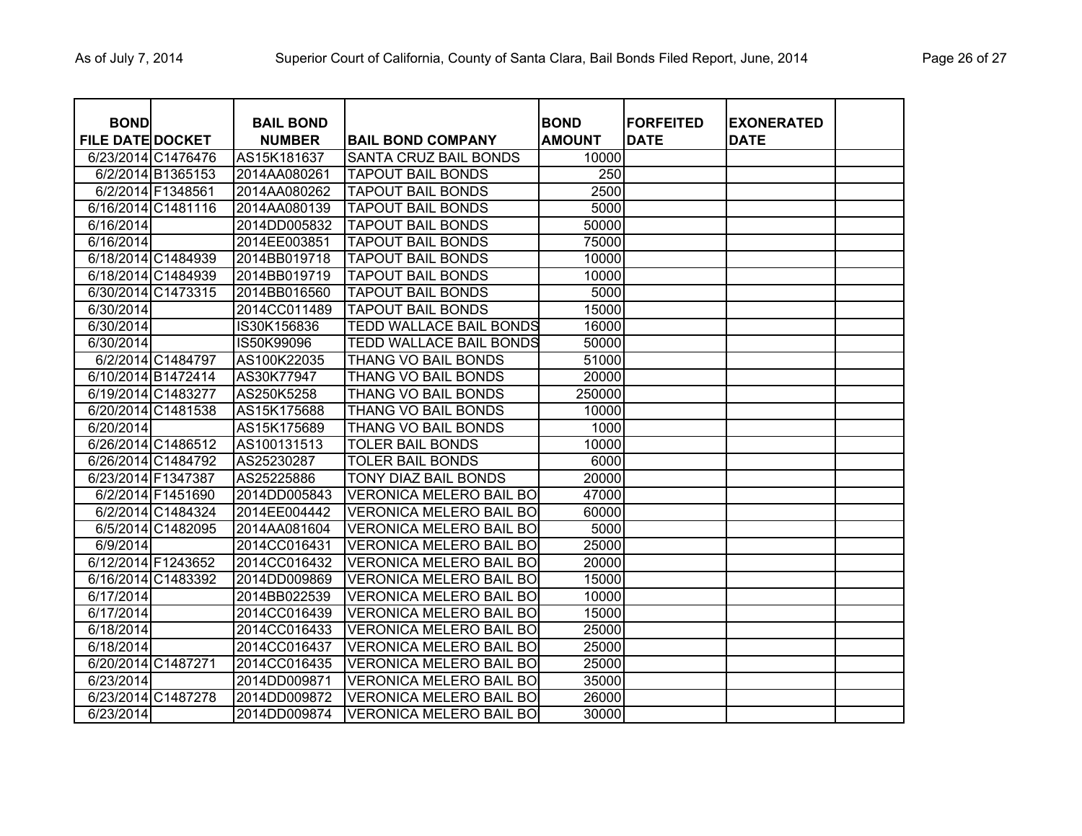| <b>BOND</b>             |                    | <b>BAIL BOND</b> |                                | <b>BOND</b>   | <b>FORFEITED</b> | <b>EXONERATED</b> |  |
|-------------------------|--------------------|------------------|--------------------------------|---------------|------------------|-------------------|--|
| <b>FILE DATE DOCKET</b> |                    | <b>NUMBER</b>    | <b>BAIL BOND COMPANY</b>       | <b>AMOUNT</b> | <b>DATE</b>      | <b>DATE</b>       |  |
|                         | 6/23/2014 C1476476 | AS15K181637      | SANTA CRUZ BAIL BONDS          | 10000         |                  |                   |  |
|                         | 6/2/2014 B1365153  | 2014AA080261     | <b>TAPOUT BAIL BONDS</b>       | 250           |                  |                   |  |
|                         | 6/2/2014 F1348561  | 2014AA080262     | <b>TAPOUT BAIL BONDS</b>       | 2500          |                  |                   |  |
|                         | 6/16/2014 C1481116 | 2014AA080139     | <b>TAPOUT BAIL BONDS</b>       | 5000          |                  |                   |  |
| 6/16/2014               |                    | 2014DD005832     | <b>TAPOUT BAIL BONDS</b>       | 50000         |                  |                   |  |
| 6/16/2014               |                    | 2014EE003851     | <b>TAPOUT BAIL BONDS</b>       | 75000         |                  |                   |  |
|                         | 6/18/2014 C1484939 | 2014BB019718     | <b>TAPOUT BAIL BONDS</b>       | 10000         |                  |                   |  |
|                         | 6/18/2014 C1484939 | 2014BB019719     | <b>TAPOUT BAIL BONDS</b>       | 10000         |                  |                   |  |
|                         | 6/30/2014 C1473315 | 2014BB016560     | <b>TAPOUT BAIL BONDS</b>       | 5000          |                  |                   |  |
| 6/30/2014               |                    | 2014CC011489     | <b>TAPOUT BAIL BONDS</b>       | 15000         |                  |                   |  |
| 6/30/2014               |                    | IS30K156836      | <b>TEDD WALLACE BAIL BONDS</b> | 16000         |                  |                   |  |
| 6/30/2014               |                    | IS50K99096       | TEDD WALLACE BAIL BONDS        | 50000         |                  |                   |  |
|                         | 6/2/2014 C1484797  | AS100K22035      | THANG VO BAIL BONDS            | 51000         |                  |                   |  |
|                         | 6/10/2014 B1472414 | AS30K77947       | THANG VO BAIL BONDS            | 20000         |                  |                   |  |
| 6/19/2014 C1483277      |                    | AS250K5258       | THANG VO BAIL BONDS            | 250000        |                  |                   |  |
|                         | 6/20/2014 C1481538 | AS15K175688      | THANG VO BAIL BONDS            | 10000         |                  |                   |  |
| 6/20/2014               |                    | AS15K175689      | THANG VO BAIL BONDS            | 1000          |                  |                   |  |
|                         | 6/26/2014 C1486512 | AS100131513      | <b>TOLER BAIL BONDS</b>        | 10000         |                  |                   |  |
|                         | 6/26/2014 C1484792 | AS25230287       | <b>TOLER BAIL BONDS</b>        | 6000          |                  |                   |  |
| 6/23/2014 F1347387      |                    | AS25225886       | TONY DIAZ BAIL BONDS           | 20000         |                  |                   |  |
|                         | 6/2/2014 F1451690  | 2014DD005843     | <b>VERONICA MELERO BAIL BO</b> | 47000         |                  |                   |  |
|                         | 6/2/2014 C1484324  | 2014EE004442     | <b>VERONICA MELERO BAIL BO</b> | 60000         |                  |                   |  |
|                         | 6/5/2014 C1482095  | 2014AA081604     | <b>VERONICA MELERO BAIL BO</b> | 5000          |                  |                   |  |
| 6/9/2014                |                    | 2014CC016431     | <b>VERONICA MELERO BAIL BO</b> | 25000         |                  |                   |  |
| 6/12/2014 F1243652      |                    | 2014CC016432     | <b>VERONICA MELERO BAIL BO</b> | 20000         |                  |                   |  |
|                         | 6/16/2014 C1483392 | 2014DD009869     | <b>VERONICA MELERO BAIL BO</b> | 15000         |                  |                   |  |
| 6/17/2014               |                    | 2014BB022539     | <b>VERONICA MELERO BAIL BO</b> | 10000         |                  |                   |  |
| 6/17/2014               |                    | 2014CC016439     | <b>VERONICA MELERO BAIL BO</b> | 15000         |                  |                   |  |
| 6/18/2014               |                    | 2014CC016433     | <b>VERONICA MELERO BAIL BO</b> | 25000         |                  |                   |  |
| 6/18/2014               |                    | 2014CC016437     | <b>VERONICA MELERO BAIL BO</b> | 25000         |                  |                   |  |
| 6/20/2014 C1487271      |                    | 2014CC016435     | <b>VERONICA MELERO BAIL BO</b> | 25000         |                  |                   |  |
| 6/23/2014               |                    | 2014DD009871     | <b>VERONICA MELERO BAIL BO</b> | 35000         |                  |                   |  |
|                         | 6/23/2014 C1487278 | 2014DD009872     | <b>VERONICA MELERO BAIL BO</b> | 26000         |                  |                   |  |
| 6/23/2014               |                    | 2014DD009874     | <b>VERONICA MELERO BAIL BO</b> | 30000         |                  |                   |  |